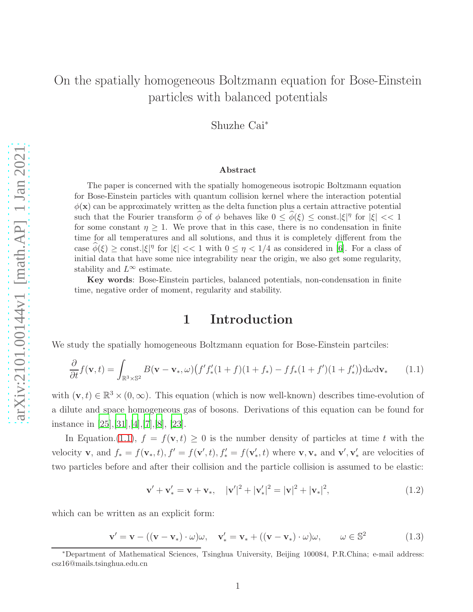## On the spatially homogeneous Boltzmann equation for Bose-Einstein particles with balanced potentials

Shuzhe Cai<sup>∗</sup>

#### Abstract

The paper is concerned with the spatially homogeneous isotropic Boltzmann equation for Bose-Einstein particles with quantum collision kernel where the interaction potential  $\phi(\mathbf{x})$  can be approximately written as the delta function plus a certain attractive potential such that the Fourier transform  $\hat{\phi}$  of  $\phi$  behaves like  $0 \leq \hat{\phi}(\xi) \leq \text{const.} |\xi|^\eta$  for  $|\xi| \ll 1$ for some constant  $\eta \geq 1$ . We prove that in this case, there is no condensation in finite time for all temperatures and all solutions, and thus it is completely different from the case  $\hat{\phi}(\xi) \ge \text{const.} |\xi|^\eta$  for  $|\xi| \ll 1$  with  $0 \le \eta \lt 1/4$  as considered in [\[6\]](#page-38-0). For a class of initial data that have some nice integrability near the origin, we also get some regularity, stability and  $L^{\infty}$  estimate.

Key words: Bose-Einstein particles, balanced potentials, non-condensation in finite time, negative order of moment, regularity and stability.

### 1 Introduction

We study the spatially homogeneous Boltzmann equation for Bose-Einstein partciles:

<span id="page-0-0"></span>
$$
\frac{\partial}{\partial t} f(\mathbf{v}, t) = \int_{\mathbb{R}^3 \times \mathbb{S}^2} B(\mathbf{v} - \mathbf{v}_*, \omega) \left( f' f'_*(1+f)(1+f_*) - ff_*(1+f')(1+f'_*) \right) d\omega d\mathbf{v}_* \tag{1.1}
$$

with  $(\mathbf{v}, t) \in \mathbb{R}^3 \times (0, \infty)$ . This equation (which is now well-known) describes time-evolution of a dilute and space homogeneous gas of bosons. Derivations of this equation can be found for instance in [\[25](#page-39-0)],[31],[\[4](#page-37-0)],[7],[\[8\]](#page-38-1), [\[23\]](#page-39-1).

In Equation.[\(1.1\)](#page-0-0),  $f = f(\mathbf{v}, t) \geq 0$  is the number density of particles at time t with the velocity **v**, and  $f_* = f(\mathbf{v}_*, t)$ ,  $f' = f(\mathbf{v}', t)$ ,  $f'_* = f(\mathbf{v}'_*, t)$  where **v**, **v**<sub>\*</sub> and **v'**, **v'**<sub>i</sub> are velocities of two particles before and after their collision and the particle collision is assumed to be elastic:

$$
\mathbf{v}' + \mathbf{v}'_* = \mathbf{v} + \mathbf{v}_*, \quad |\mathbf{v}'|^2 + |\mathbf{v}'_*|^2 = |\mathbf{v}|^2 + |\mathbf{v}_*|^2, \tag{1.2}
$$

which can be written as an explicit form:

$$
\mathbf{v}' = \mathbf{v} - ((\mathbf{v} - \mathbf{v}_*) \cdot \omega)\omega, \quad \mathbf{v}'_* = \mathbf{v}_* + ((\mathbf{v} - \mathbf{v}_*) \cdot \omega)\omega, \qquad \omega \in \mathbb{S}^2 \tag{1.3}
$$

<sup>∗</sup>Department of Mathematical Sciences, Tsinghua University, Beijing 100084, P.R.China; e-mail address: csz16@mails.tsinghua.edu.cn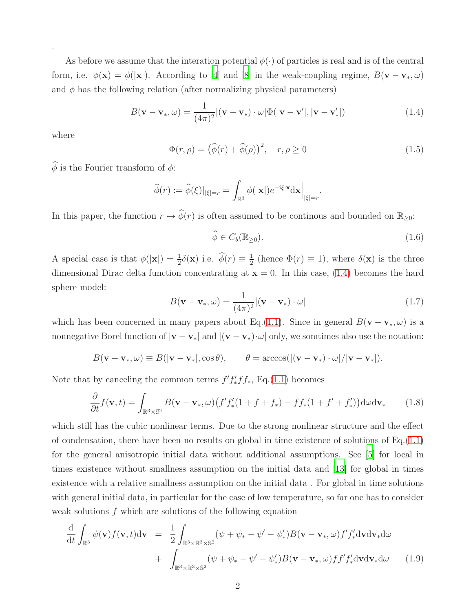As before we assume that the interation potential  $\phi(\cdot)$  of particles is real and is of the central form, i.e.  $\phi(\mathbf{x}) = \phi(|\mathbf{x}|)$ . According to [\[4\]](#page-37-0) and [\[8](#page-38-1)] in the weak-coupling regime,  $B(\mathbf{v} - \mathbf{v}_*, \omega)$ and  $\phi$  has the following relation (after normalizing physical parameters)

<span id="page-1-0"></span>
$$
B(\mathbf{v} - \mathbf{v}_{*}, \omega) = \frac{1}{(4\pi)^{2}} |(\mathbf{v} - \mathbf{v}_{*}) \cdot \omega| \Phi(|\mathbf{v} - \mathbf{v}'|, |\mathbf{v} - \mathbf{v}'_{*}|)
$$
(1.4)

where

.

<span id="page-1-3"></span>
$$
\Phi(r,\rho) = (\hat{\phi}(r) + \hat{\phi}(\rho))^2, \quad r,\rho \ge 0 \tag{1.5}
$$

 $\widehat{\phi}$  is the Fourier transform of  $\phi$ :

$$
\widehat{\phi}(r) := \widehat{\phi}(\xi)|_{|\xi|=r} = \int_{\mathbb{R}^3} \phi(|\mathbf{x}|) e^{-i\xi \cdot \mathbf{x}} d\mathbf{x}\Big|_{|\xi|=r}.
$$

In this paper, the function  $r \mapsto \widehat{\phi}(r)$  is often assumed to be continous and bounded on  $\mathbb{R}_{\geq 0}$ :

<span id="page-1-2"></span>
$$
\widehat{\phi} \in C_b(\mathbb{R}_{\geq 0}).\tag{1.6}
$$

A special case is that  $\phi(|\mathbf{x}|) = \frac{1}{2}\delta(\mathbf{x})$  i.e.  $\hat{\phi}(r) \equiv \frac{1}{2}$  $\frac{1}{2}$  (hence  $\Phi(r) \equiv 1$ ), where  $\delta(\mathbf{x})$  is the three dimensional Dirac delta function concentrating at  $\mathbf{x} = 0$ . In this case, [\(1.4\)](#page-1-0) becomes the hard sphere model:

$$
B(\mathbf{v} - \mathbf{v}_{*}, \omega) = \frac{1}{(4\pi)^{2}} |(\mathbf{v} - \mathbf{v}_{*}) \cdot \omega|
$$
\n(1.7)

which has been concerned in many papers about Eq.[\(1.1\)](#page-0-0). Since in general  $B(\mathbf{v} - \mathbf{v}_*, \omega)$  is a nonnegative Borel function of  $|\mathbf{v} - \mathbf{v}_*|$  and  $|(\mathbf{v} - \mathbf{v}_*) \cdot \omega|$  only, we somtimes also use the notation:

$$
B(\mathbf{v}-\mathbf{v}_*,\omega) \equiv B(|\mathbf{v}-\mathbf{v}_*|,\cos\theta), \qquad \theta = \arccos(|(\mathbf{v}-\mathbf{v}_*)\cdot\omega|/|\mathbf{v}-\mathbf{v}_*|).
$$

Note that by canceling the common terms  $f' f'_* f f_*$ , Eq.[\(1.1\)](#page-0-0) becomes

$$
\frac{\partial}{\partial t} f(\mathbf{v}, t) = \int_{\mathbb{R}^3 \times \mathbb{S}^2} B(\mathbf{v} - \mathbf{v}_*, \omega) \left( f' f'_*(1 + f + f_*) - f f_*(1 + f' + f'_*) \right) d\omega d\mathbf{v}_* \tag{1.8}
$$

which still has the cubic nonlinear terms. Due to the strong nonlinear structure and the effect of condensation, there have been no results on global in time existence of solutions of  $Eq.(1.1)$  $Eq.(1.1)$ for the general anisotropic initial data without additional assumptions. See [\[5](#page-38-2)] for local in times existence without smallness assumption on the initial data and [\[13\]](#page-38-3) for global in times existence with a relative smallness assumption on the initial data . For global in time solutions with general initial data, in particular for the case of low temperature, so far one has to consider weak solutions f which are solutions of the following equation

<span id="page-1-1"></span>
$$
\frac{\mathrm{d}}{\mathrm{d}t} \int_{\mathbb{R}^3} \psi(\mathbf{v}) f(\mathbf{v}, t) \mathrm{d}\mathbf{v} = \frac{1}{2} \int_{\mathbb{R}^3 \times \mathbb{R}^3 \times \mathbb{S}^2} (\psi + \psi_* - \psi' - \psi'_*) B(\mathbf{v} - \mathbf{v}_*, \omega) f' f'_* \mathrm{d}\mathbf{v} \mathrm{d}\mathbf{v}_* \mathrm{d}\omega \n+ \int_{\mathbb{R}^3 \times \mathbb{R}^3 \times \mathbb{S}^2} (\psi + \psi_* - \psi' - \psi'_*) B(\mathbf{v} - \mathbf{v}_*, \omega) f' f'_* \mathrm{d}\mathbf{v} \mathrm{d}\mathbf{v}_* \mathrm{d}\omega \qquad (1.9)
$$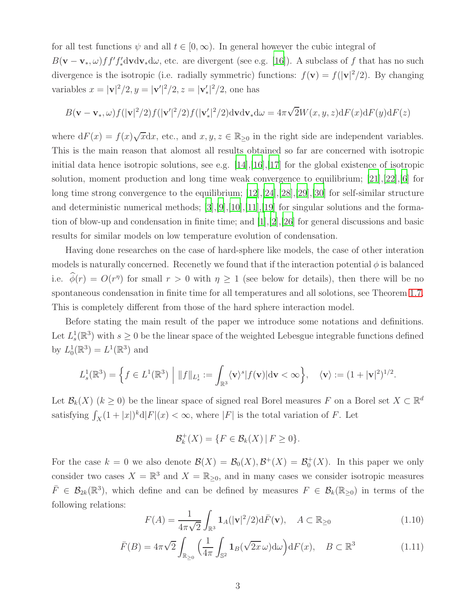for all test functions  $\psi$  and all  $t \in [0, \infty)$ . In general however the cubic integral of  $B(\mathbf{v}-\mathbf{v}_*,\omega) ff' f'_* d\mathbf{v} d\mathbf{v}_* d\omega$ , etc. are divergent (see e.g. [\[16](#page-38-4)]). A subclass of f that has no such divergence is the isotropic (i.e. radially symmetric) functions:  $f(\mathbf{v}) = f(|\mathbf{v}|^2/2)$ . By changing variables  $x = |\mathbf{v}|^2/2, y = |\mathbf{v}'|^2/2, z = |\mathbf{v}'_*|^2/2$ , one has

$$
B(\mathbf{v}-\mathbf{v}_*,\omega)f(|\mathbf{v}|^2/2)f(|\mathbf{v}'|^2/2)f(|\mathbf{v}'_*|^2/2)\mathrm{d}\mathbf{v}\mathrm{d}\mathbf{v}_*\mathrm{d}\omega=4\pi\sqrt{2}W(x,y,z)\mathrm{d}F(x)\mathrm{d}F(y)\mathrm{d}F(z)
$$

where  $dF(x) = f(x)\sqrt{x}dx$ , etc., and  $x, y, z \in \mathbb{R}_{\geq 0}$  in the right side are independent variables. This is the main reason that alomost all results obtained so far are concerned with isotropic initial data hence isotropic solutions, see e.g. [\[14](#page-38-5)],[\[16\]](#page-38-4),[\[17](#page-38-6)] for the global existence of isotropic solution, moment production and long time weak convergence to equilibrium;  $[21],[22],[6]$  $[21],[22],[6]$  $[21],[22],[6]$  $[21],[22],[6]$  $[21],[22],[6]$  for long time strong convergence to the equilibrium; [\[12](#page-38-7)],[\[24\]](#page-39-4),[28],[29],[\[30](#page-39-5)] for self-similar structure and deterministic numerical methods; [\[3\]](#page-37-1),[\[9](#page-38-8)],[\[10\]](#page-38-9),[\[11](#page-38-10)],[\[19\]](#page-39-6) for singular solutions and the formation of blow-up and condensation in finite time; and [\[1\]](#page-37-2),[\[2\]](#page-37-3),[\[26](#page-39-7)] for general discussions and basic results for similar models on low temperature evolution of condensation.

Having done researches on the case of hard-sphere like models, the case of other interation models is naturally concerned. Recenetly we found that if the interaction potential  $\phi$  is balanced i.e.  $\phi(r) = O(r^{\eta})$  for small  $r > 0$  with  $\eta \ge 1$  (see below for details), then there will be no spontaneous condensation in finite time for all temperatures and all solotions, see Theorem [1.7.](#page-8-0) This is completely different from those of the hard sphere interaction model.

Before stating the main result of the paper we introduce some notations and definitions. Let  $L_s^1(\mathbb{R}^3)$  with  $s \geq 0$  be the linear space of the weighted Lebesgue integrable functions defined by  $L_0^1(\mathbb{R}^3) = L^1(\mathbb{R}^3)$  and

$$
L_s^1(\mathbb{R}^3) = \left\{ f \in L^1(\mathbb{R}^3) \middle| \|f\|_{L_s^1} := \int_{\mathbb{R}^3} \langle \mathbf{v} \rangle^s |f(\mathbf{v})| \mathrm{d} \mathbf{v} < \infty \right\}, \quad \langle \mathbf{v} \rangle := (1 + |\mathbf{v}|^2)^{1/2}.
$$

Let  $\mathcal{B}_k(X)$   $(k \geq 0)$  be the linear space of signed real Borel measures F on a Borel set  $X \subset \mathbb{R}^d$ satisfying  $\int_X (1+|x|)^k d|F|(x) < \infty$ , where  $|F|$  is the total variation of F. Let

$$
\mathcal{B}_k^+(X) = \{ F \in \mathcal{B}_k(X) \mid F \geq 0 \}.
$$

For the case  $k = 0$  we also denote  $\mathcal{B}(X) = \mathcal{B}_0(X), \mathcal{B}^+(X) = \mathcal{B}_0^+(X)$ . In this paper we only consider two cases  $X = \mathbb{R}^3$  and  $X = \mathbb{R}_{\geq 0}$ , and in many cases we consider isotropic measures  $\bar{F} \in \mathcal{B}_{2k}(\mathbb{R}^3)$ , which define and can be defined by measures  $F \in \mathcal{B}_k(\mathbb{R}_{\geq 0})$  in terms of the following relations:

$$
F(A) = \frac{1}{4\pi\sqrt{2}} \int_{\mathbb{R}^3} \mathbf{1}_A(|\mathbf{v}|^2/2) d\bar{F}(\mathbf{v}), \quad A \subset \mathbb{R}_{\ge 0}
$$
 (1.10)

<span id="page-2-0"></span>
$$
\bar{F}(B) = 4\pi\sqrt{2} \int_{\mathbb{R}_{\geq 0}} \left( \frac{1}{4\pi} \int_{\mathbb{S}^2} \mathbf{1}_B(\sqrt{2x}\,\omega) d\omega \right) dF(x), \quad B \subset \mathbb{R}^3 \tag{1.11}
$$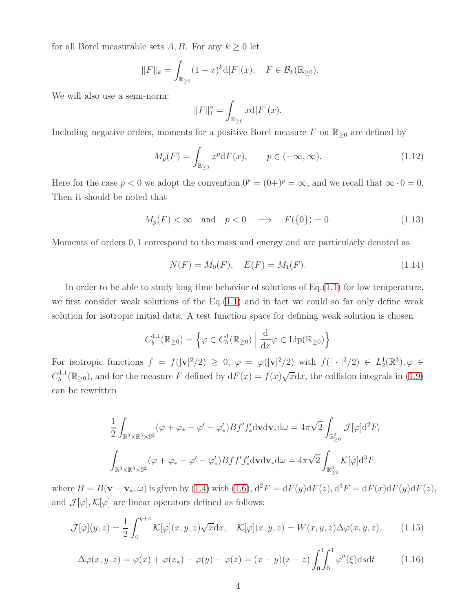for all Borel measurable sets A, B. For any  $k \geq 0$  let

$$
||F||_k = \int_{\mathbb{R}_{\geq 0}} (1+x)^k d|F|(x), \quad F \in \mathcal{B}_k(\mathbb{R}_{\geq 0}).
$$

We will also use a semi-norm:

$$
||F||_1^\circ = \int_{\mathbb{R}_{\geq 0}} x \mathrm{d} |F|(x).
$$

Including negative orders, moments for a positive Borel measure F on  $\mathbb{R}_{\geq 0}$  are defined by

$$
M_p(F) = \int_{\mathbb{R}_{\geq 0}} x^p \mathrm{d}F(x), \qquad p \in (-\infty, \infty). \tag{1.12}
$$

Here for the case  $p < 0$  we adopt the convention  $0^p = (0+)^p = \infty$ , and we recall that  $\infty \cdot 0 = 0$ . Then it should be noted that

<span id="page-3-1"></span>
$$
M_p(F) < \infty \quad \text{and} \quad p < 0 \quad \Longrightarrow \quad F(\{0\}) = 0. \tag{1.13}
$$

Moments of orders 0, 1 correspond to the mass and energy and are particularly denoted as

$$
N(F) = M_0(F), \quad E(F) = M_1(F). \tag{1.14}
$$

In order to be able to study long time behavior of solutions of Eq.[\(1.1\)](#page-0-0) for low temperature, we first consider weak solutions of the  $Eq.(1.1)$  $Eq.(1.1)$  and in fact we could so far only define weak solution for isotropic initial data. A test function space for defining weak solution is chosen

$$
C_b^{1,1}(\mathbb{R}_{\geq 0}) = \left\{ \varphi \in C_b^1(\mathbb{R}_{\geq 0}) \; \middle| \; \frac{\mathrm{d}}{\mathrm{d}x} \varphi \in \mathrm{Lip}(\mathbb{R}_{\geq 0}) \right\}
$$

For isotropic functions  $f = f(|\mathbf{v}|^2/2) \ge 0$ ,  $\varphi = \varphi(|\mathbf{v}|^2/2)$  with  $f(|\cdot|^2/2) \in L_2^1(\mathbb{R}^3)$ ,  $\varphi \in$  $C_b^{1,1}$  $b^{1,1}(\mathbb{R}_{\geq 0})$ , and for the measure F defined by  $dF(x) = f(x)\sqrt{x}dx$ , the collision integrals in [\(1.9\)](#page-1-1) can be rewritten

$$
\frac{1}{2} \int_{\mathbb{R}^3 \times \mathbb{R}^3 \times \mathbb{S}^2} (\varphi + \varphi_* - \varphi' - \varphi'_*) B f' f'_* d\mathbf{v} d\mathbf{v}_* d\omega = 4\pi \sqrt{2} \int_{\mathbb{R}^2_{\geq 0}} \mathcal{J}[\varphi] d^2 F,
$$
  

$$
\int_{\mathbb{R}^3 \times \mathbb{R}^3 \times \mathbb{S}^2} (\varphi + \varphi_* - \varphi' - \varphi'_*) B f f' f'_* d\mathbf{v} d\mathbf{v}_* d\omega = 4\pi \sqrt{2} \int_{\mathbb{R}^3_{\geq 0}} \mathcal{K}[\varphi] d^3 F
$$

where  $B = B(\mathbf{v} - \mathbf{v}_*, \omega)$  is given by [\(1.4\)](#page-1-0) with [\(1.6\)](#page-1-2),  $d^2F = dF(y)dF(z)$ ,  $d^3F = dF(x)dF(y)dF(z)$ , and  $\mathcal{J}[\varphi], \mathcal{K}[\varphi]$  are linear operators defined as follows:

$$
\mathcal{J}[\varphi](y,z) = \frac{1}{2} \int_0^{y+z} \mathcal{K}[\varphi](x,y,z) \sqrt{x} \mathrm{d}x, \quad \mathcal{K}[\varphi](x,y,z) = W(x,y,z) \Delta \varphi(x,y,z), \tag{1.15}
$$

<span id="page-3-0"></span>
$$
\Delta \varphi(x, y, z) = \varphi(x) + \varphi(x_*) - \varphi(y) - \varphi(z) = (x - y)(x - z) \int_0^1 \int_0^1 \varphi''(\xi) \mathrm{d}s \mathrm{d}t \tag{1.16}
$$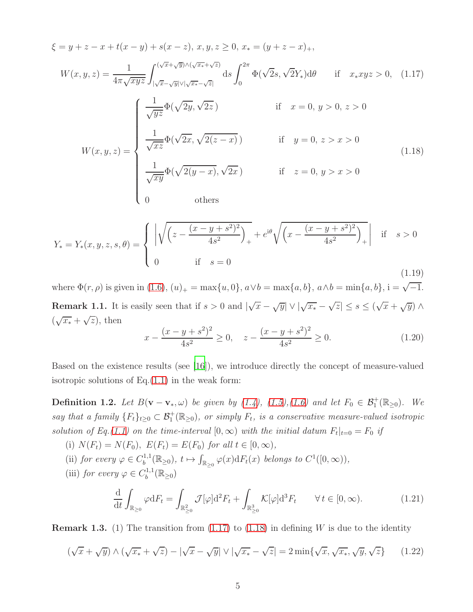<span id="page-4-0"></span>
$$
\xi = y + z - x + t(x - y) + s(x - z), x, y, z \ge 0, x_* = (y + z - x)_+,
$$
\n
$$
W(x, y, z) = \frac{1}{4\pi\sqrt{xyz}} \int_{|\sqrt{x} - \sqrt{y}| \vee |\sqrt{x} - \sqrt{z}|}^{(\sqrt{x} + \sqrt{y}) \wedge (\sqrt{x} + \sqrt{z})} ds \int_0^{2\pi} \Phi(\sqrt{2}s, \sqrt{2}Y_*) d\theta \quad \text{if} \quad x_* xyz > 0, \quad (1.17)
$$
\n
$$
\int \frac{1}{\sqrt{yz}} \Phi(\sqrt{2y}, \sqrt{2z}) \quad \text{if} \quad x = 0, y > 0, z > 0
$$
\n
$$
W(x, y, z) = \begin{cases} \frac{1}{\sqrt{xz}} \Phi(\sqrt{2x}, \sqrt{2(z - x)}) & \text{if} \quad y = 0, z > x > 0 \\ \frac{1}{\sqrt{xy}} \Phi(\sqrt{2(y - x)}, \sqrt{2x}) & \text{if} \quad z = 0, y > x > 0 \\ 0 & \text{otherwise} \end{cases} \tag{1.18}
$$

<span id="page-4-4"></span><span id="page-4-1"></span>
$$
Y_{*} = Y_{*}(x, y, z, s, \theta) = \begin{cases} \left| \sqrt{\left(z - \frac{(x - y + s^{2})^{2}}{4s^{2}}\right)_{+}} + e^{i\theta} \sqrt{\left(x - \frac{(x - y + s^{2})^{2}}{4s^{2}}\right)_{+}} \right| & \text{if } s > 0\\ 0 & \text{if } s = 0 \end{cases}
$$
(1.19)

where  $\Phi(r, \rho)$  is given in [\(1.6\)](#page-1-2),  $(u)_{+} = \max\{u, 0\}$ ,  $a \vee b = \max\{a, b\}$ ,  $a \wedge b = \min\{a, b\}$ ,  $i = \sqrt{-1}$ . **Remark 1.1.** It is easily seen that if  $s > 0$  and  $|\sqrt{x} - \sqrt{y}| \vee |\sqrt{x_*} - \sqrt{z}| \leq s \leq (\sqrt{x} + \sqrt{y}) \wedge$  $(\sqrt{x_*} + \sqrt{z}), \text{ then}$ 2 2 2 2

<span id="page-4-6"></span>
$$
x - \frac{(x - y + s^2)^2}{4s^2} \ge 0, \quad z - \frac{(x - y + s^2)^2}{4s^2} \ge 0.
$$
 (1.20)

Based on the existence results (see [\[16](#page-38-4)]), we introduce directly the concept of measure-valued isotropic solutions of  $Eq.(1.1)$  $Eq.(1.1)$  in the weak form:

**Definition 1.2.** Let  $B(\mathbf{v}-\mathbf{v}_*,\omega)$  be given by [\(1.4\)](#page-1-0), [\(1.5\)](#page-1-3),[\(1.6\)](#page-1-2) and let  $F_0 \in \mathcal{B}_1^+(\mathbb{R}_{\geq 0})$ . We say that a family  ${F_t}_{t\geq 0} \subset \mathcal{B}_1^+(\mathbb{R}_{\geq 0})$ , or simply  $F_t$ , is a conservative measure-valued isotropic solution of Eq.[\(1.1\)](#page-0-0) on the time-interval  $[0, \infty)$  with the initial datum  $F_t|_{t=0} = F_0$  if

- (i)  $N(F_t) = N(F_0)$ ,  $E(F_t) = E(F_0)$  for all  $t \in [0, \infty)$ ,
- (ii) for every  $\varphi \in C_b^{1,1}$  $b^{1,1}(\mathbb{R}_{\geq 0}), t \mapsto \int$  $\int_{\mathbb{R}_{\geq 0}} \varphi(x) dF_t(x)$  belongs to  $C^1([0,\infty)),$
- (iii) for every  $\varphi \in C_b^{1,1}$  $b^{1,1}(\mathbb{R}_{\geq 0})$

<span id="page-4-2"></span>
$$
\frac{\mathrm{d}}{\mathrm{d}t} \int_{\mathbb{R}_{\geq 0}} \varphi \mathrm{d}F_t = \int_{\mathbb{R}_{\geq 0}^2} \mathcal{J}[\varphi] \mathrm{d}^2 F_t + \int_{\mathbb{R}_{\geq 0}^3} \mathcal{K}[\varphi] \mathrm{d}^3 F_t \qquad \forall \, t \in [0, \infty). \tag{1.21}
$$

<span id="page-4-3"></span>**Remark 1.3.** (1) The transition from  $(1.17)$  to  $(1.18)$  in defining W is due to the identity

<span id="page-4-5"></span>
$$
\left(\sqrt{x} + \sqrt{y}\right) \wedge \left(\sqrt{x_*} + \sqrt{z}\right) - \left|\sqrt{x} - \sqrt{y}\right| \vee \left|\sqrt{x_*} - \sqrt{z}\right| = 2\min\{\sqrt{x}, \sqrt{x_*}, \sqrt{y}, \sqrt{z}\}\
$$
\n(1.22)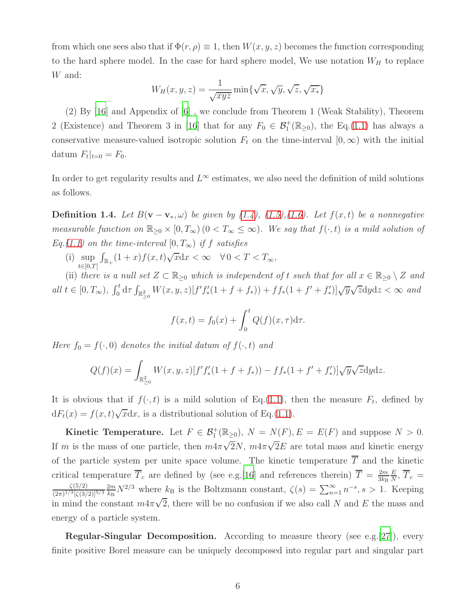from which one sees also that if  $\Phi(r,\rho) \equiv 1$ , then  $W(x,y,z)$  becomes the function corresponding to the hard sphere model. In the case for hard sphere model, We use notation  $W_H$  to replace W and:

$$
W_H(x, y, z) = \frac{1}{\sqrt{xyz}} \min\{\sqrt{x}, \sqrt{y}, \sqrt{z}, \sqrt{x_*}\}\
$$

(2) By [\[16](#page-38-4)] and Appendix of [\[6\]](#page-38-0) , we conclude from Theorem 1 (Weak Stability), Theorem 2 (Existence) and Theorem 3 in [\[16](#page-38-4)] that for any  $F_0 \in \mathcal{B}_1^+(\mathbb{R}_{\geq 0})$ , the Eq.[\(1.1\)](#page-0-0) has always a conservative measure-valued isotropic solution  $F_t$  on the time-interval  $[0, \infty)$  with the initial datum  $F_t|_{t=0} = F_0$ .

<span id="page-5-0"></span>In order to get regularity results and  $L^{\infty}$  estimates, we also need the definition of mild solutions as follows.

**Definition 1.4.** Let  $B(\mathbf{v}-\mathbf{v}_*,\omega)$  be given by [\(1.4\)](#page-1-0), [\(1.5\)](#page-1-3),[\(1.6\)](#page-1-2). Let  $f(x,t)$  be a nonnegative measurable function on  $\mathbb{R}_{\geq 0} \times [0, T_{\infty})$  ( $0 < T_{\infty} \leq \infty$ ). We say that  $f(\cdot, t)$  is a mild solution of Eq.[\(1.1\)](#page-0-0) on the time-interval  $[0, T_{\infty})$  if f satisfies

(i) sup  $t \in [0,T]$  $\int_{\mathbb{R}_+} (1+x) f(x,t) \sqrt{x} \, dx < \infty \quad \forall \, 0 < T < T_{\infty},$ 

(ii) there is a null set  $Z \subset \mathbb{R}_{\geq 0}$  which is independent of t such that for all  $x \in \mathbb{R}_{\geq 0} \setminus Z$  and all  $t \in [0, T_{\infty})$ ,  $\int_0^t d\tau \int_{\mathbb{R}^2_{\geq 0}} W(x, y, z) [f' f'_{*}(1 + f + f_{*})) + ff_{*}(1 + f' + f'_{*})] \sqrt{y} \sqrt{z} dy dz < \infty$  and

$$
f(x,t) = f_0(x) + \int_0^t Q(f)(x,\tau) d\tau.
$$

Here  $f_0 = f(\cdot, 0)$  denotes the initial datum of  $f(\cdot, t)$  and

$$
Q(f)(x) = \int_{\mathbb{R}^2_{\geq 0}} W(x, y, z) [f' f'_*(1 + f + f_*) - f f_*(1 + f' + f'_*)] \sqrt{y} \sqrt{z} \, dy \, dz.
$$

It is obvious that if  $f(\cdot, t)$  is a mild solution of Eq.[\(1.1\)](#page-0-0), then the measure  $F_t$ , defined by  $dF_t(x) = f(x, t)\sqrt{x}dx$ , is a distributional solution of Eq.[\(1.1\)](#page-0-0).

**Kinetic Temperature.** Let  $F \in \mathcal{B}_1^+(\mathbb{R}_{\geq 0}), N = N(F), E = E(F)$  and suppose  $N > 0$ . If m is the mass of one particle, then  $m4\pi\sqrt{2}N$ ,  $m4\pi\sqrt{2}E$  are total mass and kinetic energy of the particle system per unite space volume. The kinetic temperature  $\overline{T}$  and the kinetic critical temperature  $\overline{T}_c$  are defined by (see e.g. [\[16\]](#page-38-4) and references therein)  $\overline{T} = \frac{2m}{3k_B}$  $3k_{\rm B}$ E  $\frac{E}{N}$ ,  $T_c =$  $\zeta(5/2)$  $(2\pi)^{1/3}[\zeta(3/2)]^{5/3}$  $2m$  $\frac{2m}{k_B} N^{2/3}$  where  $k_B$  is the Boltzmann constant,  $\zeta(s) = \sum_{n=1}^{\infty} n^{-s}, s > 1$ . Keeping in mind the constant  $m4\pi\sqrt{2}$ , there will be no confusion if we also call N and E the mass and energy of a particle system.

**Regular-Singular Decomposition.** According to measure theory (see e.g. [\[27](#page-39-8)]), every finite positive Borel measure can be uniquely decomposed into regular part and singular part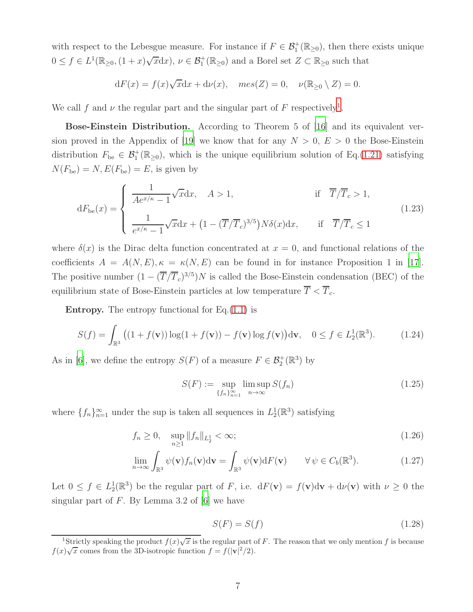with respect to the Lebesgue measure. For instance if  $F \in \mathcal{B}_1^+(\mathbb{R}_{\geq 0})$ , then there exists unique  $0 \le f \in L^1(\mathbb{R}_{\geq 0}, (1+x)\sqrt{x}dx), \nu \in \mathcal{B}_1^+(\mathbb{R}_{\geq 0})$  and a Borel set  $Z \subset \mathbb{R}_{\geq 0}$  such that

$$
dF(x) = f(x)\sqrt{x}dx + d\nu(x), \quad mes(Z) = 0, \quad \nu(\mathbb{R}_{\geq 0} \setminus Z) = 0.
$$

We call f and  $\nu$  the regular part and the singular part of F respectively<sup>[1](#page-6-0)</sup>.

Bose-Einstein Distribution. According to Theorem 5 of [\[16](#page-38-4)] and its equivalent ver-sion proved in the Appendix of [\[19](#page-39-6)] we know that for any  $N > 0$ ,  $E > 0$  the Bose-Einstein distribution  $F_{\text{be}} \in \mathcal{B}_1^+(\mathbb{R}_{\geq 0})$ , which is the unique equilibrium solution of Eq.[\(1.21\)](#page-4-2) satisfying  $N(F_{be}) = N, E(F_{be}) = E$ , is given by

$$
dF_{\text{be}}(x) = \begin{cases} \frac{1}{A e^{x/\kappa} - 1} \sqrt{x} dx, & A > 1, \\ \frac{1}{e^{x/\kappa} - 1} \sqrt{x} dx + \left(1 - (\overline{T}/\overline{T}_c)^{3/5}\right) N \delta(x) dx, & \text{if } \overline{T}/\overline{T}_c \le 1 \end{cases}
$$
(1.23)

where  $\delta(x)$  is the Dirac delta function concentrated at  $x = 0$ , and functional relations of the coefficients  $A = A(N, E), \kappa = \kappa(N, E)$  can be found in for instance Proposition 1 in [\[17](#page-38-6)]. The positive number  $(1 - (\overline{T}/\overline{T}_c)^{3/5})N$  is called the Bose-Einstein condensation (BEC) of the equilibrium state of Bose-Einstein particles at low temperature  $\overline{T} < \overline{T}_c$ .

**Entropy.** The entropy functional for  $Eq.(1.1)$  $Eq.(1.1)$  is

<span id="page-6-1"></span>
$$
S(f) = \int_{\mathbb{R}^3} \left( (1 + f(\mathbf{v})) \log(1 + f(\mathbf{v})) - f(\mathbf{v}) \log f(\mathbf{v}) \right) d\mathbf{v}, \quad 0 \le f \in L_2^1(\mathbb{R}^3). \tag{1.24}
$$

As in [\[6](#page-38-0)], we define the entropy  $S(F)$  of a measure  $F \in \mathcal{B}_2^+(\mathbb{R}^3)$  by

<span id="page-6-2"></span>
$$
S(F) := \sup_{\{f_n\}_{n=1}^{\infty}} \limsup_{n \to \infty} S(f_n)
$$
\n(1.25)

where  $\{f_n\}_{n=1}^{\infty}$  under the sup is taken all sequences in  $L_2^1(\mathbb{R}^3)$  satisfying

$$
f_n \ge 0, \quad \sup_{n \ge 1} \|f_n\|_{L_2^1} < \infty; \tag{1.26}
$$

$$
\lim_{n \to \infty} \int_{\mathbb{R}^3} \psi(\mathbf{v}) f_n(\mathbf{v}) d\mathbf{v} = \int_{\mathbb{R}^3} \psi(\mathbf{v}) dF(\mathbf{v}) \qquad \forall \psi \in C_b(\mathbb{R}^3).
$$
 (1.27)

Let  $0 \le f \in L_2^1(\mathbb{R}^3)$  be the regular part of F, i.e.  $dF(\mathbf{v}) = f(\mathbf{v})d\mathbf{v} + d\nu(\mathbf{v})$  with  $\nu \ge 0$  the singular part of  $F$ . By Lemma 3.2 of [\[6](#page-38-0)] we have

<span id="page-6-3"></span>
$$
S(F) = S(f) \tag{1.28}
$$

<span id="page-6-0"></span><sup>&</sup>lt;sup>1</sup>Strictly speaking the product  $f(x)\sqrt{x}$  is the regular part of F. The reason that we only mention f is because  $f(x)\sqrt{x}$  comes from the 3D-isotropic function  $f = f(|v|^2/2)$ .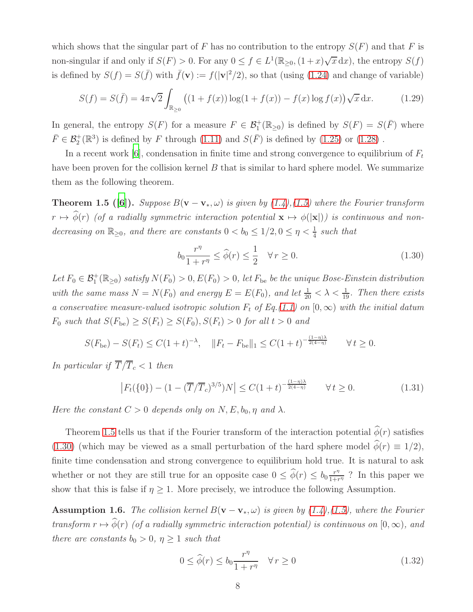which shows that the singular part of F has no contribution to the entropy  $S(F)$  and that F is non-singular if and only if  $S(F) > 0$ . For any  $0 \le f \in L^1(\mathbb{R}_{\ge 0}, (1+x)\sqrt{x} dx)$ , the entropy  $S(f)$ is defined by  $S(f) = S(\bar{f})$  with  $\bar{f}(\mathbf{v}) := f(|\mathbf{v}|^2/2)$ , so that (using [\(1.24\)](#page-6-1) and change of variable)

$$
S(f) = S(\bar{f}) = 4\pi\sqrt{2} \int_{\mathbb{R}_{\geq 0}} \left( (1 + f(x)) \log(1 + f(x)) - f(x) \log f(x) \right) \sqrt{x} \, dx. \tag{1.29}
$$

In general, the entropy  $S(F)$  for a measure  $F \in \mathcal{B}_1^+(\mathbb{R}_{\geq 0})$  is defined by  $S(F) = S(\overline{F})$  where  $\bar{F} \in \mathcal{B}_2^+(\mathbb{R}^3)$  is defined by F through [\(1.11\)](#page-2-0) and  $S(\bar{F})$  is defined by [\(1.25\)](#page-6-2) or [\(1.28\)](#page-6-3).

In a recent work [\[6](#page-38-0)], condensation in finite time and strong convergence to equilibrium of  $F_t$ have been proven for the collision kernel  $B$  that is similar to hard sphere model. We summarize them as the following theorem.

<span id="page-7-0"></span>**Theorem 1.5 ([\[6](#page-38-0)]).** Suppose  $B(\mathbf{v} - \mathbf{v}_*, \omega)$  is given by [\(1.4\)](#page-1-0),[\(1.5\)](#page-1-3) where the Fourier transform  $r \mapsto \widehat{\phi}(r)$  (of a radially symmetric interaction potential  $\mathbf{x} \mapsto \phi(|\mathbf{x}|)$ ) is continuous and nondecreasing on  $\mathbb{R}_{\geq 0}$ , and there are constants  $0 < b_0 \leq 1/2, 0 \leq \eta < \frac{1}{4}$  such that

<span id="page-7-1"></span>
$$
b_0 \frac{r^{\eta}}{1+r^{\eta}} \le \widehat{\phi}(r) \le \frac{1}{2} \quad \forall \, r \ge 0. \tag{1.30}
$$

Let  $F_0 \in \mathcal{B}_1^+(\mathbb{R}_{\geq 0})$  satisfy  $N(F_0) > 0$ ,  $E(F_0) > 0$ , let  $F_{be}$  be the unique Bose-Einstein distribution with the same mass  $N = N(F_0)$  and energy  $E = E(F_0)$ , and let  $\frac{1}{20} < \lambda < \frac{1}{19}$ . Then there exists a conservative measure-valued isotropic solution  $F_t$  of Eq.[\(1.1\)](#page-0-0) on  $[0, \infty)$  with the initial datum  $F_0$  such that  $S(F_{be}) \geq S(F_t) \geq S(F_0), S(F_t) > 0$  for all  $t > 0$  and

$$
S(F_{\text{be}}) - S(F_t) \le C(1+t)^{-\lambda}, \quad \|F_t - F_{\text{be}}\|_1 \le C(1+t)^{-\frac{(1-\eta)\lambda}{2(4-\eta)}} \qquad \forall \, t \ge 0.
$$

In particular if  $\overline{T}/\overline{T}_c < 1$  then

$$
\left| F_t(\{0\}) - (1 - (\overline{T}/\overline{T}_c)^{3/5})N \right| \le C(1+t)^{-\frac{(1-\eta)\lambda}{2(4-\eta)}} \qquad \forall \, t \ge 0. \tag{1.31}
$$

Here the constant  $C > 0$  depends only on N, E,  $b_0$ ,  $\eta$  and  $\lambda$ .

Theorem [1.5](#page-7-0) tells us that if the Fourier transform of the interaction potential  $\hat{\phi}(r)$  satisfies [\(1.30\)](#page-7-1) (which may be viewed as a small perturbation of the hard sphere model  $\phi(r) \equiv 1/2$ ), finite time condensation and strong convergence to equilibrium hold true. It is natural to ask whether or not they are still true for an opposite case  $0 \leq \hat{\phi}(r) \leq b_0 \frac{r^{\eta}}{1+r}$  $\frac{r^n}{1+r^n}$ ? In this paper we show that this is false if  $\eta \geq 1$ . More precisely, we introduce the following Assumption.

<span id="page-7-2"></span>**Assumption 1.6.** The collision kernel  $B(\mathbf{v} - \mathbf{v}_*, \omega)$  is given by [\(1.4\)](#page-1-0),[\(1.5\)](#page-1-3), where the Fourier transform  $r \mapsto \widehat{\phi}(r)$  (of a radially symmetric interaction potential) is continuous on  $[0, \infty)$ , and there are constants  $b_0 > 0$ ,  $\eta \geq 1$  such that

<span id="page-7-3"></span>
$$
0 \le \widehat{\phi}(r) \le b_0 \frac{r^{\eta}}{1+r^{\eta}} \quad \forall r \ge 0
$$
\n(1.32)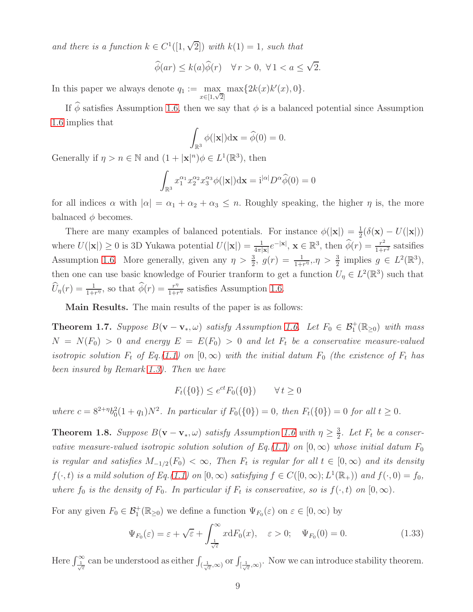and there is a function  $k \in C^1([1,\sqrt{2}])$  with  $k(1) = 1$ , such that

$$
\widehat{\phi}(ar) \le k(a)\widehat{\phi}(r) \quad \forall r > 0, \ \forall 1 < a \le \sqrt{2}.
$$

In this paper we always denote  $q_1 := \max$  $\max_{x \in [1,\sqrt{2}]} \max\{2k(x)k'(x),0\}.$ 

If  $\widehat{\phi}$  satisfies Assumption [1.6,](#page-7-2) then we say that  $\phi$  is a balanced potential since Assumption [1.6](#page-7-2) implies that

$$
\int_{\mathbb{R}^3} \phi(|\mathbf{x}|) \mathrm{d}\mathbf{x} = \widehat{\phi}(0) = 0.
$$

Generally if  $\eta > n \in \mathbb{N}$  and  $(1 + |\mathbf{x}|^n) \phi \in L^1(\mathbb{R}^3)$ , then

$$
\int_{\mathbb{R}^3} x_1^{\alpha_1} x_2^{\alpha_2} x_3^{\alpha_3} \phi(|\mathbf{x}|) \mathrm{d}\mathbf{x} = \mathrm{i}^{|\alpha|} D^{\alpha} \widehat{\phi}(0) = 0
$$

for all indices  $\alpha$  with  $|\alpha| = \alpha_1 + \alpha_2 + \alpha_3 \leq n$ . Roughly speaking, the higher  $\eta$  is, the more balnaced  $\phi$  becomes.

There are many examples of balanced potentials. For instance  $\phi(|\mathbf{x}|) = \frac{1}{2}(\delta(\mathbf{x}) - U(|\mathbf{x}|))$ where  $U(|\mathbf{x}|) \ge 0$  is 3D Yukawa potential  $U(|\mathbf{x}|) = \frac{1}{4\pi |\mathbf{x}|} e^{-|\mathbf{x}|}, \mathbf{x} \in \mathbb{R}^3$ , then  $\widehat{\phi}(r) = \frac{r^2}{1+r^2}$  $\frac{r^2}{1+r^2}$  satsifies Assumption [1.6.](#page-7-2) More generally, given any  $\eta > \frac{3}{2}$ ,  $g(r) = \frac{1}{1+r^{\eta}}$ ,  $\eta > \frac{3}{2}$  implies  $g \in L^2(\mathbb{R}^3)$ , then one can use basic knowledge of Fourier tranform to get a function  $U_{\eta} \in L^2(\mathbb{R}^3)$  such that  $\widehat{U}_{\eta}(r) = \frac{1}{1+r^{\eta}},$  so that  $\widehat{\phi}(r) = \frac{r^{\eta}}{1+r^{\eta}}$  $\frac{r^{\eta}}{1+r^{\eta}}$  satisfies Assumption [1.6.](#page-7-2)

<span id="page-8-0"></span>Main Results. The main results of the paper is as follows:

**Theorem 1.7.** Suppose  $B(\mathbf{v}-\mathbf{v}_*,\omega)$  satisfy Assumption [1.6.](#page-7-2) Let  $F_0 \in \mathcal{B}_1^+(\mathbb{R}_{\geq 0})$  with mass  $N = N(F_0) > 0$  and energy  $E = E(F_0) > 0$  and let  $F_t$  be a conservative measure-valued isotropic solution  $F_t$  of Eq.[\(1.1\)](#page-0-0) on  $[0, \infty)$  with the initial datum  $F_0$  (the existence of  $F_t$  has been insured by Remark [1.3\)](#page-4-3). Then we have

$$
F_t({0}) \le e^{ct} F_0({0}) \qquad \forall t \ge 0
$$

<span id="page-8-3"></span>where  $c = 8^{2+\eta}b_0^2(1+q_1)N^2$ . In particular if  $F_0({0}) = 0$ , then  $F_t({0}) = 0$  for all  $t \ge 0$ .

**Theorem 1.8.** Suppose  $B(\mathbf{v}-\mathbf{v}_*,\omega)$  satisfy Assumption [1.6](#page-7-2) with  $\eta \geq \frac{3}{2}$  $\frac{3}{2}$ . Let  $F_t$  be a conser-vative measure-valued isotropic solution solution of Eq.[\(1.1\)](#page-0-0) on  $[0, \infty)$  whose initial datum  $F_0$ is regular and satisfies  $M_{-1/2}(F_0) < \infty$ , Then  $F_t$  is regular for all  $t \in [0,\infty)$  and its density  $f(\cdot,t)$  is a mild solution of Eq.[\(1.1\)](#page-0-0) on  $[0,\infty)$  satisfying  $f \in C([0,\infty); L^1(\mathbb{R}_+))$  and  $f(\cdot,0) = f_0$ , where  $f_0$  is the density of  $F_0$ . In particular if  $F_t$  is conservative, so is  $f(\cdot, t)$  on  $[0, \infty)$ .

For any given  $F_0 \in \mathcal{B}_1^+(\mathbb{R}_{\geq 0})$  we define a function  $\Psi_{F_0}(\varepsilon)$  on  $\varepsilon \in [0, \infty)$  by

<span id="page-8-2"></span><span id="page-8-1"></span>
$$
\Psi_{F_0}(\varepsilon) = \varepsilon + \sqrt{\varepsilon} + \int_{\frac{1}{\sqrt{\varepsilon}}}^{\infty} x dF_0(x), \quad \varepsilon > 0; \quad \Psi_{F_0}(0) = 0.
$$
\n(1.33)

Here  $\int_{\frac{1}{\sqrt{\varepsilon}}}^{\infty}$  can be understood as either  $\int_{(\frac{1}{\sqrt{\varepsilon}},\infty)}$  or  $\int_{[\frac{1}{\sqrt{\varepsilon}},\infty)}$ . Now we can introduce stability theorem.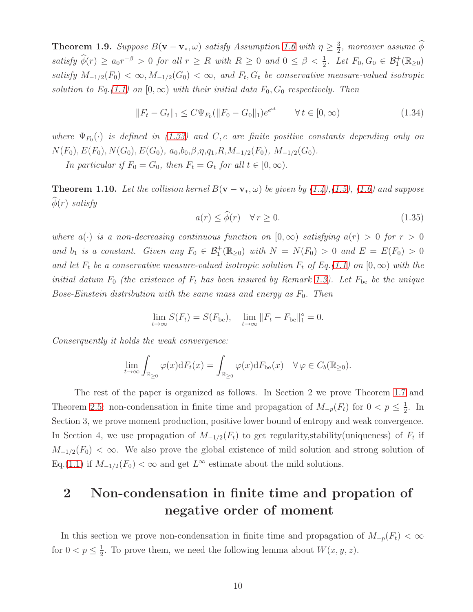**Theorem 1.9.** Suppose  $B(\mathbf{v}-\mathbf{v}_*,\omega)$  satisfy Assumption [1.6](#page-7-2) with  $\eta \geq \frac{3}{2}$  $\frac{3}{2}$ , moreover assume  $\phi$ satisfy  $\widehat{\phi}(r) \ge a_0 r^{-\beta} > 0$  for all  $r \ge R$  with  $R \ge 0$  and  $0 \le \beta < \frac{1}{2}$ . Let  $F_0, G_0 \in \mathcal{B}_1^+(\mathbb{R}_{\ge 0})$ satisfy  $M_{-1/2}(F_0) < \infty, M_{-1/2}(G_0) < \infty$ , and  $F_t, G_t$  be conservative measure-valued isotropic solution to Eq.[\(1.1\)](#page-0-0) on  $[0, \infty)$  with their initial data  $F_0, G_0$  respectively. Then

<span id="page-9-2"></span>
$$
||F_t - G_t||_1 \le C\Psi_{F_0}(||F_0 - G_0||_1)e^{e^{ct}} \qquad \forall \, t \in [0, \infty)
$$
\n(1.34)

where  $\Psi_{F_0}(\cdot)$  is defined in [\(1.33\)](#page-8-1) and C, c are finite positive constants depending only on  $N(F_0), E(F_0), N(G_0), E(G_0), a_0, b_0, \beta, \eta, q_1, R, M_{-1/2}(F_0), M_{-1/2}(G_0).$ 

<span id="page-9-1"></span>In particular if  $F_0 = G_0$ , then  $F_t = G_t$  for all  $t \in [0, \infty)$ .

**Theorem 1.10.** Let the collision kernel  $B(\mathbf{v} - \mathbf{v}_*, \omega)$  be given by [\(1.4\)](#page-1-0),[\(1.5\)](#page-1-3), [\(1.6\)](#page-1-2) and suppose  $\widehat{\phi}(r)$  satisfy

$$
a(r) \le \hat{\phi}(r) \quad \forall r \ge 0. \tag{1.35}
$$

where  $a(\cdot)$  is a non-decreasing continuous function on  $[0,\infty)$  satisfying  $a(r) > 0$  for  $r > 0$ and  $b_1$  is a constant. Given any  $F_0 \in \mathcal{B}_1^+(\mathbb{R}_{\geq 0})$  with  $N = N(F_0) > 0$  and  $E = E(F_0) > 0$ and let  $F_t$  be a conservative measure-valued isotropic solution  $F_t$  of Eq.[\(1.1\)](#page-0-0) on  $[0, \infty)$  with the initial datum  $F_0$  (the existence of  $F_t$  has been insured by Remark [1.3\)](#page-4-3). Let  $F_{be}$  be the unique Bose-Einstein distribution with the same mass and energy as  $F_0$ . Then

$$
\lim_{t \to \infty} S(F_t) = S(F_{\text{be}}), \quad \lim_{t \to \infty} ||F_t - F_{\text{be}}||_1^{\circ} = 0.
$$

Conserquently it holds the weak convergence:

<span id="page-9-0"></span>
$$
\lim_{t \to \infty} \int_{\mathbb{R}_{\geq 0}} \varphi(x) dF_t(x) = \int_{\mathbb{R}_{\geq 0}} \varphi(x) dF_{\text{be}}(x) \quad \forall \varphi \in C_b(\mathbb{R}_{\geq 0}).
$$

The rest of the paper is organized as follows. In Section 2 we prove Theorem [1.7](#page-8-0) and Theorem [2.5:](#page-17-0) non-condensation in finite time and propagation of  $M_{-p}(F_t)$  for  $0 < p \leq \frac{1}{2}$  $\frac{1}{2}$ . In Section 3, we prove moment production, positive lower bound of entropy and weak convergence. In Section 4, we use propagation of  $M_{-1/2}(F_t)$  to get regularity, stability(uniqueness) of  $F_t$  if  $M_{-1/2}(F_0) < \infty$ . We also prove the global existence of mild solution and strong solution of Eq.[\(1.1\)](#page-0-0) if  $M_{-1/2}(F_0) < \infty$  and get  $L^{\infty}$  estimate about the mild solutions.

# 2 Non-condensation in finite time and propation of negative order of moment

In this section we prove non-condensation in finite time and propagation of  $M_{-p}(F_t) < \infty$ for  $0 < p \leq \frac{1}{2}$  $\frac{1}{2}$ . To prove them, we need the following lemma about  $W(x, y, z)$ .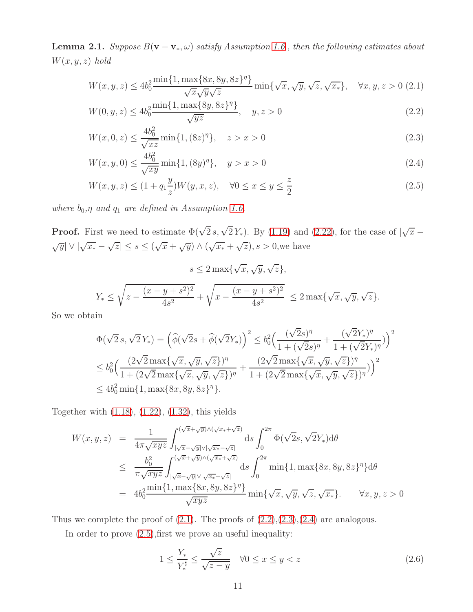**Lemma 2.1.** Suppose  $B(\mathbf{v} - \mathbf{v}_*, \omega)$  satisfy Assumption [1.6](#page-7-2), then the following estimates about  $W(x, y, z)$  hold

<span id="page-10-0"></span>
$$
W(x, y, z) \le 4b_0^2 \frac{\min\{1, \max\{8x, 8y, 8z\}^{\eta}\}}{\sqrt{x}\sqrt{y}\sqrt{z}} \min\{\sqrt{x}, \sqrt{y}, \sqrt{z}, \sqrt{x_*}\}, \quad \forall x, y, z > 0 \ (2.1)
$$

$$
W(0, y, z) \le 4b_0^2 \frac{\min\{1, \max\{8y, 8z\}^{\eta}\}}{\sqrt{yz}}, \quad y, z > 0
$$
\n(2.2)

$$
W(x, 0, z) \le \frac{4b_0^2}{\sqrt{xz}} \min\{1, (8z)^{\eta}\}, \quad z > x > 0
$$
\n(2.3)

$$
W(x, y, 0) \le \frac{4b_0^2}{\sqrt{xy}} \min\{1, (8y)^{\eta}\}, \quad y > x > 0
$$
\n(2.4)

$$
W(x, y, z) \le (1 + q_1 \frac{y}{z}) W(y, x, z), \quad \forall 0 \le x \le y \le \frac{z}{2}
$$
\n(2.5)

where  $b_0, \eta$  and  $q_1$  are defined in Assumption [1.6.](#page-7-2)

**Proof.** First we need to estimate  $\Phi(\sqrt{2} s, \sqrt{2} Y_*)$ . By [\(1.19\)](#page-4-4) and [\(2.22\)](#page-18-0), for the case of  $|\sqrt{x} - y_0|$  $\sqrt{y}|\vee|\sqrt{x_*}-\sqrt{z}|\leq s\leq (\sqrt{x}+\sqrt{y})\wedge(\sqrt{x_*}+\sqrt{z}), s>0,$ we have

$$
s \le 2 \max\{\sqrt{x}, \sqrt{y}, \sqrt{z}\},
$$
  

$$
Y_* \le \sqrt{z - \frac{(x - y + s^2)^2}{4s^2}} + \sqrt{x - \frac{(x - y + s^2)^2}{4s^2}} \le 2 \max\{\sqrt{x}, \sqrt{y}, \sqrt{z}\}.
$$

So we obtain

$$
\Phi(\sqrt{2}s, \sqrt{2}Y_*) = \left(\widehat{\phi}(\sqrt{2}s + \widehat{\phi}(\sqrt{2}Y_*)\right)^2 \le b_0^2 \left(\frac{(\sqrt{2}s)^{\eta}}{1 + (\sqrt{2}s)^{\eta}} + \frac{(\sqrt{2}Y_*)^{\eta}}{1 + (\sqrt{2}Y_*)^{\eta}})\right)^2
$$
  

$$
\le b_0^2 \left(\frac{(2\sqrt{2}\max\{\sqrt{x}, \sqrt{y}, \sqrt{z}\})^{\eta}}{1 + (2\sqrt{2}\max\{\sqrt{x}, \sqrt{y}, \sqrt{z}\})^{\eta}} + \frac{(2\sqrt{2}\max\{\sqrt{x}, \sqrt{y}, \sqrt{z}\})^{\eta}}{1 + (2\sqrt{2}\max\{\sqrt{x}, \sqrt{y}, \sqrt{z}\})^{\eta}})\right)^2
$$
  

$$
\le 4b_0^2 \min\{1, \max\{8x, 8y, 8z\}^{\eta}\}.
$$

Together with [\(1.18\)](#page-4-1), [\(1.22\)](#page-4-5), [\(1.32\)](#page-7-3), this yields

$$
W(x,y,z) = \frac{1}{4\pi\sqrt{xyz}} \int_{|\sqrt{x}-\sqrt{y}|\sqrt{|\sqrt{x^*}+\sqrt{z}|}}^{(\sqrt{x}+\sqrt{y})\wedge(\sqrt{x^*}+\sqrt{z})} ds \int_0^{2\pi} \Phi(\sqrt{2}s, \sqrt{2}Y_*) d\theta
$$
  
\n
$$
\leq \frac{b_0^2}{\pi\sqrt{xyz}} \int_{|\sqrt{x}-\sqrt{y}|\sqrt{|\sqrt{x^*}+\sqrt{z}|}}^{(\sqrt{x}+\sqrt{y})\wedge(\sqrt{x^*}+\sqrt{z})} ds \int_0^{2\pi} \min\{1, \max\{8x, 8y, 8z\}^{\eta}\} d\theta
$$
  
\n
$$
= 4b_0^2 \frac{\min\{1, \max\{8x, 8y, 8z\}^{\eta}\}}{\sqrt{xyz}} \min\{\sqrt{x}, \sqrt{y}, \sqrt{z}, \sqrt{x_*}\}. \qquad \forall x, y, z > 0
$$

Thus we complete the proof of  $(2.1)$ . The proofs of  $(2.2),(2.3),(2.4)$  $(2.2),(2.3),(2.4)$  $(2.2),(2.3),(2.4)$  $(2.2),(2.3),(2.4)$  are analogous.

In order to prove  $(2.5)$ , first we prove an useful inequality:

<span id="page-10-1"></span>
$$
1 \le \frac{Y_*}{Y_*^{\sharp}} \le \frac{\sqrt{z}}{\sqrt{z-y}} \quad \forall 0 \le x \le y < z \tag{2.6}
$$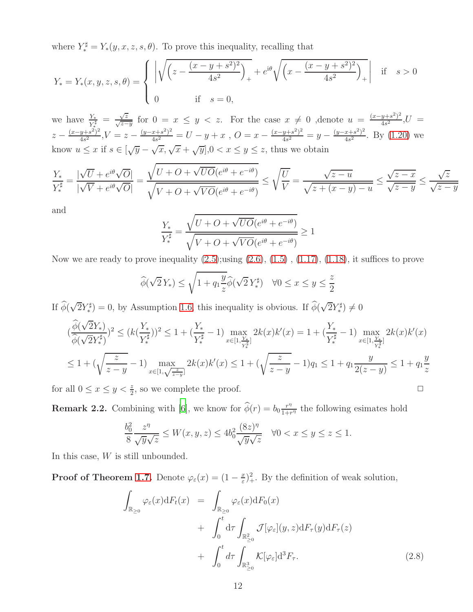where  $Y_*^{\sharp} = Y_*(y, x, z, s, \theta)$ . To prove this inequality, recalling that

$$
Y_{*} = Y_{*}(x, y, z, s, \theta) = \begin{cases} \left| \sqrt{\left(z - \frac{(x - y + s^{2})^{2}}{4s^{2}}\right)_{+}} + e^{i\theta} \sqrt{\left(x - \frac{(x - y + s^{2})^{2}}{4s^{2}}\right)_{+}} \right| & \text{if } s > 0\\ 0 & \text{if } s = 0, \end{cases}
$$

we have  $\frac{Y_*}{Y_*^{\sharp}} = \frac{\sqrt{z}}{\sqrt{z-y}}$  for  $0 = x \le y < z$ . For the case  $x \ne 0$ , denote  $u = \frac{(x-y+s^2)^2}{4s^2}$  $\frac{y+s^2}{4s^2}$ ,  $U =$  $z - \frac{(x-y+s^2)^2}{4s^2}$  $\frac{(y+s^2)^2}{4s^2}$ ,  $V=z-\frac{(y-x+s^2)^2}{4s^2}$  $\frac{(x+s^2)^2}{4s^2} = U - y + x$ ,  $O = x - \frac{(x-y+s^2)^2}{4s^2}$  $\frac{y+s^2}{4s^2} = y - \frac{(y-x+s^2)^2}{4s^2}$  $\frac{x+s^2}{4s^2}$ . By  $(1.20)$  we know  $u \leq x$  if  $s \in [\sqrt{y} - \sqrt{x}, \sqrt{x} + \sqrt{y}]$ ,  $0 < x \leq y \leq z$ , thus we obtain

$$
\frac{Y_*}{Y_*^{\sharp}} = \frac{|\sqrt{U} + e^{i\theta}\sqrt{O}|}{|\sqrt{V} + e^{i\theta}\sqrt{O}|} = \frac{\sqrt{U + O + \sqrt{UO}(e^{i\theta} + e^{-i\theta})}}{\sqrt{V + O + \sqrt{VO}(e^{i\theta} + e^{-i\theta})}} \le \sqrt{\frac{U}{V}} = \frac{\sqrt{z - u}}{\sqrt{z + (x - y) - u}} \le \frac{\sqrt{z - x}}{\sqrt{z - y}} \le \frac{\sqrt{z}}{\sqrt{z - y}}
$$

and

$$
\frac{Y_*}{Y_*^{\sharp}} = \frac{\sqrt{U + O + \sqrt{UO}(e^{i\theta} + e^{-i\theta})}}{\sqrt{V + O + \sqrt{VO}(e^{i\theta} + e^{-i\theta})}} \ge 1
$$

Now we are ready to prove inequality  $(2.5)$ ; using  $(2.6)$ ,  $(1.5)$ ,  $(1.17)$ ,  $(1.18)$ , it suffices to prove

$$
\widehat{\phi}(\sqrt{2}Y_*) \le \sqrt{1 + q_1 \frac{y}{z}} \widehat{\phi}(\sqrt{2}Y_*^{\sharp}) \quad \forall 0 \le x \le y \le \frac{z}{2}
$$

If  $\widehat{\phi}(\sqrt{2}Y_*^{\sharp}$ <sup> $\mathcal{F}_{*}^{\sharp}$ </sup>) = 0, by Assumption [1.6,](#page-7-2) this inequality is obvious. If  $\widehat{\phi}(\sqrt{2}Y_{*}^{\sharp})$  $(\overline{a}, \overline{b}) \neq 0$ 

$$
(\frac{\widehat{\phi}(\sqrt{2}Y_*)}{\widehat{\phi}(\sqrt{2}Y_*^{\sharp})})^2 \le (k(\frac{Y_*}{Y_*^{\sharp}}))^2 \le 1 + (\frac{Y_*}{Y_*^{\sharp}}-1) \max_{x \in [1,\frac{Y_*}{Y_*^{\sharp}}]} 2k(x)k'(x) = 1 + (\frac{Y_*}{Y_*^{\sharp}}-1) \max_{x \in [1,\frac{Y_*}{Y_*^{\sharp}}]} 2k(x)k'(x) \le 1 + (\sqrt{\frac{z}{z-y}}-1)q_1 \le 1 + q_1 \frac{y}{2(z-y)} \le 1 + q_1 \frac{y}{z}
$$

for all  $0 \le x \le y < \frac{z}{2}$ , so we complete the proof.

**Remark 2.2.** Combining with [\[6](#page-38-0)], we know for  $\widehat{\phi}(r) = b_0 \frac{r^n}{1+r}$  $\frac{r^{\eta}}{1+r^{\eta}}$  the following esimates hold

$$
\frac{b_0^2}{8} \frac{z^{\eta}}{\sqrt{y}\sqrt{z}} \le W(x, y, z) \le 4b_0^2 \frac{(8z)^{\eta}}{\sqrt{y}\sqrt{z}} \quad \forall 0 < x \le y \le z \le 1.
$$

In this case, W is still unbounded.

**Proof of Theorem [1.7.](#page-8-0)** Denote  $\varphi_{\varepsilon}(x) = (1 - \frac{x}{\varepsilon})$  $(\frac{x}{\varepsilon})^2_+$ . By the definition of weak solution,

<span id="page-11-0"></span>
$$
\int_{\mathbb{R}_{\geq 0}} \varphi_{\varepsilon}(x) dF_t(x) = \int_{\mathbb{R}_{\geq 0}} \varphi_{\varepsilon}(x) dF_0(x) \n+ \int_0^t d\tau \int_{\mathbb{R}_{\geq 0}^2} \mathcal{J}[\varphi_{\varepsilon}](y, z) dF_\tau(y) dF_\tau(z) \n+ \int_0^t d\tau \int_{\mathbb{R}_{\geq 0}^3} \mathcal{K}[\varphi_{\varepsilon}] d^3 F_\tau.
$$
\n(2.8)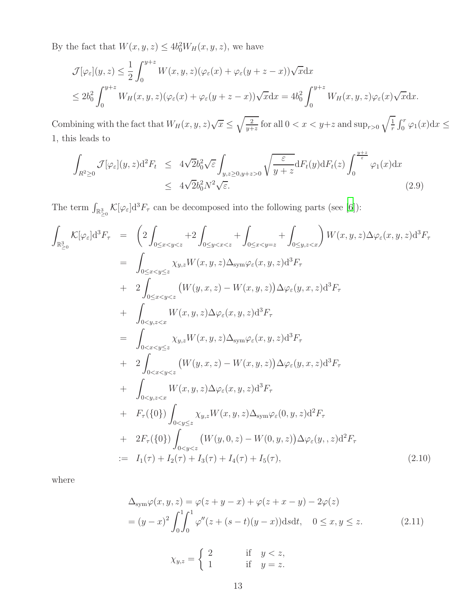By the fact that  $W(x, y, z) \le 4b_0^2 W_H(x, y, z)$ , we have

$$
\mathcal{J}[\varphi_{\varepsilon}](y,z) \leq \frac{1}{2} \int_0^{y+z} W(x,y,z)(\varphi_{\varepsilon}(x) + \varphi_{\varepsilon}(y+z-x))\sqrt{x} dx
$$
  

$$
\leq 2b_0^2 \int_0^{y+z} W_H(x,y,z)(\varphi_{\varepsilon}(x) + \varphi_{\varepsilon}(y+z-x))\sqrt{x} dx = 4b_0^2 \int_0^{y+z} W_H(x,y,z)\varphi_{\varepsilon}(x)\sqrt{x} dx.
$$

Combining with the fact that  $W_H(x, y, z) \sqrt{x} \leq \sqrt{\frac{2}{y+1}}$  $\frac{2}{y+z}$  for all  $0 < x < y+z$  and  $\sup_{r>0} \sqrt{\frac{1}{r}}$  $\frac{1}{r} \int_0^r \varphi_1(x) dx \leq$ 1, this leads to

<span id="page-12-0"></span>
$$
\int_{R^2 \ge 0} \mathcal{J}[\varphi_{\varepsilon}](y, z) \mathrm{d}^2 F_t \le 4\sqrt{2} b_0^2 \sqrt{\varepsilon} \int_{y, z \ge 0, y+z > 0} \sqrt{\frac{\varepsilon}{y+z}} \mathrm{d} F_t(y) \mathrm{d} F_t(z) \int_0^{\frac{y+z}{\varepsilon}} \varphi_1(x) \mathrm{d} x
$$
\n
$$
\le 4\sqrt{2} b_0^2 N^2 \sqrt{\varepsilon}.
$$
\n(2.9)

The term  $\int_{\mathbb{R}^3_{\geq 0}} \mathcal{K}[\varphi_{\varepsilon}]d^3F_{\tau}$  can be decomposed into the following parts (see [\[6](#page-38-0)]):

$$
\int_{\mathbb{R}_{\geq 0}^{3}} K[\varphi_{\varepsilon}] d^{3}F_{\tau} = \left(2 \int_{0 \leq x < y < z} + 2 \int_{0 \leq y < x < z} + \int_{0 \leq x < y = z} + \int_{0 \leq y, z < x} \right) W(x, y, z) \Delta \varphi_{\varepsilon}(x, y, z) d^{3}F_{\tau}
$$
\n
$$
= \int_{0 \leq x < y \leq z} \chi_{y, z} W(x, y, z) \Delta_{\text{Sym}} \varphi_{\varepsilon}(x, y, z) d^{3}F_{\tau}
$$
\n
$$
+ 2 \int_{0 \leq x < y < z} (W(y, x, z) - W(x, y, z)) \Delta \varphi_{\varepsilon}(y, x, z) d^{3}F_{\tau}
$$
\n
$$
+ \int_{0 \leq y, z < x} W(x, y, z) \Delta \varphi_{\varepsilon}(x, y, z) d^{3}F_{\tau}
$$
\n
$$
= \int_{0 < x < y \leq z} \chi_{y, z} W(x, y, z) \Delta_{\text{sym}} \varphi_{\varepsilon}(x, y, z) d^{3}F_{\tau}
$$
\n
$$
+ 2 \int_{0 < x < y \leq z} (W(y, x, z) - W(x, y, z)) \Delta \varphi_{\varepsilon}(y, x, z) d^{3}F_{\tau}
$$
\n
$$
+ \int_{0 < y, z < x} W(x, y, z) \Delta \varphi_{\varepsilon}(x, y, z) d^{3}F_{\tau}
$$
\n
$$
+ F_{\tau}(\{0\}) \int_{0 < y \leq z} \chi_{y, z} W(x, y, z) \Delta_{\text{sym}} \varphi_{\varepsilon}(0, y, z) d^{2}F_{\tau}
$$
\n
$$
+ 2F_{\tau}(\{0\}) \int_{0 < y < z} \chi_{y, z} W(x, y, z) \Delta_{\text{sym}} \varphi_{\varepsilon}(0, y, z) d^{2}F_{\tau}
$$
\n
$$
:= I_{1}(\tau) + I_{2}(\tau) + I_{3}(\tau) + I_{4}(\tau) + I_{5}(\tau), \qquad (2.10)
$$

where

<span id="page-12-1"></span>
$$
\Delta_{\text{sym}}\varphi(x,y,z) = \varphi(z+y-x) + \varphi(z+x-y) - 2\varphi(z) \n= (y-x)^2 \int_0^1 \int_0^1 \varphi''(z+(s-t)(y-x)) \, \text{d}s \, \text{d}t, \quad 0 \le x, y \le z. \tag{2.11}
$$

$$
\chi_{y,z} = \begin{cases} 2 & \text{if } y < z, \\ 1 & \text{if } y = z. \end{cases}
$$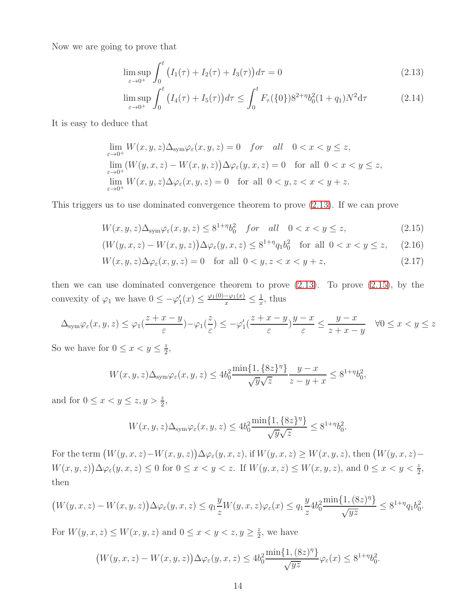Now we are going to prove that

<span id="page-13-0"></span>
$$
\limsup_{\varepsilon \to 0^+} \int_0^t \left( I_1(\tau) + I_2(\tau) + I_3(\tau) \right) d\tau = 0
$$
\n(2.13)

$$
\limsup_{\varepsilon \to 0^+} \int_0^t \left( I_4(\tau) + I_5(\tau) \right) d\tau \le \int_0^t F_\tau(\{0\}) 8^{2+\eta} b_0^2 (1+q_1) N^2 d\tau \tag{2.14}
$$

It is easy to deduce that

$$
\lim_{\varepsilon \to 0^+} W(x, y, z) \Delta_{\text{sym}} \varphi_{\varepsilon}(x, y, z) = 0 \quad \text{for} \quad \text{all} \quad 0 < x < y \leq z,
$$
\n
$$
\lim_{\varepsilon \to 0^+} (W(y, x, z) - W(x, y, z)) \Delta \varphi_{\varepsilon}(y, x, z) = 0 \quad \text{for all} \quad 0 < x < y \leq z,
$$
\n
$$
\lim_{\varepsilon \to 0^+} W(x, y, z) \Delta \varphi_{\varepsilon}(x, y, z) = 0 \quad \text{for all} \quad 0 < y, z < x < y + z.
$$

This triggers us to use dominated convergence theorem to prove [\(2.13\)](#page-13-0). If we can prove

<span id="page-13-1"></span>
$$
W(x, y, z)\Delta_{\text{sym}}\varphi_{\varepsilon}(x, y, z) \le 8^{1+\eta}b_0^2 \quad \text{for} \quad \text{all} \quad 0 < x < y \le z,\tag{2.15}
$$

$$
(W(y,x,z) - W(x,y,z))\Delta\varphi_{\varepsilon}(y,x,z) \le 8^{1+\eta}q_1b_0^2 \quad \text{for all } 0 < x < y \le z,\tag{2.16}
$$

$$
W(x, y, z)\Delta\varphi_{\varepsilon}(x, y, z) = 0 \quad \text{for all } 0 < y, z < x < y + z,
$$
\n
$$
(2.17)
$$

then we can use dominated convergence theorem to prove  $(2.13)$ . To prove  $(2.15)$ , by the convexity of  $\varphi_1$  we have  $0 \leq -\varphi'_1(x) \leq \frac{\varphi_1(0) - \varphi_1(x)}{x} \leq \frac{1}{x}$  $\frac{1}{x}$ , thus

$$
\Delta_{\text{sym}}\varphi_{\varepsilon}(x,y,z) \leq \varphi_1(\frac{z+x-y}{\varepsilon}) - \varphi_1(\frac{z}{\varepsilon}) \leq -\varphi_1'(\frac{z+x-y}{\varepsilon})\frac{y-x}{\varepsilon} \leq \frac{y-x}{z+x-y} \quad \forall 0 \leq x < y \leq z
$$

So we have for  $0 \leq x < y \leq \frac{z}{2}$  $\frac{z}{2}$ 

$$
W(x, y, z)\Delta_{\text{sym}}\varphi_{\varepsilon}(x, y, z) \le 4b_0^2 \frac{\min\{1, \{8z\}^\eta\}}{\sqrt{y}\sqrt{z}} \frac{y - x}{z - y + x} \le 8^{1 + \eta} b_0^2,
$$

and for  $0 \le x < y \le z, y > \frac{z}{2}$ ,

$$
W(x, y, z)\Delta_{\text{sym}}\varphi_{\varepsilon}(x, y, z) \le 4b_0^2 \frac{\min\{1, \{8z\}^\eta\}}{\sqrt{y}\sqrt{z}} \le 8^{1+\eta}b_0^2.
$$

For the term  $(W(y, x, z) - W(x, y, z)) \Delta \varphi_{\varepsilon}(y, x, z)$ , if  $W(y, x, z) \ge W(x, y, z)$ , then  $(W(y, x, z) - W(x, y, z))$  $W(x, y, z)$ ) $\Delta \varphi_{\varepsilon}(y, x, z) \leq 0$  for  $0 \leq x < y < z$ . If  $W(y, x, z) \leq W(x, y, z)$ , and  $0 \leq x < y < \frac{z}{2}$ , then

$$
(W(y,x,z)-W(x,y,z))\Delta\varphi_{\varepsilon}(y,x,z)\leq q_1\frac{y}{z}W(y,x,z)\varphi_{\varepsilon}(x)\leq q_1\frac{y}{z}4b_0^2\frac{\min\{1,(8z)^{\eta}\}}{\sqrt{yz}}\leq 8^{1+\eta}q_1b_0^2.
$$

For  $W(y, x, z) \leq W(x, y, z)$  and  $0 \leq x < y < z, y \geq \frac{z}{2}$  $\frac{z}{2}$ , we have

$$
(W(y,x,z)-W(x,y,z))\Delta\varphi_{\varepsilon}(y,x,z)\leq 4b_0^2\frac{\min\{1,(8z)^{\eta}\}}{\sqrt{yz}}\varphi_{\varepsilon}(x)\leq 8^{1+\eta}b_0^2.
$$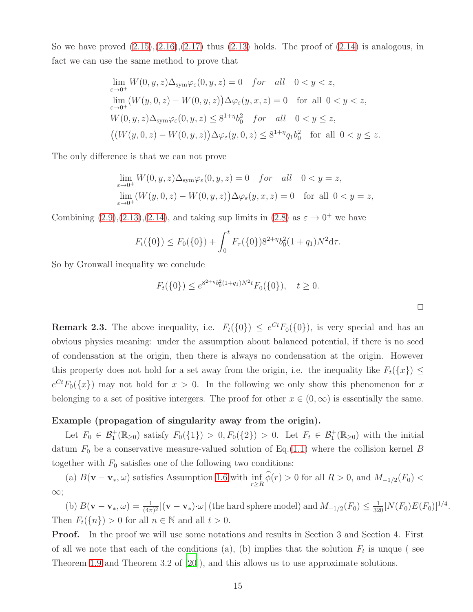So we have proved  $(2.15),(2.16),(2.17)$  $(2.15),(2.16),(2.17)$  $(2.15),(2.16),(2.17)$  $(2.15),(2.16),(2.17)$  thus  $(2.13)$  holds. The proof of  $(2.14)$  is analogous, in fact we can use the same method to prove that

$$
\lim_{\varepsilon \to 0^+} W(0, y, z) \Delta_{\text{sym}} \varphi_{\varepsilon}(0, y, z) = 0 \quad \text{for} \quad \text{all} \quad 0 < y < z,
$$
\n
$$
\lim_{\varepsilon \to 0^+} (W(y, 0, z) - W(0, y, z)) \Delta \varphi_{\varepsilon}(y, x, z) = 0 \quad \text{for all} \quad 0 < y < z,
$$
\n
$$
W(0, y, z) \Delta_{\text{sym}} \varphi_{\varepsilon}(0, y, z) \le 8^{1 + \eta} b_0^2 \quad \text{for} \quad \text{all} \quad 0 < y \le z,
$$
\n
$$
((W(y, 0, z) - W(0, y, z)) \Delta \varphi_{\varepsilon}(y, 0, z) \le 8^{1 + \eta} q_1 b_0^2 \quad \text{for all} \quad 0 < y \le z.
$$

The only difference is that we can not prove

$$
\lim_{\varepsilon \to 0^+} W(0, y, z) \Delta_{\text{sym}} \varphi_{\varepsilon}(0, y, z) = 0 \quad \text{for} \quad \text{all} \quad 0 < y = z,
$$
\n
$$
\lim_{\varepsilon \to 0^+} (W(y, 0, z) - W(0, y, z)) \Delta \varphi_{\varepsilon}(y, x, z) = 0 \quad \text{for all} \quad 0 < y = z,
$$

Combining  $(2.9),(2.13),(2.14)$  $(2.9),(2.13),(2.14)$  $(2.9),(2.13),(2.14)$  $(2.9),(2.13),(2.14)$ , and taking sup limits in  $(2.8)$  as  $\varepsilon \to 0^+$  we have

$$
F_t({0}) \le F_0({0}) + \int_0^t F_\tau({0}) 8^{2+\eta} b_0^2 (1+q_1) N^2 d\tau.
$$

So by Gronwall inequality we conclude

$$
F_t({0}) \le e^{8^{2+\eta}b_0^2(1+q_1)N^2t}F_0({0}), \quad t \ge 0.
$$

**Remark 2.3.** The above inequality, i.e.  $F_t({0}) \leq e^{Ct} F_0({0})$ , is very special and has an obvious physics meaning: under the assumption about balanced potential, if there is no seed of condensation at the origin, then there is always no condensation at the origin. However this property does not hold for a set away from the origin, i.e. the inequality like  $F_t({x}) \leq$  $e^{Ct}F_0(\lbrace x \rbrace)$  may not hold for  $x > 0$ . In the following we only show this phenomenon for x belonging to a set of positive intergers. The proof for other  $x \in (0,\infty)$  is essentially the same.

#### Example (propagation of singularity away from the origin).

Let  $F_0 \in \mathcal{B}_1^+(\mathbb{R}_{\geq 0})$  satisfy  $F_0(\{1\}) > 0, F_0(\{2\}) > 0$ . Let  $F_t \in \mathcal{B}_1^+(\mathbb{R}_{\geq 0})$  with the initial datum  $F_0$  be a conservative measure-valued solution of Eq.[\(1.1\)](#page-0-0) where the collision kernel B together with  $F_0$  satisfies one of the following two conditions:

(a)  $B(\mathbf{v}-\mathbf{v}_*,\omega)$  satisfies Assumption [1.6](#page-7-2) with  $\inf_{r\geq R} \phi(r) > 0$  for all  $R > 0$ , and  $M_{-1/2}(F_0) <$ ∞;

(b)  $B(\mathbf{v}-\mathbf{v}_*,\omega) = \frac{1}{(4\pi)^2} |(\mathbf{v}-\mathbf{v}_*)\cdot\omega|$  (the hard sphere model) and  $M_{-1/2}(F_0) \leq \frac{1}{320} [N(F_0)E(F_0)]^{1/4}$ . Then  $F_t({n}) > 0$  for all  $n \in \mathbb{N}$  and all  $t > 0$ .

Proof. In the proof we will use some notations and results in Section 3 and Section 4. First of all we note that each of the conditions (a), (b) implies that the solution  $F_t$  is unque (see Theorem [1.9](#page-8-2) and Theorem 3.2 of [\[20\]](#page-39-9)), and this allows us to use approximate solutions.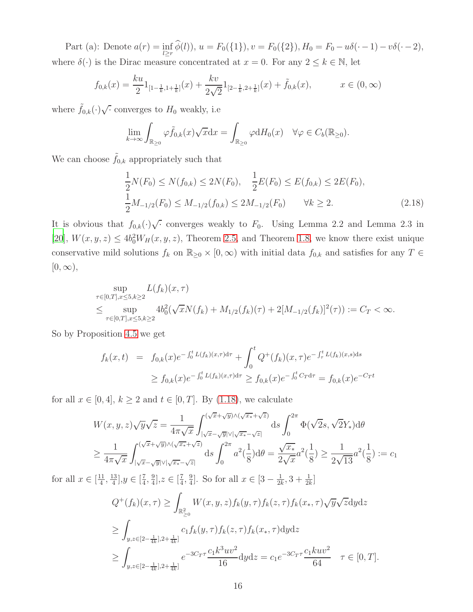Part (a): Denote  $a(r) = \inf$  $\inf_{l\geq r} \phi(l)$ ),  $u = F_0({1}), v = F_0({2}), H_0 = F_0 - u\delta(\cdot - 1) - v\delta(\cdot - 2),$ where  $\delta(\cdot)$  is the Dirac measure concentrated at  $x = 0$ . For any  $2 \le k \in \mathbb{N}$ , let

$$
f_{0,k}(x) = \frac{ku}{2} 1_{[1-\frac{1}{k},1+\frac{1}{k}]}(x) + \frac{kv}{2\sqrt{2}} 1_{[2-\frac{1}{k},2+\frac{1}{k}]}(x) + \tilde{f}_{0,k}(x), \qquad x \in (0,\infty)
$$

where  $\tilde{f}_{0,k}(\cdot)\sqrt{\cdot}$  converges to  $H_0$  weakly, i.e

$$
\lim_{k \to \infty} \int_{\mathbb{R}_{\geq 0}} \varphi \tilde{f}_{0,k}(x) \sqrt{x} \mathrm{d}x = \int_{\mathbb{R}_{\geq 0}} \varphi \mathrm{d}H_0(x) \quad \forall \varphi \in C_b(\mathbb{R}_{\geq 0}).
$$

We can choose  $\tilde{f}_{0,k}$  appropriately such that

<span id="page-15-0"></span>
$$
\frac{1}{2}N(F_0) \le N(f_{0,k}) \le 2N(F_0), \quad \frac{1}{2}E(F_0) \le E(f_{0,k}) \le 2E(F_0),
$$
\n
$$
\frac{1}{2}M_{-1/2}(F_0) \le M_{-1/2}(f_{0,k}) \le 2M_{-1/2}(F_0) \qquad \forall k \ge 2.
$$
\n(2.18)

It is obvious that  $f_{0,k}(\cdot)\sqrt{\cdot}$  converges weakly to  $F_0$ . Using Lemma 2.2 and Lemma 2.3 in [\[20\]](#page-39-9),  $W(x, y, z) \le 4b_0^2 W_H(x, y, z)$ , Theorem [2.5,](#page-17-0) and Theorem [1.8,](#page-8-3) we know there exist unique conservative mild solutions  $f_k$  on  $\mathbb{R}_{\geq 0} \times [0, \infty)$  with initial data  $f_{0,k}$  and satisfies for any  $T \in$  $[0, \infty),$ 

$$
\sup_{\tau \in [0,T], x \le 5, k \ge 2} L(f_k)(x, \tau) \n\le \sup_{\tau \in [0,T], x \le 5, k \ge 2} 4b_0^2(\sqrt{x}N(f_k) + M_{1/2}(f_k)(\tau) + 2[M_{-1/2}(f_k)]^2(\tau)) := C_T < \infty.
$$

So by Proposition [4.5](#page-35-0) we get

$$
f_k(x,t) = f_{0,k}(x)e^{-\int_0^t L(f_k)(x,\tau)d\tau} + \int_0^t Q^+(f_k)(x,\tau)e^{-\int_\tau^t L(f_k)(x,s)ds}
$$
  

$$
\geq f_{0,k}(x)e^{-\int_0^t L(f_k)(x,\tau)d\tau} \geq f_{0,k}(x)e^{-\int_0^t C_T d\tau} = f_{0,k}(x)e^{-C_T t}
$$

for all  $x \in [0, 4]$ ,  $k \ge 2$  and  $t \in [0, T]$ . By [\(1.18\)](#page-4-1), we calculate

$$
W(x, y, z)\sqrt{y}\sqrt{z} = \frac{1}{4\pi\sqrt{x}} \int_{|\sqrt{x} - \sqrt{y}| \sqrt{y} + \sqrt{z}|}^{(\sqrt{x} + \sqrt{y}) \wedge (\sqrt{x} + \sqrt{z})} ds \int_0^{2\pi} \Phi(\sqrt{2}s, \sqrt{2}Y_*) d\theta
$$
  

$$
\geq \frac{1}{4\pi\sqrt{x}} \int_{|\sqrt{x} - \sqrt{y}| \sqrt{y} + \sqrt{y} + \sqrt{z}|}^{(\sqrt{x} + \sqrt{y}) \wedge (\sqrt{x} + \sqrt{z})} ds \int_0^{2\pi} a^2(\frac{1}{8}) d\theta = \frac{\sqrt{x} \sqrt{x}}{2\sqrt{x}} a^2(\frac{1}{8}) \geq \frac{1}{2\sqrt{13}} a^2(\frac{1}{8}) := c_1
$$

for all  $x \in \left[\frac{11}{4}\right]$  $\frac{11}{4}$ ,  $\frac{13}{4}$  $\frac{13}{4}$ ,  $y \in \left[\frac{7}{4}\right]$  $\frac{7}{4}$ ,  $\frac{9}{4}$  $\frac{9}{4}$ ,  $z \in [\frac{7}{4}]$  $\frac{7}{4}$ ,  $\frac{9}{4}$  $\frac{9}{4}$ . So for all  $x \in \left[3 - \frac{1}{2k}\right]$  $\frac{1}{2k}, 3 + \frac{1}{2k}$ 

$$
Q^{+}(f_{k})(x,\tau) \geq \int_{\mathbb{R}^{2}_{\geq 0}} W(x,y,z)f_{k}(y,\tau)f_{k}(z,\tau)f_{k}(x_{*},\tau)\sqrt{y}\sqrt{z}dydz
$$
  
\n
$$
\geq \int_{y,z\in[2-\frac{1}{4k}],2+\frac{1}{4k}]} c_{1}f_{k}(y,\tau)f_{k}(z,\tau)f_{k}(x_{*},\tau)dydz
$$
  
\n
$$
\geq \int_{y,z\in[2-\frac{1}{4k}],2+\frac{1}{4k}]} e^{-3C_{T}\tau} \frac{c_{1}k^{3}uv^{2}}{16}dydz = c_{1}e^{-3C_{T}\tau} \frac{c_{1}kuv^{2}}{64} \quad \tau \in [0,T].
$$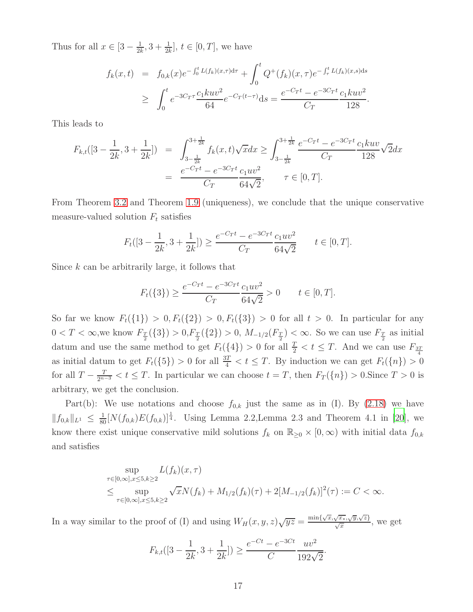Thus for all  $x \in [3 - \frac{1}{2l}]$  $\frac{1}{2k}, 3 + \frac{1}{2k}], t \in [0, T],$  we have

$$
f_k(x,t) = f_{0,k}(x)e^{-\int_0^t L(f_k)(x,\tau)d\tau} + \int_0^t Q^+(f_k)(x,\tau)e^{-\int_{\tau}^t L(f_k)(x,s)ds}
$$
  
\n
$$
\geq \int_0^t e^{-3C_T\tau} \frac{c_1kuv^2}{64} e^{-C_T(t-\tau)} ds = \frac{e^{-C_Tt} - e^{-3C_Tt}}{C_T} \frac{c_1kuv^2}{128}.
$$

This leads to

$$
F_{k,t}([3-\frac{1}{2k},3+\frac{1}{2k}]) = \int_{3-\frac{1}{2k}}^{3+\frac{1}{2k}} f_k(x,t)\sqrt{x}dx \ge \int_{3-\frac{1}{2k}}^{3+\frac{1}{2k}} \frac{e^{-C_Tt} - e^{-3C_Tt}}{C_T} \frac{c_1kuv}{128}\sqrt{2}dx
$$
  
= 
$$
\frac{e^{-C_Tt} - e^{-3C_Tt}}{C_T} \frac{c_1uv^2}{64\sqrt{2}}, \qquad \tau \in [0,T].
$$

From Theorem [3.2](#page-20-0) and Theorem [1.9](#page-8-2) (uniqueness), we conclude that the unique conservative measure-valued solution  $F_t$  satisfies

$$
F_t([3-\frac{1}{2k},3+\frac{1}{2k}]) \ge \frac{e^{-C_T t} - e^{-3C_T t}}{C_T} \frac{c_1 u v^2}{64\sqrt{2}} \qquad t \in [0,T].
$$

Since  $k$  can be arbitrarily large, it follows that

$$
F_t({3}) \ge \frac{e^{-C_T t} - e^{-3C_T t}}{C_T} \frac{c_1 u v^2}{64\sqrt{2}} > 0 \qquad t \in [0, T].
$$

So far we know  $F_t({1}) > 0, F_t({2}) > 0, F_t({3}) > 0$  for all  $t > 0$ . In particular for any  $0 < T < \infty$ , we know  $F_{\frac{T}{2}}(\{3\}) > 0, F_{\frac{T}{2}}(\{2\}) > 0, M_{-1/2}(F_{\frac{T}{2}}) < \infty$ . So we can use  $F_{\frac{T}{2}}$  as initial datum and use the same method to get  $F_t({1}) > 0$  for all  $\frac{T}{2} < t \leq T$ . And we can use  $F_{\frac{3T}{4}}$ as initial datum to get  $F_t({5}) > 0$  for all  $\frac{3T}{4} < t \leq T$ . By induction we can get  $F_t({n}) > 0$ for all  $T - \frac{T}{2^{n-3}} < t \leq T$ . In particular we can choose  $t = T$ , then  $F_T(\lbrace n \rbrace) > 0$ . Since  $T > 0$  is arbitrary, we get the conclusion.

Part(b): We use notations and choose  $f_{0,k}$  just the same as in (I). By [\(2.18\)](#page-15-0) we have  $||f_{0,k}||_{L^1} \leq \frac{1}{80} [N(f_{0,k})E(f_{0,k})]^{\frac{1}{4}}$ . Using Lemma 2.2, Lemma 2.3 and Theorem 4.1 in [\[20](#page-39-9)], we know there exist unique conservative mild solutions  $f_k$  on  $\mathbb{R}_{\geq 0} \times [0,\infty)$  with initial data  $f_{0,k}$ and satisfies

$$
\sup_{\tau \in [0,\infty], x \le 5, k \ge 2} L(f_k)(x, \tau) \n\le \sup_{\tau \in [0,\infty], x \le 5, k \ge 2} \sqrt{x} N(f_k) + M_{1/2}(f_k)(\tau) + 2[M_{-1/2}(f_k)]^2(\tau) := C < \infty.
$$

In a way similar to the proof of (I) and using  $W_H(x, y, z)\sqrt{yz} = \frac{\min\{\sqrt{x}, \sqrt{x_*}, \sqrt{y}, \sqrt{z}\}}{\sqrt{x}}$ , we get

$$
F_{k,t}([3-\frac{1}{2k},3+\frac{1}{2k}]) \ge \frac{e^{-Ct} - e^{-3Ct}}{C} \frac{uv^2}{192\sqrt{2}}.
$$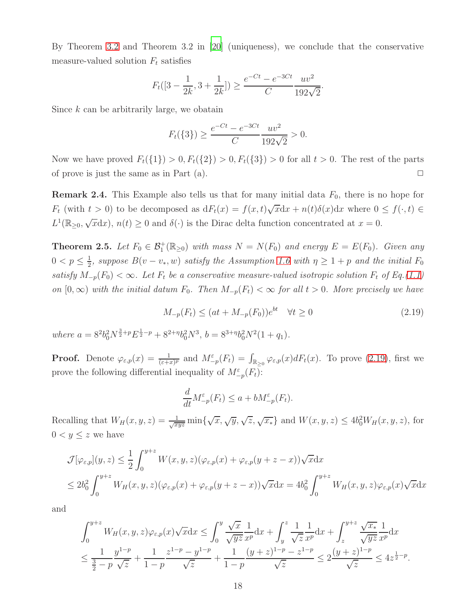By Theorem [3.2](#page-20-0) and Theorem 3.2 in [\[20](#page-39-9)] (uniqueness), we conclude that the conservative measure-valued solution  $F_t$  satisfies

$$
F_t([3-\frac{1}{2k},3+\frac{1}{2k}]) \ge \frac{e^{-Ct} - e^{-3Ct}}{C} \frac{uv^2}{192\sqrt{2}}.
$$

Since  $k$  can be arbitrarily large, we obatain

$$
F_t({3}) \ge \frac{e^{-Ct} - e^{-3Ct}}{C} \frac{uv^2}{192\sqrt{2}} > 0.
$$

Now we have proved  $F_t({1}) > 0, F_t({2}) > 0, F_t({3}) > 0$  for all  $t > 0$ . The rest of the parts of prove is just the same as in Part  $(a)$ .

**Remark 2.4.** This Example also tells us that for many initial data  $F_0$ , there is no hope for  $F_t$  (with  $t > 0$ ) to be decomposed as  $dF_t(x) = f(x,t)\sqrt{x}dx + n(t)\delta(x)dx$  where  $0 \le f(\cdot, t) \in$  $L^1(\mathbb{R}_{\geq 0}, \sqrt{x}dx)$ ,  $n(t) \geq 0$  and  $\delta(\cdot)$  is the Dirac delta function concentrated at  $x = 0$ .

<span id="page-17-0"></span>**Theorem 2.5.** Let  $F_0 \in \mathcal{B}_1^+(\mathbb{R}_{\geq 0})$  with mass  $N = N(F_0)$  and energy  $E = E(F_0)$ . Given any  $0 < p \leq \frac{1}{2}$  $\frac{1}{2}$ , suppose  $B(v - v_*, w)$  satisfy the Assumption [1.6](#page-7-2) with  $\eta \geq 1 + p$  and the initial  $F_0$ satisfy  $M_{-p}(F_0) < \infty$ . Let  $F_t$  be a conservative measure-valued isotropic solution  $F_t$  of Eq.[\(1.1\)](#page-0-0) on  $[0, \infty)$  with the initial datum  $F_0$ . Then  $M_{-p}(F_t) < \infty$  for all  $t > 0$ . More precisely we have

$$
M_{-p}(F_t) \le (at + M_{-p}(F_0))e^{bt} \quad \forall t \ge 0
$$
\n(2.19)

where  $a = 8^2 b_0^2 N^{\frac{3}{2} + p} E^{\frac{1}{2} - p} + 8^{2 + \eta} b_0^2 N^3$ ,  $b = 8^{3 + \eta} b_0^2 N^2 (1 + q_1)$ .

**Proof.** Denote  $\varphi_{\varepsilon,p}(x) = \frac{1}{(\varepsilon+x)^p}$  and  $M_{-p}^{\varepsilon}(F_t) = \int_{\mathbb{R}_{\geq 0}} \varphi_{\varepsilon,p}(x) dF_t(x)$ . To prove [\(2.19\)](#page-17-1), first we prove the following differential inequality of  $M_{-p}^{\varepsilon}(F_t)$ :

<span id="page-17-1"></span>
$$
\frac{d}{dt}M_{-p}^{\varepsilon}(F_t) \le a + bM_{-p}^{\varepsilon}(F_t).
$$

Recalling that  $W_H(x, y, z) = \frac{1}{\sqrt{xyz}} \min\{\sqrt{x}, \sqrt{y}, \sqrt{z}, \sqrt{x_*}\}\$ and  $W(x, y, z) \le 4b_0^2 W_H(x, y, z)$ , for  $0 < y \leq z$  we have

$$
\mathcal{J}[\varphi_{\varepsilon,p}](y,z) \leq \frac{1}{2} \int_0^{y+z} W(x,y,z)(\varphi_{\varepsilon,p}(x) + \varphi_{\varepsilon,p}(y+z-x))\sqrt{x} dx
$$
  

$$
\leq 2b_0^2 \int_0^{y+z} W_H(x,y,z)(\varphi_{\varepsilon,p}(x) + \varphi_{\varepsilon,p}(y+z-x))\sqrt{x} dx = 4b_0^2 \int_0^{y+z} W_H(x,y,z)\varphi_{\varepsilon,p}(x)\sqrt{x} dx
$$

and

$$
\int_0^{y+z} W_H(x, y, z) \varphi_{\varepsilon, p}(x) \sqrt{x} dx \le \int_0^y \frac{\sqrt{x}}{\sqrt{yz}} \frac{1}{x^p} dx + \int_y^z \frac{1}{\sqrt{z}} \frac{1}{x^p} dx + \int_z^{y+z} \frac{\sqrt{x_*}}{\sqrt{yz}} \frac{1}{x^p} dx
$$
  

$$
\le \frac{1}{\frac{3}{2} - p} \frac{y^{1-p}}{\sqrt{z}} + \frac{1}{1-p} \frac{z^{1-p} - y^{1-p}}{\sqrt{z}} + \frac{1}{1-p} \frac{(y+z)^{1-p} - z^{1-p}}{\sqrt{z}} \le 2 \frac{(y+z)^{1-p}}{\sqrt{z}} \le 4z^{\frac{1}{2}-p}.
$$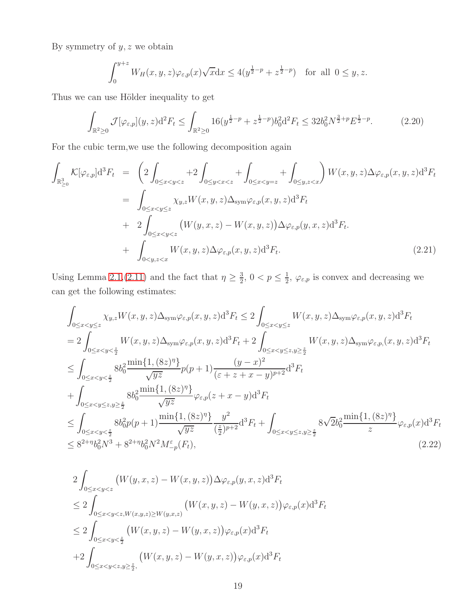By symmetry of  $y, z$  we obtain

$$
\int_0^{y+z} W_H(x,y,z)\varphi_{\varepsilon,p}(x)\sqrt{x}\mathrm{d}x \le 4(y^{\frac{1}{2}-p}+z^{\frac{1}{2}-p}) \quad \text{for all } 0 \le y,z.
$$

Thus we can use Hölder inequality to get

<span id="page-18-1"></span>
$$
\int_{\mathbb{R}^2 \ge 0} \mathcal{J}[\varphi_{\varepsilon,p}](y,z) \mathrm{d}^2 F_t \le \int_{\mathbb{R}^2 \ge 0} 16(y^{\frac{1}{2}-p} + z^{\frac{1}{2}-p}) b_0^2 \mathrm{d}^2 F_t \le 32 b_0^2 N^{\frac{3}{2}+p} E^{\frac{1}{2}-p}.
$$
 (2.20)

For the cubic term,we use the following decomposition again

<span id="page-18-2"></span>
$$
\int_{\mathbb{R}_{\geq 0}^{3}} K[\varphi_{\varepsilon,p}]d^{3}F_{t} = \left(2\int_{0\leq x\n
$$
= \int_{0\leq x\n
$$
+ 2\int_{0\leq x\n
$$
+ \int_{0\n(2.21)
$$
$$
$$
$$

Using Lemma [2.1,](#page-9-0)[\(2.11\)](#page-12-1) and the fact that  $\eta \geq \frac{3}{2}$  $\frac{3}{2}$ ,  $0 < p \leq \frac{1}{2}$  $\frac{1}{2}$ ,  $\varphi_{\varepsilon,p}$  is convex and decreasing we can get the following estimates:

<span id="page-18-0"></span>
$$
\int_{0 \leq x < y \leq z} \chi_{y,z} W(x, y, z) \Delta_{\text{sym}} \varphi_{\varepsilon, p}(x, y, z) \mathrm{d}^{3} F_{t} \leq 2 \int_{0 \leq x < y \leq z} W(x, y, z) \Delta_{\text{sym}} \varphi_{\varepsilon, p}(x, y, z) \mathrm{d}^{3} F_{t}
$$
\n
$$
= 2 \int_{0 \leq x < y \leq \frac{z}{2}} W(x, y, z) \Delta_{\text{sym}} \varphi_{\varepsilon, p}(x, y, z) \mathrm{d}^{3} F_{t} + 2 \int_{0 \leq x < y \leq z, y \geq \frac{z}{2}} W(x, y, z) \Delta_{\text{sym}} \varphi_{\varepsilon, p}(x, y, z) \mathrm{d}^{3} F_{t}
$$
\n
$$
\leq \int_{0 \leq x < y \leq \frac{z}{2}} 8b_{0}^{2} \frac{\min\{1, (8z)^{\eta}\}}{\sqrt{yz}} p(p+1) \frac{(y-x)^{2}}{(\varepsilon+z+x-y)^{p+2}} \mathrm{d}^{3} F_{t}
$$
\n
$$
+ \int_{0 \leq x < y \leq z, y \geq \frac{z}{2}} 8b_{0}^{2} \frac{\min\{1, (8z)^{\eta}\}}{\sqrt{yz}} \varphi_{\varepsilon, p}(z+x-y) \mathrm{d}^{3} F_{t}
$$
\n
$$
\leq \int_{0 \leq x < y \leq \frac{z}{2}} 8b_{0}^{2} p(p+1) \frac{\min\{1, (8z)^{\eta}\}}{\sqrt{yz}} \frac{y^{2}}{(\frac{z}{2})^{p+2}} \mathrm{d}^{3} F_{t} + \int_{0 \leq x < y \leq z, y \geq \frac{z}{2}} 8\sqrt{2}b_{0}^{2} \frac{\min\{1, (8z)^{\eta}\}}{z} \varphi_{\varepsilon, p}(x) \mathrm{d}^{3} F_{t}
$$
\n
$$
\leq 8^{2+\eta} b_{0}^{2} N^{3} + 8^{2+\eta} b_{0}^{2} N^{2} M_{-\rho}^{\varepsilon}(F_{t}), \qquad (2.22)
$$

<span id="page-18-3"></span>
$$
2\int_{0 \le x < y < z} \left( W(y, x, z) - W(x, y, z) \right) \Delta \varphi_{\varepsilon, p}(y, x, z) d^3 F_t
$$
  
\n
$$
\le 2\int_{0 \le x < y < z, W(x, y, z) \ge W(y, x, z)} \left( W(x, y, z) - W(y, x, z) \right) \varphi_{\varepsilon, p}(x) d^3 F_t
$$
  
\n
$$
\le 2\int_{0 \le x < y < \frac{z}{2}} \left( W(x, y, z) - W(y, x, z) \right) \varphi_{\varepsilon, p}(x) d^3 F_t
$$
  
\n
$$
+ 2\int_{0 \le x < y < z, y \ge \frac{z}{2}}, \left( W(x, y, z) - W(y, x, z) \right) \varphi_{\varepsilon, p}(x) d^3 F_t
$$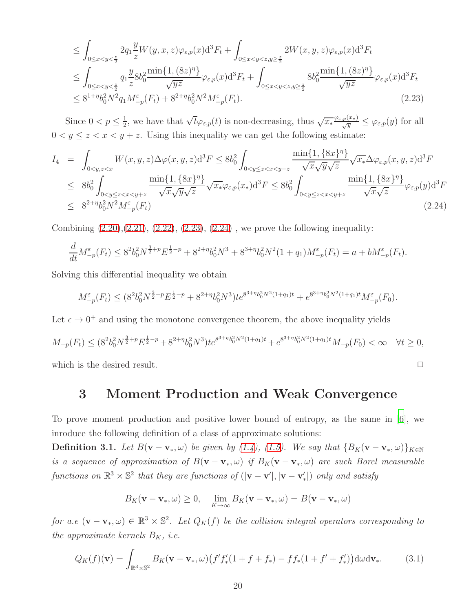$$
\leq \int_{0 \leq x < y < \frac{z}{2}} 2q_1 \frac{y}{z} W(y, x, z) \varphi_{\varepsilon, p}(x) \mathrm{d}^3 F_t + \int_{0 \leq x < y < z, y \geq \frac{z}{2}} 2W(x, y, z) \varphi_{\varepsilon, p}(x) \mathrm{d}^3 F_t
$$
\n
$$
\leq \int_{0 \leq x < y < \frac{z}{2}} q_1 \frac{y}{z} 8b_0^2 \frac{\min\{1, (8z)^{\eta}\}}{\sqrt{yz}} \varphi_{\varepsilon, p}(x) \mathrm{d}^3 F_t + \int_{0 \leq x < y < z, y \geq \frac{z}{2}} 8b_0^2 \frac{\min\{1, (8z)^{\eta}\}}{\sqrt{yz}} \varphi_{\varepsilon, p}(x) \mathrm{d}^3 F_t
$$
\n
$$
\leq 8^{1 + \eta} b_0^2 N^2 q_1 M_{-p}^{\varepsilon}(F_t) + 8^{2 + \eta} b_0^2 N^2 M_{-p}^{\varepsilon}(F_t). \tag{2.23}
$$

Since  $0 < p \leq \frac{1}{2}$ <sup>1</sup>/<sub>2</sub>, we have that  $\sqrt{t}\varphi_{\varepsilon,p}(t)$  is non-decreasing, thus  $\sqrt{x_*} \frac{\varphi_{\varepsilon,p}(x_*)}{\sqrt{y}} \leq \varphi_{\varepsilon,p}(y)$  for all  $0 < y \leq z < x < y + z$ . Using this inequality we can get the following estimate:

<span id="page-19-0"></span>
$$
I_{4} = \int_{0 < y, z < x} W(x, y, z) \Delta \varphi(x, y, z) d^{3}F \leq 8b_{0}^{2} \int_{0 < y \leq z < x < y+z} \frac{\min\{1, \{8x\}^{\eta}\}}{\sqrt{x} \sqrt{y} \sqrt{z}} \sqrt{x_{*}} \Delta \varphi_{\varepsilon, p}(x, y, z) d^{3}F
$$
  
\n
$$
\leq 8b_{0}^{2} \int_{0 < y \leq z < x < y+z} \frac{\min\{1, \{8x\}^{\eta}\}}{\sqrt{x} \sqrt{y} \sqrt{z}} \sqrt{x_{*}} \varphi_{\varepsilon, p}(x_{*}) d^{3}F \leq 8b_{0}^{2} \int_{0 < y \leq z < x < y+z} \frac{\min\{1, \{8x\}^{\eta}\}}{\sqrt{x} \sqrt{z}} \varphi_{\varepsilon, p}(y) d^{3}F
$$
  
\n
$$
\leq 8^{2+\eta} b_{0}^{2} N^{2} M_{-p}^{\varepsilon}(F_{t})
$$
\n(2.24)

Combining  $(2.20), (2.21), (2.22), (2.23), (2.24)$  $(2.20), (2.21), (2.22), (2.23), (2.24)$  $(2.20), (2.21), (2.22), (2.23), (2.24)$  $(2.20), (2.21), (2.22), (2.23), (2.24)$  $(2.20), (2.21), (2.22), (2.23), (2.24)$  $(2.20), (2.21), (2.22), (2.23), (2.24)$  $(2.20), (2.21), (2.22), (2.23), (2.24)$  $(2.20), (2.21), (2.22), (2.23), (2.24)$ , we prove the following inequality:

$$
\frac{d}{dt}M_{-p}^{\varepsilon}(F_t) \le 8^2 b_0^2 N^{\frac{3}{2}+p} E^{\frac{1}{2}-p} + 8^{2+\eta} b_0^2 N^3 + 8^{3+\eta} b_0^2 N^2 (1+q_1) M_{-p}^{\varepsilon}(F_t) = a + bM_{-p}^{\varepsilon}(F_t).
$$

Solving this differential inequality we obtain

$$
M_{-p}^{\varepsilon}(F_t) \le (8^2 b_0^2 N^{\frac{3}{2}+p} E^{\frac{1}{2}-p} + 8^{2+\eta} b_0^2 N^3) t e^{8^{3+\eta} b_0^2 N^2 (1+q_1)t} + e^{8^{3+\eta} b_0^2 N^2 (1+q_1)t} M_{-p}^{\varepsilon}(F_0).
$$

Let  $\epsilon \to 0^+$  and using the monotone convergence theorem, the above inequality yields

$$
M_{-p}(F_t) \le (8^2 b_0^2 N^{\frac{3}{2}+p} E^{\frac{1}{2}-p} + 8^{2+\eta} b_0^2 N^3) t e^{8^{3+\eta} b_0^2 N^2 (1+q_1)t} + e^{8^{3+\eta} b_0^2 N^2 (1+q_1)t} M_{-p}(F_0) < \infty \quad \forall t \ge 0,
$$

which is the desired result.  $\Box$ 

### 3 Moment Production and Weak Convergence

To prove moment production and positive lower bound of entropy, as the same in [\[6\]](#page-38-0), we inroduce the following definition of a class of approximate solutions:

**Definition 3.1.** Let  $B(\mathbf{v} - \mathbf{v}_*, \omega)$  be given by [\(1.4\)](#page-1-0), [\(1.5\)](#page-1-3). We say that  ${B_K(\mathbf{v} - \mathbf{v}_*, \omega)}_{K \in \mathbb{N}}$ is a sequence of approximation of  $B(\mathbf{v}-\mathbf{v}_*,\omega)$  if  $B_K(\mathbf{v}-\mathbf{v}_*,\omega)$  are such Borel measurable functions on  $\mathbb{R}^3 \times \mathbb{S}^2$  that they are functions of  $(|v - v'|, |v - v'_*|)$  only and satisfy

$$
B_K(\mathbf{v} - \mathbf{v}_*, \omega) \ge 0, \quad \lim_{K \to \infty} B_K(\mathbf{v} - \mathbf{v}_*, \omega) = B(\mathbf{v} - \mathbf{v}_*, \omega)
$$

for a.e  $(\mathbf{v} - \mathbf{v}_*, \omega) \in \mathbb{R}^3 \times \mathbb{S}^2$ . Let  $Q_K(f)$  be the collision integral operators corresponding to the approximate kernels  $B_K$ , i.e.

$$
Q_K(f)(\mathbf{v}) = \int_{\mathbb{R}^3 \times \mathbb{S}^2} B_K(\mathbf{v} - \mathbf{v}_*, \omega) \left( f' f'_*(1 + f + f_*) - f f_*(1 + f' + f'_*) \right) d\omega d\mathbf{v}_*.
$$
 (3.1)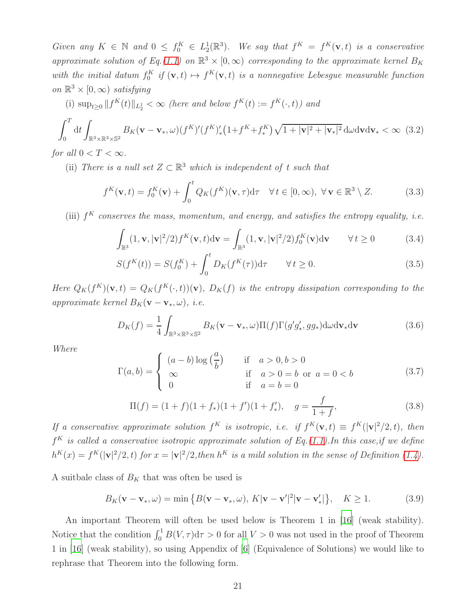Given any  $K \in \mathbb{N}$  and  $0 \leq f_0^K \in L_2^1(\mathbb{R}^3)$ . We say that  $f^K = f^K(\mathbf{v}, t)$  is a conservative approximate solution of Eq.[\(1.1\)](#page-0-0) on  $\mathbb{R}^3 \times [0, \infty)$  corresponding to the approximate kernel  $B_K$ with the initial datum  $f_0^K$  if  $(\mathbf{v}, t) \mapsto f^K(\mathbf{v}, t)$  is a nonnegative Lebesgue measurable function on  $\mathbb{R}^3 \times [0, \infty)$  satisfying

(i) sup<sub>t≥0</sub> 
$$
||f^K(t)||_{L_2^1} < \infty
$$
 (here and below  $f^K(t) := f^K(\cdot, t)$ ) and

$$
\int_0^T dt \int_{\mathbb{R}^3 \times \mathbb{R}^3 \times \mathbb{S}^2} B_K(\mathbf{v} - \mathbf{v}_*, \omega) (f^K)' (f^K)_*^{\prime} (1 + f^K + f^K_*) \sqrt{1 + |\mathbf{v}|^2 + |\mathbf{v}_*|^2} d\omega d\mathbf{v} d\mathbf{v}_* < \infty \tag{3.2}
$$

for all  $0 < T < \infty$ .

(ii) There is a null set  $Z \subset \mathbb{R}^3$  which is independent of t such that

$$
f^K(\mathbf{v}, t) = f_0^K(\mathbf{v}) + \int_0^t Q_K(f^K)(\mathbf{v}, \tau) d\tau \quad \forall t \in [0, \infty), \ \forall \mathbf{v} \in \mathbb{R}^3 \setminus Z. \tag{3.3}
$$

(iii)  $f^K$  conserves the mass, momentum, and energy, and satisfies the entropy equality, i.e.

$$
\int_{\mathbb{R}^3} (1, \mathbf{v}, |\mathbf{v}|^2 / 2) f^K(\mathbf{v}, t) d\mathbf{v} = \int_{\mathbb{R}^3} (1, \mathbf{v}, |\mathbf{v}|^2 / 2) f_0^K(\mathbf{v}) d\mathbf{v} \qquad \forall t \ge 0 \tag{3.4}
$$

$$
S(f^{K}(t)) = S(f_{0}^{K}) + \int_{0}^{t} D_{K}(f^{K}(\tau)) d\tau \qquad \forall t \ge 0.
$$
 (3.5)

Here  $Q_K(f^K)(\mathbf{v},t) = Q_K(f^K(\cdot,t))(\mathbf{v}), D_K(f)$  is the entropy dissipation corresponding to the approximate kernel  $B_K(\mathbf{v}-\mathbf{v}_*,\omega)$ , i.e.

$$
D_K(f) = \frac{1}{4} \int_{\mathbb{R}^3 \times \mathbb{R}^3 \times \mathbb{S}^2} B_K(\mathbf{v} - \mathbf{v}_*, \omega) \Pi(f) \Gamma(g' g'_*, g g_*) \mathrm{d}\omega \mathrm{d}\mathbf{v}_* \mathrm{d}\mathbf{v}
$$
(3.6)

Where

$$
\Gamma(a,b) = \begin{cases}\n(a-b)\log\left(\frac{a}{b}\right) & \text{if } a > 0, b > 0 \\
\infty & \text{if } a > 0 = b \text{ or } a = 0 < b \\
0 & \text{if } a = b = 0\n\end{cases}
$$
\n(3.7)

$$
\Pi(f) = (1+f)(1+f_*)(1+f')(1+f_*'), \quad g = \frac{f}{1+f}, \tag{3.8}
$$

If a conservative approximate solution  $f^K$  is isotropic, i.e. if  $f^K(\mathbf{v}, t) \equiv f^K(|\mathbf{v}|^2/2, t)$ , then  $f^K$  is called a conservative isotropic approximate solution of Eq.[\(1.1\)](#page-0-0). In this case, if we define  $h^K(x) = f^K(|v|^2/2,t)$  for  $x = |v|^2/2,$  then  $h^K$  is a mild solution in the sense of Definition [\(1.4\)](#page-5-0).

A suitbale class of  $B_K$  that was often be used is

<span id="page-20-1"></span><span id="page-20-0"></span>
$$
B_K(\mathbf{v} - \mathbf{v}_*, \omega) = \min\left\{B(\mathbf{v} - \mathbf{v}_*, \omega), K|\mathbf{v} - \mathbf{v}'|^2|\mathbf{v} - \mathbf{v}'_*|\right\}, \quad K \ge 1.
$$
 (3.9)

An important Theorem will often be used below is Theorem 1 in [\[16](#page-38-4)] (weak stability). Notice that the condition  $\int_0^1 B(V,\tau)d\tau > 0$  for all  $V > 0$  was not used in the proof of Theorem 1 in [\[16](#page-38-4)] (weak stability), so using Appendix of [\[6\]](#page-38-0) (Equivalence of Solutions) we would like to rephrase that Theorem into the following form.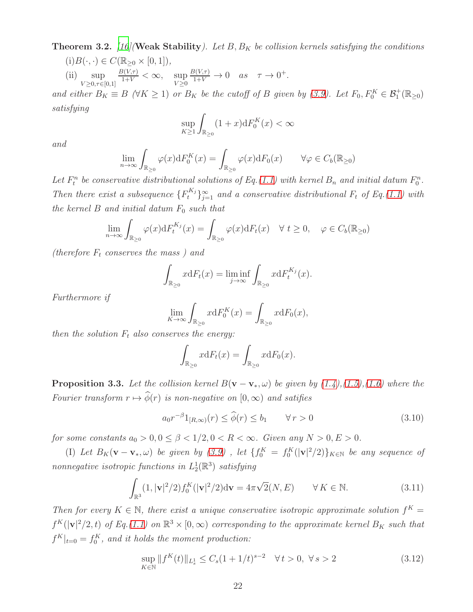**Theorem 3.2.** [\[16](#page-38-4)] (Weak Stability). Let B,  $B_K$  be collision kernels satisfying the conditions

(i) 
$$
B(\cdot, \cdot) \in C(\mathbb{R}_{\geq 0} \times [0, 1]),
$$
  
\n(ii)  $\sup_{V \geq 0, \tau \in [0, 1]} \frac{B(V, \tau)}{1 + V} < \infty$ ,  $\sup_{V \geq 0} \frac{B(V, \tau)}{1 + V} \to 0$  as  $\tau \to 0^+$ .

and either  $B_K \equiv B \ (\forall K \ge 1)$  or  $B_K$  be the cutoff of B given by [\(3.9\)](#page-20-1). Let  $F_0, F_0^K \in \mathcal{B}_1^+(\mathbb{R}_{\ge 0})$ satisfying

$$
\sup_{K\geq 1} \int_{\mathbb{R}_{\geq 0}} (1+x) \mathrm{d} F_0^K(x) < \infty
$$

and

$$
\lim_{n \to \infty} \int_{\mathbb{R}_{\geq 0}} \varphi(x) dF_0^K(x) = \int_{\mathbb{R}_{\geq 0}} \varphi(x) dF_0(x) \qquad \forall \varphi \in C_b(\mathbb{R}_{\geq 0})
$$

Let  $F_t^n$  be conservative distributional solutions of Eq.[\(1.1\)](#page-0-0) with kernel  $B_n$  and initial datum  $F_0^n$ . Then there exist a subsequence  $\{F_t^{K_j}\}_{j=1}^{\infty}$  and a conservative distributional  $F_t$  of Eq.[\(1.1\)](#page-0-0) with the kernel  $B$  and initial datum  $F_0$  such that

$$
\lim_{n \to \infty} \int_{\mathbb{R}_{\geq 0}} \varphi(x) dF_t^{K_j}(x) = \int_{\mathbb{R}_{\geq 0}} \varphi(x) dF_t(x) \quad \forall \ t \geq 0, \quad \varphi \in C_b(\mathbb{R}_{\geq 0})
$$

(therefore  $F_t$  conserves the mass) and

$$
\int_{\mathbb{R}_{\geq 0}} x dF_t(x) = \liminf_{j \to \infty} \int_{\mathbb{R}_{\geq 0}} x dF_t^{K_j}(x).
$$

Furthermore if

$$
\lim_{K \to \infty} \int_{\mathbb{R}_{\geq 0}} x dF_0^K(x) = \int_{\mathbb{R}_{\geq 0}} x dF_0(x),
$$

then the solution  $F_t$  also conserves the energy:

$$
\int_{\mathbb{R}_{\geq 0}} x dF_t(x) = \int_{\mathbb{R}_{\geq 0}} x dF_0(x).
$$

<span id="page-21-2"></span>**Proposition 3.3.** Let the collision kernel  $B(\mathbf{v} - \mathbf{v}_*, \omega)$  be given by  $(1.4)$ , $(1.5)$ , $(1.6)$  where the Fourier transform  $r \mapsto \widehat{\phi}(r)$  is non-negative on  $[0, \infty)$  and satifies

<span id="page-21-1"></span>
$$
a_0 r^{-\beta} 1_{[R,\infty)}(r) \le \widehat{\phi}(r) \le b_1 \qquad \forall \, r > 0 \tag{3.10}
$$

for some constants  $a_0 > 0, 0 \leq \beta < 1/2, 0 < R < \infty$ . Given any  $N > 0, E > 0$ .

(I) Let  $B_K(\mathbf{v}-\mathbf{v}_*,\omega)$  be given by [\(3.9\)](#page-20-1), let  $\{f_0^K = f_0^K(|\mathbf{v}|^2/2)\}_{K \in \mathbb{N}}$  be any sequence of nonnegative isotropic functions in  $L_2^1(\mathbb{R}^3)$  satisfying

$$
\int_{\mathbb{R}^3} (1, |\mathbf{v}|^2 / 2) f_0^K(|\mathbf{v}|^2 / 2) d\mathbf{v} = 4\pi \sqrt{2}(N, E) \qquad \forall K \in \mathbb{N}.
$$
 (3.11)

Then for every  $K \in \mathbb{N}$ , there exist a unique conservative isotropic approximate solution  $f^K =$  $f^K(|v|^2/2,t)$  of Eq.[\(1.1\)](#page-0-0) on  $\mathbb{R}^3 \times [0,\infty)$  corresponding to the approximate kernel  $B_K$  such that  $f^K|_{t=0} = f_0^K$ , and it holds the moment production:

<span id="page-21-0"></span>
$$
\sup_{K \in \mathbb{N}} \|f^K(t)\|_{L^1_s} \le C_s (1 + 1/t)^{s-2} \quad \forall \, t > 0, \ \forall \, s > 2 \tag{3.12}
$$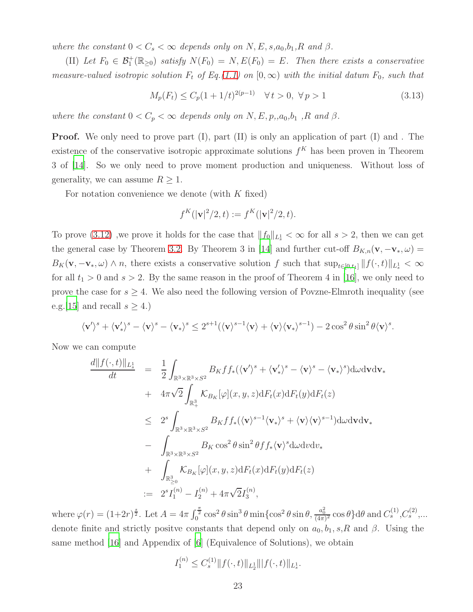where the constant  $0 < C_s < \infty$  depends only on N, E, s, a<sub>0</sub>, b<sub>1</sub>, R and  $\beta$ .

(II) Let  $F_0 \in \mathcal{B}_1^+(\mathbb{R}_{\geq 0})$  satisfy  $N(F_0) = N, E(F_0) = E$ . Then there exists a conservative measure-valued isotropic solution  $F_t$  of  $Eq. (1.1)$  $Eq. (1.1)$  on  $[0, \infty)$  with the initial datum  $F_0$ , such that

<span id="page-22-0"></span>
$$
M_p(F_t) \le C_p (1 + 1/t)^{2(p-1)} \quad \forall \, t > 0, \, \forall \, p > 1 \tag{3.13}
$$

where the constant  $0 < C_p < \infty$  depends only on N, E, p,,a<sub>0</sub>,b<sub>1</sub>,R and  $\beta$ .

**Proof.** We only need to prove part (I), part (II) is only an application of part (I) and. The existence of the conservative isotropic approximate solutions  $f<sup>K</sup>$  has been proven in Theorem 3 of [\[14](#page-38-5)]. So we only need to prove moment production and uniqueness. Without loss of generality, we can assume  $R \geq 1$ .

For notation convenience we denote (with  $K$  fixed)

$$
f^K(|\mathbf{v}|^2/2, t) := f^K(|\mathbf{v}|^2/2, t).
$$

To prove [\(3.12\)](#page-21-0), we prove it holds for the case that  $||f_0||_{L_s^1} < \infty$  for all  $s > 2$ , then we can get the general case by Theorem [3.2.](#page-20-0) By Theorem 3 in [\[14\]](#page-38-5) and further cut-off  $B_{K,n}(\mathbf{v}, -\mathbf{v}_*, \omega) =$  $B_K(\mathbf{v}, -\mathbf{v}_*, \omega) \wedge n$ , there exists a conservative solution f such that  $\sup_{t \in [0,t_1]} ||f(\cdot, t)||_{L^1_s} < \infty$ for all  $t_1 > 0$  and  $s > 2$ . By the same reason in the proof of Theorem 4 in [\[16\]](#page-38-4), we only need to prove the case for  $s \geq 4$ . We also need the following version of Povzne-Elmroth inequality (see e.g. [\[15](#page-38-11)] and recall  $s \geq 4$ .)

$$
\langle \mathbf{v}' \rangle^s + \langle \mathbf{v}'_* \rangle^s - \langle \mathbf{v} \rangle^s - \langle \mathbf{v}_* \rangle^s \leq 2^{s+1} (\langle \mathbf{v} \rangle^{s-1} \langle \mathbf{v} \rangle + \langle \mathbf{v} \rangle \langle \mathbf{v}_* \rangle^{s-1}) - 2 \cos^2 \theta \sin^2 \theta \langle \mathbf{v} \rangle^s.
$$

Now we can compute

$$
\frac{d||f(\cdot,t)||_{L_s^1}}{dt} = \frac{1}{2} \int_{\mathbb{R}^3 \times \mathbb{R}^3 \times S^2} B_K f f_*(\langle \mathbf{v}' \rangle^s + \langle \mathbf{v}'_* \rangle^s - \langle \mathbf{v} \rangle^s - \langle \mathbf{v}_* \rangle^s) d\omega \, d\mathbf{v}_* \n+ 4\pi \sqrt{2} \int_{\mathbb{R}^3_+} \mathcal{K}_{B_K}[\varphi](x, y, z) dF_t(x) dF_t(y) dF_t(z) \n\leq 2^s \int_{\mathbb{R}^3 \times \mathbb{R}^3 \times S^2} B_K f f_*(\langle \mathbf{v} \rangle^{s-1} \langle \mathbf{v}_* \rangle^s + \langle \mathbf{v} \rangle \langle \mathbf{v} \rangle^{s-1}) d\omega \, d\mathbf{v}_* \n- \int_{\mathbb{R}^3 \times \mathbb{R}^3 \times S^2} B_K \cos^2 \theta \sin^2 \theta f f_*(\mathbf{v})^s d\omega \, d\omega \, d\omega_* \n+ \int_{\mathbb{R}^3_{\geq 0}} \mathcal{K}_{B_K}[\varphi](x, y, z) dF_t(x) dF_t(y) dF_t(z) \n:= 2^s I_1^{(n)} - I_2^{(n)} + 4\pi \sqrt{2} I_3^{(n)},
$$

where  $\varphi(r) = (1+2r)^{\frac{s}{2}}$ . Let  $A = 4\pi \int_0^{\frac{\pi}{2}} \cos^2 \theta \sin^3 \theta \min\{\cos^2 \theta \sin \theta, \frac{a_0^2}{(4\pi)^2} \cos \theta\} d\theta$  and  $C_s^{(1)}$ ,  $C_s^{(2)}$ ,... denote finite and strictly positve constants that depend only on  $a_0, b_1, s, R$  and  $\beta$ . Using the same method  $[16]$  and Appendix of  $[6]$  (Equivalence of Solutions), we obtain

$$
I_1^{(n)} \le C_s^{(1)} \| f(\cdot, t) \|_{L_2^1} \| |f(\cdot, t) \|_{L_s^1}.
$$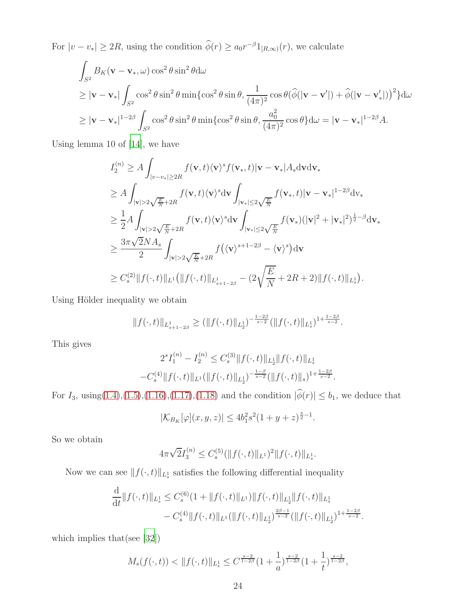For  $|v - v_*| \ge 2R$ , using the condition  $\phi(r) \ge a_0 r^{-\beta} 1_{[R,\infty)}(r)$ , we calculate

$$
\int_{S^2} B_K(\mathbf{v} - \mathbf{v}_*, \omega) \cos^2 \theta \sin^2 \theta d\omega
$$
\n
$$
\geq |\mathbf{v} - \mathbf{v}_*| \int_{S^2} \cos^2 \theta \sin^2 \theta \min \{ \cos^2 \theta \sin \theta, \frac{1}{(4\pi)^2} \cos \theta (\hat{\phi}(|\mathbf{v} - \mathbf{v}'|) + \hat{\phi}(|\mathbf{v} - \mathbf{v}'_*|))^2 \} d\omega
$$
\n
$$
\geq |\mathbf{v} - \mathbf{v}_*|^{1 - 2\beta} \int_{S^2} \cos^2 \theta \sin^2 \theta \min \{ \cos^2 \theta \sin \theta, \frac{a_0^2}{(4\pi)^2} \cos \theta \} d\omega = |\mathbf{v} - \mathbf{v}_*|^{1 - 2\beta} A.
$$

Using lemma 10 of [\[14\]](#page-38-5), we have

$$
I_{2}^{(n)} \geq A \int_{|v-v_{*}| \geq 2R} f(\mathbf{v}, t) \langle \mathbf{v} \rangle^{s} f(\mathbf{v}_{*}, t) | \mathbf{v} - \mathbf{v}_{*} | A_{s} \text{d} \mathbf{v} \text{d} \mathbf{v}_{*}
$$
  
\n
$$
\geq A \int_{|\mathbf{v}| > 2\sqrt{\frac{E}{N}} + 2R} f(\mathbf{v}, t) \langle \mathbf{v} \rangle^{s} d\mathbf{v} \int_{|\mathbf{v}_{*}| \leq 2\sqrt{\frac{E}{N}}} f(\mathbf{v}_{*}, t) |\mathbf{v} - \mathbf{v}_{*}|^{1-2\beta} d\mathbf{v}_{*}
$$
  
\n
$$
\geq \frac{1}{2} A \int_{|\mathbf{v}| > 2\sqrt{\frac{E}{N}} + 2R} f(\mathbf{v}, t) \langle \mathbf{v} \rangle^{s} d\mathbf{v} \int_{|\mathbf{v}_{*}| \leq 2\sqrt{\frac{E}{N}}} f(\mathbf{v}_{*}) (|\mathbf{v}|^{2} + |\mathbf{v}_{*}|^{2})^{\frac{1}{2} - \beta} d\mathbf{v}_{*}
$$
  
\n
$$
\geq \frac{3\pi \sqrt{2} N A_{s}}{2} \int_{|\mathbf{v}| > 2\sqrt{\frac{E}{N}} + 2R} f(\langle \mathbf{v} \rangle^{s+1-2\beta} - \langle \mathbf{v} \rangle^{s}) d\mathbf{v}
$$
  
\n
$$
\geq C_{s}^{(2)} \|f(\cdot, t)\|_{L^{1}} (\|f(\cdot, t)\|_{L^{1}_{s+1-2\beta}} - (2\sqrt{\frac{E}{N}} + 2R + 2) \|f(\cdot, t)\|_{L^{1}_{s}}).
$$

Using Hölder inequality we obtain

$$
||f(\cdot,t)||_{L^1_{s+1-2\beta}} \geq (||f(\cdot,t)||_{L^1_2})^{-\frac{1-2\beta}{s-2}} (||f(\cdot,t)||_{L^1_s})^{1+\frac{1-2\beta}{s-2}}.
$$

This gives

$$
2^{s}I_{1}^{(n)} - I_{2}^{(n)} \leq C_{s}^{(3)} \|f(\cdot,t)\|_{L_{2}^{1}} \|f(\cdot,t)\|_{L_{s}^{1}} -C_{s}^{(4)} \|f(\cdot,t)\|_{L^{1}} (\|f(\cdot,t)\|_{L_{2}^{1}})^{-\frac{1-\beta}{s-2}} (\|f(\cdot,t)\|_{s})^{1+\frac{1-2\beta}{s-2}}.
$$

For  $I_3$ , using[\(1.4\)](#page-1-0),[\(1.5\)](#page-1-3),[\(1.16\)](#page-3-0),[\(1.17\)](#page-4-0),[\(1.18\)](#page-4-1) and the condition  $|\hat{\phi}(r)| \le b_1$ , we deduce that

$$
|\mathcal{K}_{B_K}[\varphi](x,y,z)| \le 4b_1^2 s^2 (1+y+z)^{\frac{s}{2}-1}.
$$

So we obtain

$$
4\pi\sqrt{2}I_3^{(n)} \leq C_s^{(5)}(\|f(\cdot,t)\|_{L^1})^2\|f(\cdot,t)\|_{L^1_s}.
$$

Now we can see  $||f(\cdot, t)||_{L^1_s}$  satisfies the following differential inequality

$$
\frac{\mathrm{d}}{\mathrm{d}t} \|f(\cdot,t)\|_{L^1_s} \leq C_s^{(6)} (1 + \|f(\cdot,t)\|_{L^1}) \|f(\cdot,t)\|_{L^1_s} \|f(\cdot,t)\|_{L^1_s} \n- C_s^{(4)} \|f(\cdot,t)\|_{L^1} (\|f(\cdot,t)\|_{L^1_s})^{\frac{2\beta-1}{s-2}} (\|f(\cdot,t)\|_{L^1_s})^{1+\frac{1-2\beta}{s-2}}.
$$

which implies that(see [\[32](#page-39-10)])

$$
M_s(f(\cdot,t)) < ||f(\cdot,t)||_{L_s^1} \leq C^{\frac{s-2}{1-2\beta}} (1+\frac{1}{a})^{\frac{s-2}{1-2\beta}} (1+\frac{1}{t})^{\frac{s-2}{1-2\beta}},
$$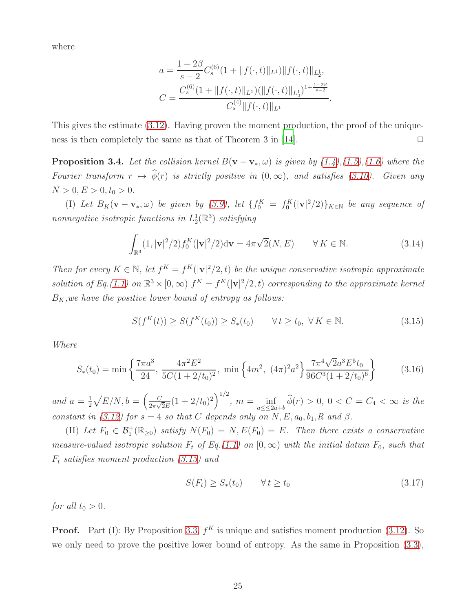where

$$
a = \frac{1 - 2\beta}{s - 2} C_s^{(6)} (1 + \|f(\cdot, t)\|_{L^1}) \|f(\cdot, t)\|_{L^1},
$$
  

$$
C = \frac{C_s^{(6)} (1 + \|f(\cdot, t)\|_{L^1}) (\|f(\cdot, t)\|_{L^1})^{1 + \frac{1 - 2\beta}{s - 2}}}{C_s^{(4)} \|f(\cdot, t)\|_{L^1}}.
$$

<span id="page-24-1"></span>This gives the estimate [\(3.12\)](#page-21-0). Having proven the moment production, the proof of the unique-ness is then completely the same as that of Theorem 3 in [\[14\]](#page-38-5).  $\Box$ 

**Proposition 3.4.** Let the collision kernel  $B(\mathbf{v} - \mathbf{v}_*, \omega)$  is given by  $(1.4)$ , $(1.5)$ , $(1.6)$  where the Fourier transform  $r \mapsto \hat{\phi}(r)$  is strictly positive in  $(0, \infty)$ , and satisfies [\(3.10\)](#page-21-1). Given any  $N > 0, E > 0, t_0 > 0.$ 

(I) Let  $B_K(\mathbf{v}-\mathbf{v}_*,\omega)$  be given by [\(3.9\)](#page-20-1), let  $\{f_0^K = f_0^K(|\mathbf{v}|^2/2)\}_{K \in \mathbb{N}}$  be any sequence of nonnegative isotropic functions in  $L_2^1(\mathbb{R}^3)$  satisfying

$$
\int_{\mathbb{R}^3} (1, |\mathbf{v}|^2 / 2) f_0^K(|\mathbf{v}|^2 / 2) d\mathbf{v} = 4\pi \sqrt{2}(N, E) \qquad \forall K \in \mathbb{N}.
$$
 (3.14)

Then for every  $K \in \mathbb{N}$ , let  $f^K = f^K(|v|^2/2, t)$  be the unique conservative isotropic approximate solution of Eq.[\(1.1\)](#page-0-0) on  $\mathbb{R}^3 \times [0, \infty)$   $f^K = f^K(|v|^2/2, t)$  corresponding to the approximate kernel  $B_K$ , we have the positive lower bound of entropy as follows:

<span id="page-24-0"></span>
$$
S(f^K(t)) \ge S(f^K(t_0)) \ge S_*(t_0) \qquad \forall t \ge t_0, \ \forall K \in \mathbb{N}.
$$
 (3.15)

Where

$$
S_*(t_0) = \min\left\{\frac{7\pi a^3}{24}, \frac{4\pi^2 E^2}{5C(1+2/t_0)^2}, \min\left\{4m^2, (4\pi)^2 a^2\right\} \frac{7\pi^4 \sqrt{2} a^3 E^5 t_0}{96C^3 (1+2/t_0)^6}\right\}
$$
(3.16)

and  $a=\frac{1}{2}$  $\frac{1}{2}\sqrt{E/N}, b = \left(\frac{C}{2\pi\sqrt{2}}\right)$  $\frac{C}{2\pi\sqrt{2}E}(1+2/t_0)^2\bigg)^{1/2}, m=\inf_{a\leq 0\leq 2a}$  $\inf_{a \leq 2a+b} \phi(r) > 0, \ 0 < C = C_4 < \infty \ \text{ is the}$ constant in [\(3.12\)](#page-21-0) for  $s = 4$  so that C depends only on N, E,  $a_0, b_1, R$  and  $\beta$ .

(II) Let  $F_0 \in \mathcal{B}_1^+(\mathbb{R}_{\geq 0})$  satisfy  $N(F_0) = N$ ,  $E(F_0) = E$ . Then there exists a conservative measure-valued isotropic solution  $F_t$  of Eq.[\(1.1\)](#page-0-0) on  $[0, \infty)$  with the initial datum  $F_0$ , such that  $F_t$  satisfies moment production  $(3.13)$  and

$$
S(F_t) \ge S_*(t_0) \qquad \forall \, t \ge t_0 \tag{3.17}
$$

for all  $t_0 > 0$ .

**Proof.** Part (I): By Proposition [3.3,](#page-21-2)  $f^K$  is unique and satisfies moment production [\(3.12\)](#page-21-0). So we only need to prove the positive lower bound of entropy. As the same in Proposition [\(3.3\)](#page-21-2),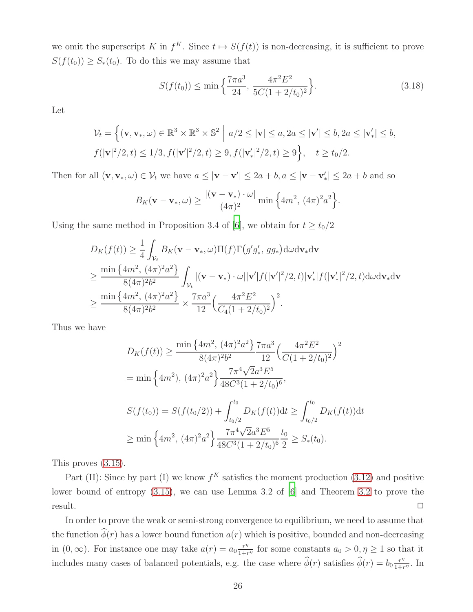we omit the superscript K in  $f^K$ . Since  $t \mapsto S(f(t))$  is non-decreasing, it is sufficient to prove  $S(f(t_0)) \geq S_*(t_0)$ . To do this we may assume that

$$
S(f(t_0)) \le \min\left\{\frac{7\pi a^3}{24}, \frac{4\pi^2 E^2}{5C(1+2/t_0)^2}\right\}.
$$
\n(3.18)

Let

$$
\mathcal{V}_t = \left\{ (\mathbf{v}, \mathbf{v}_*, \omega) \in \mathbb{R}^3 \times \mathbb{R}^3 \times \mathbb{S}^2 \middle| a/2 \le |\mathbf{v}| \le a, 2a \le |\mathbf{v}'| \le b, 2a \le |\mathbf{v}'_*| \le b, \nf(|\mathbf{v}|^2/2, t) \le 1/3, f(|\mathbf{v}'|^2/2, t) \ge 9, f(|\mathbf{v}'_*|^2/2, t) \ge 9 \right\}, \quad t \ge t_0/2.
$$

Then for all  $(\mathbf{v}, \mathbf{v}_*, \omega) \in \mathcal{V}_t$  we have  $a \leq |\mathbf{v} - \mathbf{v}'| \leq 2a + b, a \leq |\mathbf{v} - \mathbf{v}'_*| \leq 2a + b$  and so

$$
B_K(\mathbf{v}-\mathbf{v}_*,\omega) \ge \frac{|(\mathbf{v}-\mathbf{v}_*)\cdot\omega|}{(4\pi)^2}\min\left\{4m^2, (4\pi)^2a^2\right\}.
$$

Using the same method in Proposition 3.4 of [\[6\]](#page-38-0), we obtain for  $t \ge t_0/2$ 

$$
D_{K}(f(t)) \geq \frac{1}{4} \int_{\mathcal{V}_{t}} B_{K}(\mathbf{v} - \mathbf{v}_{*}, \omega) \Pi(f) \Gamma(g'g'_{*}, gg_{*}) d\omega d\mathbf{v}_{*} d\mathbf{v}
$$
  
\n
$$
\geq \frac{\min \{4m^{2}, (4\pi)^{2}a^{2}\}}{8(4\pi)^{2}b^{2}} \int_{\mathcal{V}_{t}} |(\mathbf{v} - \mathbf{v}_{*}) \cdot \omega| |\mathbf{v}'| f(|\mathbf{v}'|^{2}/2, t) |\mathbf{v}'_{*}| f(|\mathbf{v}'_{*}|^{2}/2, t) d\omega d\mathbf{v}_{*} d\mathbf{v}
$$
  
\n
$$
\geq \frac{\min \{4m^{2}, (4\pi)^{2}a^{2}\}}{8(4\pi)^{2}b^{2}} \times \frac{7\pi a^{3}}{12} \Big(\frac{4\pi^{2}E^{2}}{C_{4}(1+2/t_{0})^{2}}\Big)^{2}.
$$

Thus we have

$$
D_K(f(t)) \ge \frac{\min\left\{4m^2, (4\pi)^2a^2\right\}}{8(4\pi)^2b^2} \frac{7\pi a^3}{12} \left(\frac{4\pi^2 E^2}{C(1+2/t_0)^2}\right)^2
$$
  
=  $\min\left\{4m^2\right), (4\pi)^2a^2\right\} \frac{7\pi^4\sqrt{2}a^3E^5}{48C^3(1+2/t_0)^6},$   

$$
S(f(t_0)) = S(f(t_0/2)) + \int_{t_0/2}^{t_0} D_K(f(t))dt \ge \int_{t_0/2}^{t_0} D_K(f(t))dt
$$
  

$$
\ge \min\left\{4m^2, (4\pi)^2a^2\right\} \frac{7\pi^4\sqrt{2}a^3E^5}{48C^3(1+2/t_0)^6} \frac{t_0}{2} \ge S_*(t_0).
$$

This proves [\(3.15\)](#page-24-0).

Part (II): Since by part (I) we know  $f^K$  satisfies the moment production [\(3.12\)](#page-21-0) and positive lower bound of entropy [\(3.15\)](#page-24-0), we can use Lemma 3.2 of [\[6\]](#page-38-0) and Theorem [3.2](#page-20-0) to prove the  $r$ esult.  $\Box$ 

In order to prove the weak or semi-strong convergence to equilibrium, we need to assume that the function  $\hat{\phi}(r)$  has a lower bound function  $a(r)$  which is positive, bounded and non-decreasing in  $(0, \infty)$ . For instance one may take  $a(r) = a_0 \frac{r^n}{1+r}$  $\frac{r}{1+r^{\eta}}$  for some constants  $a_0 > 0, \eta \ge 1$  so that it includes many cases of balanced potentials, e.g. the case where  $\hat{\phi}(r)$  satisfies  $\hat{\phi}(r) = b_0 \frac{r^n}{1+r}$  $\frac{r^{\prime\prime}}{1+r^{\eta}}$ . In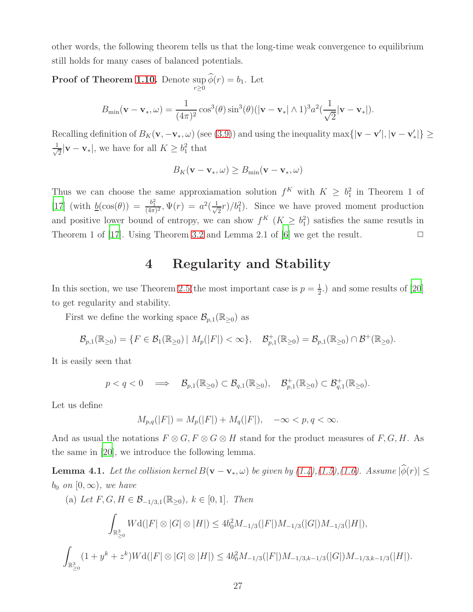other words, the following theorem tells us that the long-time weak convergence to equilibrium still holds for many cases of balanced potentials.

Proof of Theorem [1.10.](#page-9-1) Denote sup  $r \geq 0$  $\phi(r) = b_1$ . Let

$$
B_{\min}(\mathbf{v}-\mathbf{v}_*,\omega)=\frac{1}{(4\pi)^2}\cos^3(\theta)\sin^3(\theta)(|\mathbf{v}-\mathbf{v}_*|\wedge 1)^3a^2(\frac{1}{\sqrt{2}}|\mathbf{v}-\mathbf{v}_*|).
$$

Recalling definition of  $B_K(\mathbf{v}, -\mathbf{v}_*, \omega)$  (see [\(3.9\)](#page-20-1)) and using the inequality  $\max\{|\mathbf{v}-\mathbf{v}'|, |\mathbf{v}-\mathbf{v}'_*|\}\ge$ √ 1  $\frac{1}{2}|\mathbf{v}-\mathbf{v}_*|$ , we have for all  $K \geq b_1^2$  that

$$
B_K(\mathbf{v} - \mathbf{v}_*, \omega) \ge B_{\min}(\mathbf{v} - \mathbf{v}_*, \omega)
$$

Thus we can choose the same approxiamation solution  $f^K$  with  $K \geq b_1^2$  in Theorem 1 of [\[17\]](#page-38-6) (with  $\underline{b}(\cos(\theta)) = \frac{b_1^2}{(4\pi)^2}$ ,  $\Psi(r) = a^2(\frac{1}{\sqrt{2}})$  $(\frac{1}{2}r)/b_1^2$ . Since we have proved moment production and positive lower bound of entropy, we can show  $f^K$   $(K \geq b_1^2)$  satisfies the same resuths in Theorem 1 of [\[17\]](#page-38-6). Using Theorem [3.2](#page-20-0) and Lemma 2.1 of [\[6](#page-38-0)] we get the result.  $\Box$ 

### 4 Regularity and Stability

In this section, we use Theorem [2.5\(](#page-17-0)the most important case is  $p = \frac{1}{2}$  $\frac{1}{2}$ .) and some results of [\[20\]](#page-39-9) to get regularity and stability.

First we define the working space  $\mathcal{B}_{p,1}(\mathbb{R}_{\geq 0})$  as

$$
\mathcal{B}_{p,1}(\mathbb{R}_{\geq 0}) = \{F \in \mathcal{B}_1(\mathbb{R}_{\geq 0}) \mid M_p(|F|) < \infty\}, \quad \mathcal{B}_{p,1}^+(\mathbb{R}_{\geq 0}) = \mathcal{B}_{p,1}(\mathbb{R}_{\geq 0}) \cap \mathcal{B}^+(\mathbb{R}_{\geq 0}).
$$

It is easily seen that

$$
p < q < 0 \quad \Longrightarrow \quad \mathcal{B}_{p,1}(\mathbb{R}_{\geq 0}) \subset \mathcal{B}_{q,1}(\mathbb{R}_{\geq 0}), \quad \mathcal{B}_{p,1}^+(\mathbb{R}_{\geq 0}) \subset \mathcal{B}_{q,1}^+(\mathbb{R}_{\geq 0}).
$$

Let us define

$$
M_{p,q}(|F|) = M_p(|F|) + M_q(|F|), \quad -\infty < p, q < \infty.
$$

And as usual the notations  $F \otimes G$ ,  $F \otimes G \otimes H$  stand for the product measures of  $F$ ,  $G$ ,  $H$ . As the same in [\[20](#page-39-9)], we introduce the following lemma.

<span id="page-26-0"></span>**Lemma 4.1.** Let the collision kernel  $B(\mathbf{v} - \mathbf{v}_*, \omega)$  be given by  $(1.4), (1.5), (1.6)$  $(1.4), (1.5), (1.6)$  $(1.4), (1.5), (1.6)$  $(1.4), (1.5), (1.6)$ . Assume  $|\hat{\phi}(r)| \leq$  $b_0$  on  $[0, \infty)$ , we have

(a) Let 
$$
F, G, H \in \mathcal{B}_{-1/3,1}(\mathbb{R}_{\geq 0}), k \in [0, 1]
$$
. Then  
\n
$$
\int_{\mathbb{R}_{\geq 0}^3} W d(|F| \otimes |G| \otimes |H|) \leq 4b_0^2 M_{-1/3}(|F|) M_{-1/3}(|G|) M_{-1/3}(|H|),
$$
\n
$$
\int_{\mathbb{R}_{\geq 0}^3} (1 + y^k + z^k) W d(|F| \otimes |G| \otimes |H|) \leq 4b_0^2 M_{-1/3}(|F|) M_{-1/3,k-1/3}(|G|) M_{-1/3,k-1/3}(|H|).
$$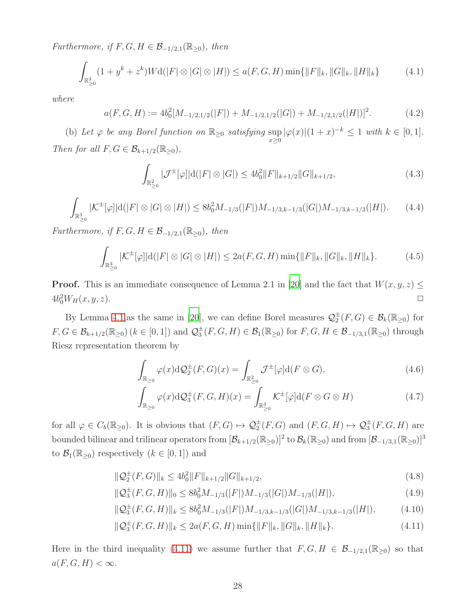Furthermore, if  $F, G, H \in \mathcal{B}_{-1/2,1}(\mathbb{R}_{\geq 0})$ , then

$$
\int_{\mathbb{R}^3_{\geq 0}} (1 + y^k + z^k) W \mathrm{d}(|F| \otimes |G| \otimes |H|) \leq a(F, G, H) \min\{\|F\|_k, \|G\|_k, \|H\|_k\} \tag{4.1}
$$

where

$$
a(F, G, H) := 4b_0^2[M_{-1/2, 1/2}(|F|) + M_{-1/2, 1/2}(|G|) + M_{-1/2, 1/2}(|H|)]^2.
$$
 (4.2)

(b) Let  $\varphi$  be any Borel function on  $\mathbb{R}_{\geq 0}$  satisfying  $\sup_{x\geq 0} |\varphi(x)|(1+x)^{-k} \leq 1$  with  $k \in [0,1]$ . Then for all  $F, G \in \mathcal{B}_{k+1/2}(\mathbb{R}_{\geq 0}),$ 

$$
\int_{\mathbb{R}^2_{\geq 0}} |\mathcal{J}^{\pm}[\varphi]|d(|F| \otimes |G|) \leq 4b_0^2 \|F\|_{k+1/2} \|G\|_{k+1/2},\tag{4.3}
$$

$$
\int_{\mathbb{R}^3_{\geq 0}} |\mathcal{K}^{\pm}[\varphi]|d(|F| \otimes |G| \otimes |H|) \leq 8b_0^2 M_{-1/3}(|F|)M_{-1/3,k-1/3}(|G|)M_{-1/3,k-1/3}(|H|). \tag{4.4}
$$

Furthermore, if  $F, G, H \in \mathcal{B}_{-1/2,1}(\mathbb{R}_{\geq 0}),$  then

$$
\int_{\mathbb{R}^3_{\geq 0}} |\mathcal{K}^{\pm}[\varphi]|d(|F| \otimes |G| \otimes |H|) \leq 2a(F, G, H) \min\{\|F\|_k, \|G\|_k, \|H\|_k\}.
$$
 (4.5)

**Proof.** This is an immediate consequence of Lemma 2.1 in [\[20\]](#page-39-9) and the fact that  $W(x, y, z) \leq$  $4b_0^2W_H(x, y, z).$ 

By Lemma [4.1,](#page-26-0)as the same in [\[20\]](#page-39-9), we can define Borel measures  $\mathcal{Q}_2^{\pm}(F, G) \in \mathcal{B}_k(\mathbb{R}_{\geq 0})$  for  $F, G \in \mathcal{B}_{k+1/2}(\mathbb{R}_{\geq 0})$   $(k \in [0, 1])$  and  $\mathcal{Q}_3^{\pm}(F, G, H) \in \mathcal{B}_1(\mathbb{R}_{\geq 0})$  for  $F, G, H \in \mathcal{B}_{-1/3,1}(\mathbb{R}_{\geq 0})$  through Riesz representation theorem by

$$
\int_{\mathbb{R}_{\geq 0}} \varphi(x) \mathrm{d}\mathcal{Q}_2^{\pm}(F, G)(x) = \int_{\mathbb{R}_{\geq 0}^2} \mathcal{J}^{\pm}[\varphi] \mathrm{d}(F \otimes G),\tag{4.6}
$$

$$
\int_{\mathbb{R}_{\geq 0}} \varphi(x) \mathrm{d}\mathcal{Q}_{3}^{\pm}(F, G, H)(x) = \int_{\mathbb{R}_{\geq 0}^{3}} \mathcal{K}^{\pm}[\varphi] \mathrm{d}(F \otimes G \otimes H) \tag{4.7}
$$

for all  $\varphi \in C_b(\mathbb{R}_{\geq 0})$ . It is obvious that  $(F, G) \mapsto \mathcal{Q}_2^{\pm}(F, G)$  and  $(F, G, H) \mapsto \mathcal{Q}_3^{\pm}(F, G, H)$  are bounded bilinear and trilinear operators from  $[\mathcal{B}_{k+1/2}(\mathbb{R}_{\geq 0})]^2$  to  $\mathcal{B}_k(\mathbb{R}_{\geq 0})$  and from  $[\mathcal{B}_{-1/3,1}(\mathbb{R}_{\geq 0})]^3$ to  $\mathcal{B}_1(\mathbb{R}_{\geq 0})$  respectively  $(k \in [0,1])$  and

<span id="page-27-0"></span>
$$
\|\mathcal{Q}_2^{\pm}(F,G)\|_{k} \le 4b_0^2 \|F\|_{k+1/2} \|G\|_{k+1/2},\tag{4.8}
$$

$$
\|\mathcal{Q}_3^{\pm}(F,G,H)\|_0 \le 8b_0^2 M_{-1/3}(|F|)M_{-1/3}(|G|)M_{-1/3}(|H|),\tag{4.9}
$$

$$
\|\mathcal{Q}_3^{\pm}(F,G,H)\|_{k} \le 8b_0^2 M_{-1/3}(|F|)M_{-1/3,k-1/3}(|G|)M_{-1/3,k-1/3}(|H|),\tag{4.10}
$$

$$
\|\mathcal{Q}_3^{\pm}(F,G,H)\|_{k} \le 2a(F,G,H)\min\{\|F\|_{k},\|G\|_{k},\|H\|_{k}\}.
$$
\n(4.11)

Here in the third inequality [\(4.11\)](#page-27-0) we assume further that  $F, G, H \in \mathcal{B}_{-1/2,1}(\mathbb{R}_{\geq 0})$  so that  $a(F, G, H) < \infty$ .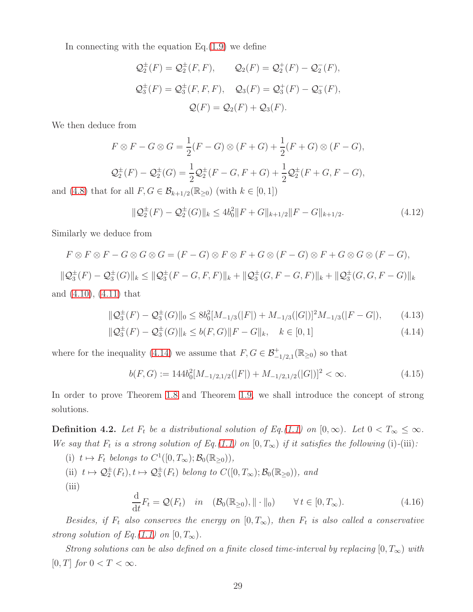In connecting with the equation  $Eq.(1.9)$  $Eq.(1.9)$  we define

$$
Q_2^{\pm}(F) = Q_2^{\pm}(F, F),
$$
  $Q_2(F) = Q_2^+(F) - Q_2^-(F),$   
\n $Q_3^{\pm}(F) = Q_3^{\pm}(F, F, F),$   $Q_3(F) = Q_3^+(F) - Q_3^-(F),$   
\n $Q(F) = Q_2(F) + Q_3(F).$ 

We then deduce from

$$
F \otimes F - G \otimes G = \frac{1}{2}(F - G) \otimes (F + G) + \frac{1}{2}(F + G) \otimes (F - G),
$$
  

$$
\mathcal{Q}_2^{\pm}(F) - \mathcal{Q}_2^{\pm}(G) = \frac{1}{2}\mathcal{Q}_2^{\pm}(F - G, F + G) + \frac{1}{2}\mathcal{Q}_2^{\pm}(F + G, F - G),
$$
for all  $F \in G \subseteq \mathcal{B}$  (Fig. ). (with  $h \in [0, 1]$ ).

and [\(4.8\)](#page-27-0) that for all  $F, G \in \mathcal{B}_{k+1/2}(\mathbb{R}_{\geq 0})$  (with  $k \in [0,1]$ )

<span id="page-28-2"></span>
$$
\|\mathcal{Q}_2^{\pm}(F) - \mathcal{Q}_2^{\pm}(G)\|_{k} \le 4b_0^2 \|F + G\|_{k+1/2} \|F - G\|_{k+1/2}.
$$
\n(4.12)

Similarly we deduce from

$$
F \otimes F \otimes F - G \otimes G \otimes G = (F - G) \otimes F \otimes F + G \otimes (F - G) \otimes F + G \otimes G \otimes (F - G),
$$
  

$$
\|\mathcal{Q}_3^{\pm}(F) - \mathcal{Q}_3^{\pm}(G)\|_k \le \|\mathcal{Q}_3^{\pm}(F - G, F, F)\|_k + \|\mathcal{Q}_3^{\pm}(G, F - G, F)\|_k + \|\mathcal{Q}_3^{\pm}(G, G, F - G)\|_k
$$

and 
$$
(4.10)
$$
,  $(4.11)$  that

<span id="page-28-0"></span>
$$
\|\mathcal{Q}_3^{\pm}(F) - \mathcal{Q}_3^{\pm}(G)\|_0 \le 8b_0^2[M_{-1/3}(|F|) + M_{-1/3}(|G|)]^2M_{-1/3}(|F - G|),\tag{4.13}
$$

$$
\|\mathcal{Q}_3^{\pm}(F) - \mathcal{Q}_3^{\pm}(G)\|_{k} \le b(F,G)\|F - G\|_{k}, \quad k \in [0,1]
$$
\n(4.14)

where for the inequality [\(4.14\)](#page-28-0) we assume that  $F, G \in \mathcal{B}^+_{-1/2,1}(\mathbb{R}_{\geq 0})$  so that

$$
b(F, G) := 144b_0^2[M_{-1/2, 1/2}(|F|) + M_{-1/2, 1/2}(|G|)]^2 < \infty.
$$
\n(4.15)

In order to prove Theorem [1.8](#page-8-3) and Theorem [1.9,](#page-8-2) we shall introduce the concept of strong solutions.

**Definition 4.2.** Let  $F_t$  be a distributional solution of Eq.[\(1.1\)](#page-0-0) on  $[0, \infty)$ . Let  $0 < T_\infty \leq \infty$ . We say that  $F_t$  is a strong solution of Eq.[\(1.1\)](#page-0-0) on  $[0, T_{\infty})$  if it satisfies the following (i)-(iii):

<span id="page-28-1"></span>(i) 
$$
t \mapsto F_t
$$
 belongs to  $C^1([0, T_{\infty}); \mathcal{B}_0(\mathbb{R}_{\ge 0}))$ ,  
\n(ii)  $t \mapsto \mathcal{Q}_2^{\pm}(F_t), t \mapsto \mathcal{Q}_3^{\pm}(F_t)$  belong to  $C([0, T_{\infty}); \mathcal{B}_0(\mathbb{R}_{\ge 0}))$ , and  
\n(iii)  
\n
$$
\frac{d}{dt}F_t = \mathcal{Q}(F_t) \quad in \quad (\mathcal{B}_0(\mathbb{R}_{\ge 0}), || \cdot ||_0) \qquad \forall t \in [0, T_{\infty}).
$$
\n(4.16)

Besides, if  $F_t$  also conserves the energy on  $[0, T_{\infty})$ , then  $F_t$  is also called a conservative strong solution of Eq.[\(1.1\)](#page-0-0) on  $[0, T_{\infty})$ .

<span id="page-28-3"></span>Strong solutions can be also defined on a finite closed time-interval by replacing  $[0, T_{\infty})$  with [0, T] for  $0 < T < \infty$ .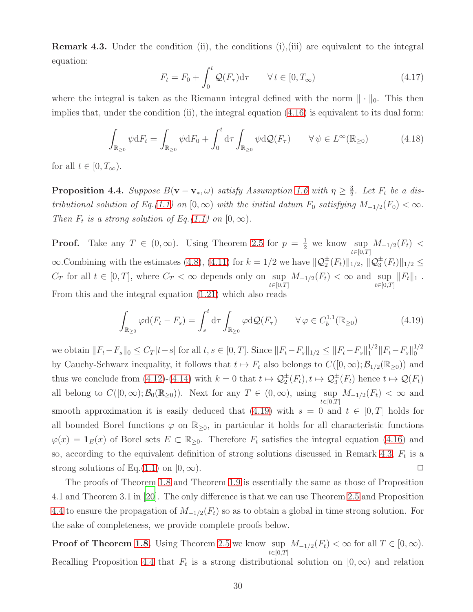Remark 4.3. Under the condition (ii), the conditions (i),(iii) are equivalent to the integral equation:

$$
F_t = F_0 + \int_0^t \mathcal{Q}(F_\tau) d\tau \qquad \forall \, t \in [0, T_\infty)
$$
\n
$$
(4.17)
$$

where the integral is taken as the Riemann integral defined with the norm  $\|\cdot\|_0$ . This then implies that, under the condition  $(ii)$ , the integral equation  $(4.16)$  is equivalent to its dual form:

<span id="page-29-2"></span>
$$
\int_{\mathbb{R}_{\geq 0}} \psi \, dF_t = \int_{\mathbb{R}_{\geq 0}} \psi \, dF_0 + \int_0^t d\tau \int_{\mathbb{R}_{\geq 0}} \psi \, d\mathcal{Q}(F_\tau) \qquad \forall \, \psi \in L^\infty(\mathbb{R}_{\geq 0}) \tag{4.18}
$$

<span id="page-29-1"></span>for all  $t \in [0, T_{\infty})$ .

**Proposition 4.4.** Suppose  $B(\mathbf{v}-\mathbf{v}_*,\omega)$  satisfy Assumption [1.6](#page-7-2) with  $\eta \geq \frac{3}{2}$  $\frac{3}{2}$ . Let  $F_t$  be a dis-tributional solution of Eq.[\(1.1\)](#page-0-0) on [0, ∞) with the initial datum  $F_0$  satisfying  $M_{-1/2}(F_0) < \infty$ . Then  $F_t$  is a strong solution of Eq.[\(1.1\)](#page-0-0) on  $[0, \infty)$ .

**Proof.** Take any  $T \in (0, \infty)$ . Using Theorem [2.5](#page-17-0) for  $p = \frac{1}{2}$  we know sup  $t \in [0,T]$  $M_{-1/2}(F_t)$  <  $\infty$ . Combining with the estimates [\(4.8\)](#page-27-0), [\(4.11\)](#page-27-0) for  $k = 1/2$  we have  $\|\mathcal{Q}_2^{\pm}(F_t)\|_{1/2}$ ,  $\|\mathcal{Q}_3^{\pm}(F_t)\|_{1/2} \leq$  $C_T$  for all  $t \in [0, T]$ , where  $C_T < \infty$  depends only on sup  $t \in [0,T]$  $M_{-1/2}(F_t) < \infty$  and sup  $t \in [0,T]$  $||F_t||_1$ . From this and the integral equation [\(1.21\)](#page-4-2) which also reads

<span id="page-29-0"></span>
$$
\int_{\mathbb{R}_{\geq 0}} \varphi d(F_t - F_s) = \int_s^t d\tau \int_{\mathbb{R}_{\geq 0}} \varphi d\mathcal{Q}(F_\tau) \qquad \forall \varphi \in C_b^{1,1}(\mathbb{R}_{\geq 0})
$$
\n(4.19)

we obtain  $||F_t-F_s||_0 \leq C_T |t-s|$  for all  $t, s \in [0, T]$ . Since  $||F_t-F_s||_{1/2} \leq ||F_t-F_s||_1^{1/2} ||F_t-F_s||_0^{1/2}$ 0 by Cauchy-Schwarz inequality, it follows that  $t \mapsto F_t$  also belongs to  $C([0,\infty); \mathcal{B}_{1/2}(\mathbb{R}_{\geq 0}))$  and thus we conclude from [\(4.12\)](#page-28-2)-[\(4.14\)](#page-28-0) with  $k = 0$  that  $t \mapsto Q_2^{\pm}(F_t), t \mapsto Q_3^{\pm}(F_t)$  hence  $t \mapsto Q(F_t)$ all belong to  $C([0,\infty); \mathcal{B}_0(\mathbb{R}_{\geq 0}))$ . Next for any  $T \in (0,\infty)$ , using  $\sup_{t \in [0,T]} M_{-1/2}(F_t) < \infty$  and  $t \in [0,T]$ smooth approximation it is easily deduced that [\(4.19\)](#page-29-0) with  $s = 0$  and  $t \in [0, T]$  holds for all bounded Borel functions  $\varphi$  on  $\mathbb{R}_{\geq 0}$ , in particular it holds for all characteristic functions  $\varphi(x) = \mathbf{1}_E(x)$  of Borel sets  $E \subset \mathbb{R}_{\geq 0}$ . Therefore  $F_t$  satisfies the integral equation [\(4.16\)](#page-28-1) and so, according to the equivalent definition of strong solutions discussed in Remark [4.3,](#page-28-3)  $F_t$  is a strong solutions of Eq.[\(1.1\)](#page-0-0) on [0,  $\infty$ ).

The proofs of Theorem [1.8](#page-8-3) and Theorem [1.9](#page-8-2) is essentially the same as those of Proposition 4.1 and Theorem 3.1 in [\[20\]](#page-39-9). The only difference is that we can use Theorem [2.5](#page-17-0) and Proposition [4.4](#page-29-1) to ensure the propagation of  $M_{-1/2}(F_t)$  so as to obtain a global in time strong solution. For the sake of completeness, we provide complete proofs below.

**Proof of Theorem [1.8.](#page-8-3)** Using Theorem [2.5](#page-17-0) we know  $\sup_{t\in[0,T]} M_{-1/2}(F_t) < \infty$  for all  $T \in [0,\infty)$ .  $t \in [0,T]$ Recalling Proposition [4.4](#page-29-1) that  $F_t$  is a strong distributional solution on  $[0, \infty)$  and relation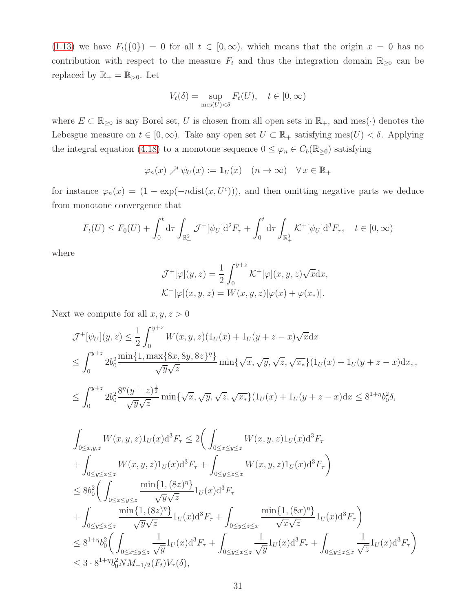[\(1.13\)](#page-3-1) we have  $F_t({0}) = 0$  for all  $t \in [0,\infty)$ , which means that the origin  $x = 0$  has no contribution with respect to the measure  $F_t$  and thus the integration domain  $\mathbb{R}_{\geq 0}$  can be replaced by  $\mathbb{R}_+ = \mathbb{R}_{>0}$  . Let

$$
V_t(\delta) = \sup_{\text{mes}(U) < \delta} F_t(U), \quad t \in [0, \infty)
$$

where  $E \subset \mathbb{R}_{\geq 0}$  is any Borel set, U is chosen from all open sets in  $\mathbb{R}_+$ , and mes( $\cdot$ ) denotes the Lebesgue measure on  $t \in [0, \infty)$ . Take any open set  $U \subset \mathbb{R}_+$  satisfying mes $(U) < \delta$ . Applying the integral equation [\(4.18\)](#page-29-2) to a monotone sequence  $0 \leq \varphi_n \in C_b(\mathbb{R}_{\geq 0})$  satisfying

$$
\varphi_n(x) \nearrow \psi_U(x) := \mathbf{1}_U(x) \quad (n \to \infty) \quad \forall \, x \in \mathbb{R}_+
$$

for instance  $\varphi_n(x) = (1 - \exp(-n\text{dist}(x, U^c)))$ , and then omitting negative parts we deduce from monotone convergence that

$$
F_t(U) \le F_0(U) + \int_0^t d\tau \int_{\mathbb{R}^2_+} \mathcal{J}^+[\psi_U] d^2 F_\tau + \int_0^t d\tau \int_{\mathbb{R}^3_+} \mathcal{K}^+[\psi_U] d^3 F_\tau, \quad t \in [0, \infty)
$$

where

$$
\mathcal{J}^+[\varphi](y, z) = \frac{1}{2} \int_0^{y+z} \mathcal{K}^+[\varphi](x, y, z) \sqrt{x} \mathrm{d}x,
$$
  

$$
\mathcal{K}^+[\varphi](x, y, z) = W(x, y, z)[\varphi(x) + \varphi(x_*)].
$$

Next we compute for all  $x, y, z > 0$ 

$$
\mathcal{J}^+[\psi_U](y, z) \leq \frac{1}{2} \int_0^{y+z} W(x, y, z)(1_U(x) + 1_U(y + z - x)\sqrt{x} dx
$$
  
\n
$$
\leq \int_0^{y+z} 2b_0^2 \frac{\min\{1, \max\{8x, 8y, 8z\}^\eta\}}{\sqrt{y}\sqrt{z}} \min\{\sqrt{x}, \sqrt{y}, \sqrt{z}, \sqrt{x_*}\}(1_U(x) + 1_U(y + z - x) dx),
$$
  
\n
$$
\leq \int_0^{y+z} 2b_0^2 \frac{8^\eta (y+z)^{\frac{1}{2}}}{\sqrt{y}\sqrt{z}} \min\{\sqrt{x}, \sqrt{y}, \sqrt{z}, \sqrt{x_*}\}(1_U(x) + 1_U(y+z-x) dx \leq 8^{1+\eta} b_0^2 \delta,
$$

$$
\int_{0 \le x,y,z} W(x,y,z)1_U(x) d^3F_{\tau} \le 2 \Big( \int_{0 \le x \le y \le z} W(x,y,z)1_U(x) d^3F_{\tau} \n+ \int_{0 \le y \le x \le z} W(x,y,z)1_U(x) d^3F_{\tau} + \int_{0 \le y \le z \le x} W(x,y,z)1_U(x) d^3F_{\tau} \Big) \n\le 8b_0^2 \Big( \int_{0 \le x \le y \le z} \frac{\min\{1, (8z)^{\eta}\}}{\sqrt{y} \sqrt{z}} 1_U(x) d^3F_{\tau} \n+ \int_{0 \le y \le x \le z} \frac{\min\{1, (8z)^{\eta}\}}{\sqrt{y} \sqrt{z}} 1_U(x) d^3F_{\tau} + \int_{0 \le y \le z \le x} \frac{\min\{1, (8x)^{\eta}\}}{\sqrt{x} \sqrt{z}} 1_U(x) d^3F_{\tau} \Big) \n\le 8^{1+\eta} b_0^2 \Big( \int_{0 \le x \le y \le z} \frac{1}{\sqrt{y}} 1_U(x) d^3F_{\tau} + \int_{0 \le y \le x \le z} \frac{1}{\sqrt{y}} 1_U(x) d^3F_{\tau} + \int_{0 \le y \le z \le x} \frac{1}{\sqrt{z}} 1_U(x) d^3F_{\tau} \Big) \n\le 3 \cdot 8^{1+\eta} b_0^2 N M_{-1/2}(F_t) V_{\tau}(\delta),
$$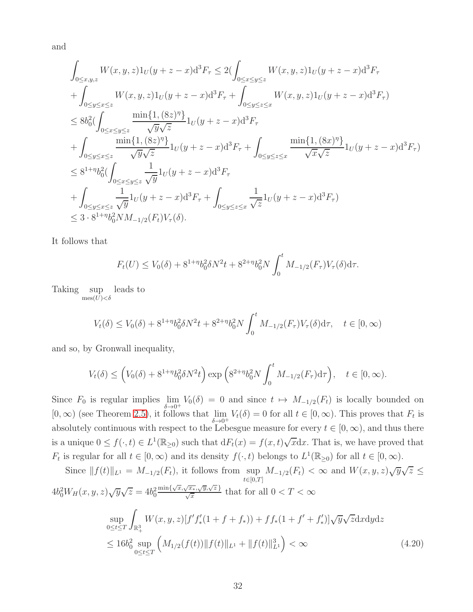and

$$
\begin{aligned} &\int_{0\le x,y,z} W(x,y,z)1_U(y+z-x)\mathrm{d}^3 F_\tau \le 2(\int_{0\le x\le y\le z} W(x,y,z)1_U(y+z-x)\mathrm{d}^3 F_\tau \\ &+\int_{0\le y\le z\le z} W(x,y,z)1_U(y+z-x)\mathrm{d}^3 F_\tau + \int_{0\le y\le z\le x} W(x,y,z)1_U(y+z-x)\mathrm{d}^3 F_\tau)\\ &\le 8b_0^2(\int_{0\le x\le y\le z} \frac{\min\{1,(8z)^\eta\}}{\sqrt{y}\sqrt{z}}1_U(y+z-x)\mathrm{d}^3 F_\tau \\ &+\int_{0\le y\le z\le z} \frac{\min\{1,(8z)^\eta\}}{\sqrt{y}\sqrt{z}}1_U(y+z-x)\mathrm{d}^3 F_\tau + \int_{0\le y\le z\le x} \frac{\min\{1,(8x)^\eta\}}{\sqrt{x}\sqrt{z}}1_U(y+z-x)\mathrm{d}^3 F_\tau)\\ &\le 8^{1+\eta}b_0^2(\int_{0\le x\le y\le z} \frac{1}{\sqrt{y}}1_U(y+z-x)\mathrm{d}^3 F_\tau \\ &+\int_{0\le y\le x\le z} \frac{1}{\sqrt{y}}1_U(y+z-x)\mathrm{d}^3 F_\tau + \int_{0\le y\le z\le x} \frac{1}{\sqrt{z}}1_U(y+z-x)\mathrm{d}^3 F_\tau)\\ &\le 3\cdot 8^{1+\eta}b_0^2NM_{-1/2}(F_t)V_\tau(\delta). \end{aligned}
$$

It follows that

$$
F_t(U) \le V_0(\delta) + 8^{1+\eta} b_0^2 \delta N^2 t + 8^{2+\eta} b_0^2 N \int_0^t M_{-1/2}(F_\tau) V_\tau(\delta) d\tau.
$$

Taking sup leads to  $mes(\bar{U})<\delta$ 

$$
V_t(\delta) \le V_0(\delta) + 8^{1+\eta} b_0^2 \delta N^2 t + 8^{2+\eta} b_0^2 N \int_0^t M_{-1/2}(F_\tau) V_\tau(\delta) d\tau, \quad t \in [0, \infty)
$$

and so, by Gronwall inequality,

$$
V_t(\delta) \le \left(V_0(\delta) + 8^{1+\eta} b_0^2 \delta N^2 t\right) \exp\left(8^{2+\eta} b_0^2 N \int_0^t M_{-1/2}(F_\tau) d\tau\right), \quad t \in [0, \infty).
$$

Since  $F_0$  is regular implies  $\lim_{n \to \infty}$  $\lim_{\delta \to 0^+} V_0(\delta) = 0$  and since  $t \mapsto M_{-1/2}(F_t)$  is locally bounded on [0, ∞) (see Theorem [2.5\)](#page-17-0), it follows that  $\lim_{\delta \to 0^+} V_t(\delta) = 0$  for all  $t \in [0, \infty)$ . This proves that  $F_t$  is absolutely continuous with respect to the Lebesgue measure for every  $t \in [0, \infty)$ , and thus there is a unique  $0 \le f(\cdot, t) \in L^1(\mathbb{R}_{\ge 0})$  such that  $dF_t(x) = f(x, t)\sqrt{x}dx$ . That is, we have proved that  $F_t$  is regular for all  $t \in [0, \infty)$  and its density  $f(\cdot, t)$  belongs to  $L^1(\mathbb{R}_{\geq 0})$  for all  $t \in [0, \infty)$ .

<span id="page-31-0"></span>Since 
$$
||f(t)||_{L^1} = M_{-1/2}(F_t)
$$
, it follows from  $\sup_{t \in [0,T]} M_{-1/2}(F_t) < \infty$  and  $W(x, y, z)\sqrt{y}\sqrt{z} \le$   
\n $4b_0^2 W_H(x, y, z)\sqrt{y}\sqrt{z} = 4b_0^2 \frac{\min\{\sqrt{x}, \sqrt{x_*}, \sqrt{y}, \sqrt{z}\}}{\sqrt{x}} \text{ that for all } 0 < T < \infty$   
\n $\sup_{0 \le t \le T} \int_{\mathbb{R}^3_+} W(x, y, z)[f' f'_*(1 + f + f_*)] + ff_*(1 + f' + f'_*)]\sqrt{y}\sqrt{z} \, \mathrm{d}x \, \mathrm{d}y \, \mathrm{d}z$   
\n $\le 16b_0^2 \sup_{0 \le t \le T} \left( M_{1/2}(f(t)) ||f(t)||_{L^1} + ||f(t)||_{L^1}^3 \right) < \infty$  (4.20)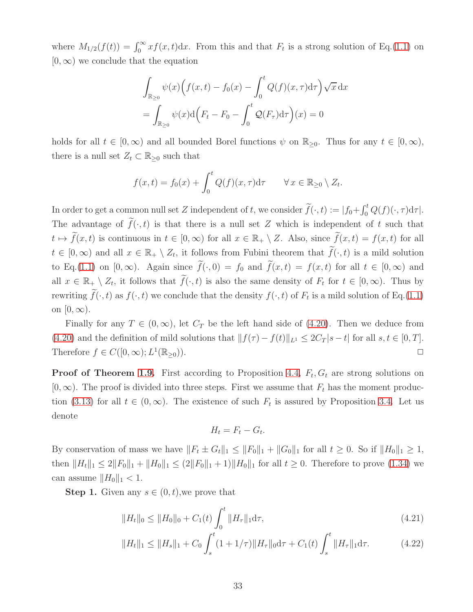where  $M_{1/2}(f(t)) = \int_0^\infty x f(x, t) dx$ . From this and that  $F_t$  is a strong solution of Eq.[\(1.1\)](#page-0-0) on  $[0, \infty)$  we conclude that the equation

$$
\int_{\mathbb{R}_{\geq 0}} \psi(x) \Big( f(x,t) - f_0(x) - \int_0^t Q(f)(x,\tau) d\tau \Big) \sqrt{x} dx
$$

$$
= \int_{\mathbb{R}_{\geq 0}} \psi(x) d\Big( F_t - F_0 - \int_0^t Q(F_\tau) d\tau \Big)(x) = 0
$$

holds for all  $t \in [0,\infty)$  and all bounded Borel functions  $\psi$  on  $\mathbb{R}_{\geq 0}$ . Thus for any  $t \in [0,\infty)$ , there is a null set  $Z_t \subset \mathbb{R}_{\geq 0}$  such that

$$
f(x,t) = f_0(x) + \int_0^t Q(f)(x,\tau) d\tau \qquad \forall x \in \mathbb{R}_{\geq 0} \setminus Z_t.
$$

In order to get a common null set Z independent of t, we consider  $\tilde{f}(\cdot,t) := |f_0 + \int_0^t Q(f)(\cdot, \tau) d\tau|$ . The advantage of  $\tilde{f}(\cdot, t)$  is that there is a null set Z which is independent of t such that  $t \mapsto \tilde{f}(x, t)$  is continuous in  $t \in [0, \infty)$  for all  $x \in \mathbb{R}_+ \setminus Z$ . Also, since  $\tilde{f}(x, t) = f(x, t)$  for all  $t \in [0,\infty)$  and all  $x \in \mathbb{R}_+ \setminus Z_t$ , it follows from Fubini theorem that  $\tilde{f}(\cdot,t)$  is a mild solution to Eq.[\(1.1\)](#page-0-0) on  $[0,\infty)$ . Again since  $\tilde{f}(\cdot,0) = f_0$  and  $\tilde{f}(x,t) = f(x,t)$  for all  $t \in [0,\infty)$  and all  $x \in \mathbb{R}_+ \setminus Z_t$ , it follows that  $\widetilde{f}(\cdot, t)$  is also the same density of  $F_t$  for  $t \in [0, \infty)$ . Thus by rewriting  $f(\cdot, t)$  as  $f(\cdot, t)$  we conclude that the density  $f(\cdot, t)$  of  $F_t$  is a mild solution of Eq.[\(1.1\)](#page-0-0) on  $[0, \infty)$ .

Finally for any  $T \in (0,\infty)$ , let  $C_T$  be the left hand side of [\(4.20\)](#page-31-0). Then we deduce from [\(4.20\)](#page-31-0) and the definition of mild solutions that  $|| f(\tau) - f(t)||_{L^1} \leq 2C_T |s - t|$  for all  $s, t \in [0, T]$ . Therefore  $f \in C([0,\infty); L^1$  $(\mathbb{R}_{\geq 0}))$ .

**Proof of Theorem [1.9.](#page-8-2)** First according to Proposition [4.4,](#page-29-1)  $F_t$ ,  $G_t$  are strong solutions on  $[0, \infty)$ . The proof is divided into three steps. First we assume that  $F_t$  has the moment produc-tion [\(3.13\)](#page-22-0) for all  $t \in (0, \infty)$ . The existence of such  $F_t$  is assured by Proposition [3.4.](#page-24-1) Let us denote

$$
H_t = F_t - G_t.
$$

By conservation of mass we have  $||F_t \pm G_t||_1 \le ||F_0||_1 + ||G_0||_1$  for all  $t \ge 0$ . So if  $||H_0||_1 \ge 1$ , then  $||H_t||_1 \leq 2||F_0||_1 + ||H_0||_1 \leq (2||F_0||_1 + 1)||H_0||_1$  for all  $t \geq 0$ . Therefore to prove [\(1.34\)](#page-9-2) we can assume  $||H_0||_1 < 1$ .

**Step 1.** Given any  $s \in (0, t)$ , we prove that

<span id="page-32-0"></span>
$$
||H_t||_0 \le ||H_0||_0 + C_1(t) \int_0^t ||H_\tau||_1 d\tau,
$$
\n(4.21)

$$
||H_t||_1 \le ||H_s||_1 + C_0 \int_s^t (1+1/\tau) ||H_\tau||_0 \mathrm{d}\tau + C_1(t) \int_s^t ||H_\tau||_1 \mathrm{d}\tau. \tag{4.22}
$$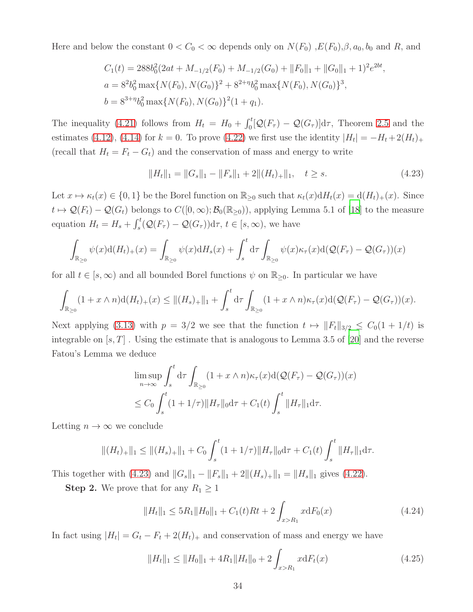Here and below the constant  $0 < C_0 < \infty$  depends only on  $N(F_0)$ ,  $E(F_0)$ ,  $\beta$ ,  $a_0$ ,  $b_0$  and R, and

$$
C_1(t) = 288b_0^2(2at + M_{-1/2}(F_0) + M_{-1/2}(G_0) + ||F_0||_1 + ||G_0||_1 + 1)^2 e^{2bt},
$$
  
\n
$$
a = 8^2b_0^2 \max\{N(F_0), N(G_0)\}^2 + 8^{2+\eta}b_0^2 \max\{N(F_0), N(G_0)\}^3,
$$
  
\n
$$
b = 8^{3+\eta}b_0^2 \max\{N(F_0), N(G_0)\}^2(1+q_1).
$$

The inequality [\(4.21\)](#page-32-0) follows from  $H_t = H_0 + \int_0^t [\mathcal{Q}(F_\tau) - \mathcal{Q}(G_\tau)] d\tau$ , Theorem [2.5](#page-17-0) and the estimates [\(4.12\)](#page-28-2), [\(4.14\)](#page-28-0) for  $k = 0$ . To prove [\(4.22\)](#page-32-0) we first use the identity  $|H_t| = -H_t + 2(H_t)_+$ (recall that  $H_t = F_t - G_t$ ) and the conservation of mass and energy to write

<span id="page-33-0"></span>
$$
||H_t||_1 = ||G_s||_1 - ||F_s||_1 + 2||(H_t)_+||_1, \quad t \ge s.
$$
\n(4.23)

Let  $x \mapsto \kappa_t(x) \in \{0, 1\}$  be the Borel function on  $\mathbb{R}_{\geq 0}$  such that  $\kappa_t(x)dH_t(x) = d(H_t)_+(x)$ . Since  $t \mapsto \mathcal{Q}(F_t) - \mathcal{Q}(G_t)$  belongs to  $C([0,\infty); \mathcal{B}_0(\mathbb{R}_{\geq 0}))$ , applying Lemma 5.1 of [\[18\]](#page-38-12) to the measure equation  $H_t = H_s + \int_s^t (\mathcal{Q}(F_\tau) - \mathcal{Q}(G_\tau)) \mathrm{d}\tau$ ,  $t \in [s, \infty)$ , we have

$$
\int_{\mathbb{R}_{\geq 0}} \psi(x) d(H_t)_+(x) = \int_{\mathbb{R}_{\geq 0}} \psi(x) dH_s(x) + \int_s^t d\tau \int_{\mathbb{R}_{\geq 0}} \psi(x) \kappa_\tau(x) d(\mathcal{Q}(F_\tau) - \mathcal{Q}(G_\tau))(x)
$$

for all  $t \in [s, \infty)$  and all bounded Borel functions  $\psi$  on  $\mathbb{R}_{\geq 0}$ . In particular we have

$$
\int_{\mathbb{R}_{\geq 0}} (1+x \wedge n) \mathrm{d}(H_t)_+(x) \leq ||(H_s)_+||_1 + \int_s^t \mathrm{d}\tau \int_{\mathbb{R}_{\geq 0}} (1+x \wedge n) \kappa_\tau(x) \mathrm{d}(\mathcal{Q}(F_\tau) - \mathcal{Q}(G_\tau))(x).
$$

Next applying [\(3.13\)](#page-22-0) with  $p = 3/2$  we see that the function  $t \mapsto ||F_t||_{3/2} \leq C_0(1 + 1/t)$  is integrable on  $[s, T]$ . Using the estimate that is analogous to Lemma 3.5 of [\[20\]](#page-39-9) and the reverse Fatou's Lemma we deduce

$$
\limsup_{n \to \infty} \int_s^t d\tau \int_{\mathbb{R}_{\geq 0}} (1 + x \wedge n) \kappa_\tau(x) d(\mathcal{Q}(F_\tau) - \mathcal{Q}(G_\tau))(x)
$$
  

$$
\leq C_0 \int_s^t (1 + 1/\tau) \|H_\tau\|_0 d\tau + C_1(t) \int_s^t \|H_\tau\|_1 d\tau.
$$

Letting  $n \to \infty$  we conclude

$$
||(H_t)_+||_1 \le ||(H_s)_+||_1 + C_0 \int_s^t (1+1/\tau) ||H_\tau||_0 \mathrm{d}\tau + C_1(t) \int_s^t ||H_\tau||_1 \mathrm{d}\tau.
$$

This together with [\(4.23\)](#page-33-0) and  $||G_s||_1 - ||F_s||_1 + 2||(H_s)_+||_1 = ||H_s||_1$  gives [\(4.22\)](#page-32-0).

**Step 2.** We prove that for any  $R_1 \geq 1$ 

<span id="page-33-2"></span>
$$
||H_t||_1 \le 5R_1||H_0||_1 + C_1(t)Rt + 2\int_{x>R_1} x dF_0(x)
$$
\n(4.24)

In fact using  $|H_t| = G_t - F_t + 2(H_t)$  and conservation of mass and energy we have

<span id="page-33-1"></span>
$$
||H_t||_1 \le ||H_0||_1 + 4R_1||H_t||_0 + 2\int_{x > R_1} x \mathrm{d}F_t(x) \tag{4.25}
$$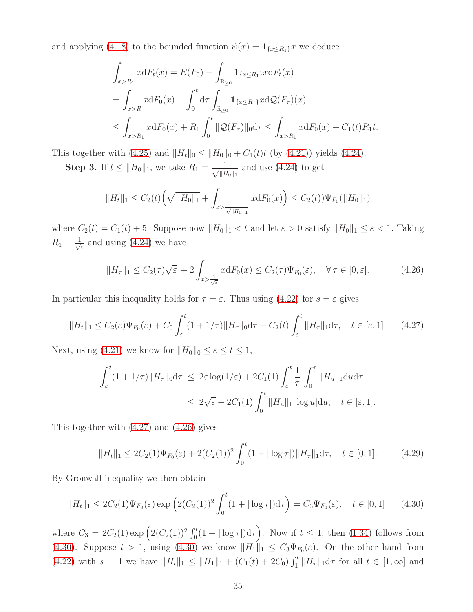and applying [\(4.18\)](#page-29-2) to the bounded function  $\psi(x) = \mathbf{1}_{\{x \le R_1\}} x$  we deduce

$$
\int_{x>R_1} x dF_t(x) = E(F_0) - \int_{\mathbb{R}_{\geq 0}} \mathbf{1}_{\{x \leq R_1\}} x dF_t(x)
$$
\n
$$
= \int_{x>R} x dF_0(x) - \int_0^t d\tau \int_{\mathbb{R}_{\geq 0}} \mathbf{1}_{\{x \leq R_1\}} x d\mathcal{Q}(F_\tau)(x)
$$
\n
$$
\leq \int_{x>R_1} x dF_0(x) + R_1 \int_0^t \|\mathcal{Q}(F_\tau)\|_0 d\tau \leq \int_{x>R_1} x dF_0(x) + C_1(t)R_1t.
$$

This together with [\(4.25\)](#page-33-1) and  $||H_t||_0 \le ||H_0||_0 + C_1(t)t$  (by [\(4.21\)](#page-32-0)) yields [\(4.24\)](#page-33-2).

**Step 3.** If  $t \leq ||H_0||_1$ , we take  $R_1 = \frac{1}{\sqrt{||L||_1}}$  $||H_0||_1$ and use [\(4.24\)](#page-33-2) to get

$$
||H_t||_1 \leq C_2(t) \left(\sqrt{||H_0||_1} + \int_{x > \frac{1}{\sqrt{||H_0||_1}}} x \mathrm{d}F_0(x)\right) \leq C_2(t) \Psi_{F_0}(||H_0||_1)
$$

where  $C_2(t) = C_1(t) + 5$ . Suppose now  $||H_0||_1 < t$  and let  $\varepsilon > 0$  satisfy  $||H_0||_1 \le \varepsilon < 1$ . Taking  $R_1 = \frac{1}{\sqrt{2}}$  $\frac{1}{\varepsilon}$  and using [\(4.24\)](#page-33-2) we have

<span id="page-34-1"></span>
$$
||H_{\tau}||_1 \le C_2(\tau)\sqrt{\varepsilon} + 2\int_{x > \frac{1}{\sqrt{\varepsilon}}} x dF_0(x) \le C_2(\tau)\Psi_{F_0}(\varepsilon), \quad \forall \tau \in [0, \varepsilon].
$$
 (4.26)

In particular this inequality holds for  $\tau = \varepsilon$ . Thus using [\(4.22\)](#page-32-0) for  $s = \varepsilon$  gives

<span id="page-34-0"></span>
$$
||H_t||_1 \le C_2(\varepsilon)\Psi_{F_0}(\varepsilon) + C_0 \int_{\varepsilon}^t (1+1/\tau) ||H_\tau||_0 \mathrm{d}\tau + C_2(t) \int_{\varepsilon}^t ||H_\tau||_1 \mathrm{d}\tau, \quad t \in [\varepsilon, 1] \tag{4.27}
$$

Next, using [\(4.21\)](#page-32-0) we know for  $||H_0||_0 \leq \varepsilon \leq t \leq 1$ ,

$$
\int_{\varepsilon}^{t} (1 + 1/\tau) \|H_{\tau}\|_{0} d\tau \leq 2\varepsilon \log(1/\varepsilon) + 2C_{1}(1) \int_{\varepsilon}^{t} \frac{1}{\tau} \int_{0}^{\tau} \|H_{u}\|_{1} du d\tau
$$
  

$$
\leq 2\sqrt{\varepsilon} + 2C_{1}(1) \int_{0}^{t} \|H_{u}\|_{1} |\log u| du, \quad t \in [\varepsilon, 1].
$$

This together with [\(4.27\)](#page-34-0) and [\(4.26\)](#page-34-1) gives

$$
||H_t||_1 \le 2C_2(1)\Psi_{F_0}(\varepsilon) + 2(C_2(1))^2 \int_0^t (1+|\log \tau|) ||H_\tau||_1 d\tau, \quad t \in [0,1]. \tag{4.29}
$$

By Gronwall inequality we then obtain

<span id="page-34-2"></span>
$$
||H_t||_1 \le 2C_2(1)\Psi_{F_0}(\varepsilon) \exp\left(2(C_2(1))^2 \int_0^t (1+|\log \tau|) d\tau\right) = C_3 \Psi_{F_0}(\varepsilon), \quad t \in [0,1]
$$
 (4.30)

where  $C_3 = 2C_2(1) \exp \left( 2(C_2(1))^2 \int_0^t (1+|\log \tau|) d\tau \right)$ . Now if  $t \le 1$ , then [\(1.34\)](#page-9-2) follows from [\(4.30\)](#page-34-2). Suppose  $t > 1$ , using [\(4.30\)](#page-34-2) we know  $||H_1||_1 \leq C_3 \Psi_{F_0}(\varepsilon)$ . On the other hand from  $(4.22)$  with  $s = 1$  we have  $||H_t||_1 \leq ||H_1||_1 + (C_1(t) + 2C_0) \int_1^t ||H_\tau||_1 d\tau$  for all  $t \in [1, \infty]$  and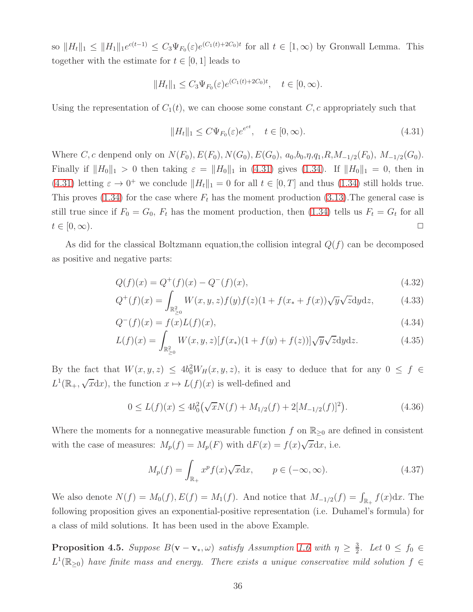so  $||H_t||_1 \leq ||H_1||_1 e^{c(t-1)} \leq C_3 \Psi_{F_0}(\varepsilon) e^{(C_1(t)+2C_0)t}$  for all  $t \in [1,\infty)$  by Gronwall Lemma. This together with the estimate for  $t \in [0, 1]$  leads to

$$
||H_t||_1 \leq C_3 \Psi_{F_0}(\varepsilon) e^{(C_1(t) + 2C_0)t}, \quad t \in [0, \infty).
$$

Using the representation of  $C_1(t)$ , we can choose some constant C, c appropriately such that

<span id="page-35-1"></span>
$$
||H_t||_1 \le C\Psi_{F_0}(\varepsilon)e^{e^{ct}}, \quad t \in [0, \infty). \tag{4.31}
$$

Where C, c denpend only on  $N(F_0)$ ,  $E(F_0)$ ,  $N(G_0)$ ,  $E(G_0)$ ,  $a_0$ ,  $b_0$ ,  $\eta$ ,  $q_1$ ,  $R$ ,  $M_{-1/2}(F_0)$ ,  $M_{-1/2}(G_0)$ . Finally if  $||H_0||_1 > 0$  then taking  $\varepsilon = ||H_0||_1$  in [\(4.31\)](#page-35-1) gives [\(1.34\)](#page-9-2). If  $||H_0||_1 = 0$ , then in [\(4.31\)](#page-35-1) letting  $\varepsilon \to 0^+$  we conclude  $||H_t||_1 = 0$  for all  $t \in [0, T]$  and thus [\(1.34\)](#page-9-2) still holds true. This proves [\(1.34\)](#page-9-2) for the case where  $F_t$  has the moment production [\(3.13\)](#page-22-0). The general case is still true since if  $F_0 = G_0$ ,  $F_t$  has the moment production, then [\(1.34\)](#page-9-2) tells us  $F_t = G_t$  for all  $t \in [0, \infty)$ .

As did for the classical Boltzmann equation, the collision integral  $Q(f)$  can be decomposed as positive and negative parts:

<span id="page-35-2"></span>
$$
Q(f)(x) = Q^+(f)(x) - Q^-(f)(x),
$$
\n(4.32)

$$
Q^{+}(f)(x) = \int_{\mathbb{R}^{2}_{>0}} W(x, y, z) f(y) f(z) (1 + f(x_{*} + f(x)) \sqrt{y} \sqrt{z} dy dz, \qquad (4.33)
$$

$$
Q^{-}(f)(x) = f(x)L(f)(x),
$$
\n(4.34)

$$
L(f)(x) = \int_{\mathbb{R}^2_{\geq 0}} W(x, y, z) [f(x_*)(1 + f(y) + f(z))] \sqrt{y} \sqrt{z} dy dz.
$$
 (4.35)

By the fact that  $W(x, y, z) \le 4b_0^2 W_H(x, y, z)$ , it is easy to deduce that for any  $0 \le f \in$  $L^1(\mathbb{R}_+, \sqrt{x}dx)$ , the function  $x \mapsto L(f)(x)$  is well-defined and

<span id="page-35-3"></span>
$$
0 \le L(f)(x) \le 4b_0^2(\sqrt{x}N(f) + M_{1/2}(f) + 2[M_{-1/2}(f)]^2). \tag{4.36}
$$

Where the moments for a nonnegative measurable function f on  $\mathbb{R}_{\geq 0}$  are defined in consistent with the case of measures:  $M_p(f) = M_p(F)$  with  $dF(x) = f(x)\sqrt{x}dx$ , i.e.

$$
M_p(f) = \int_{\mathbb{R}_+} x^p f(x) \sqrt{x} \, dx, \qquad p \in (-\infty, \infty). \tag{4.37}
$$

We also denote  $N(f) = M_0(f), E(f) = M_1(f)$ . And notice that  $M_{-1/2}(f) = \int_{\mathbb{R}_+} f(x) dx$ . The following proposition gives an exponential-positive representation (i.e. Duhamel's formula) for a class of mild solutions. It has been used in the above Example.

<span id="page-35-0"></span>**Proposition 4.5.** Suppose  $B(\mathbf{v}-\mathbf{v}_*,\omega)$  satisfy Assumption [1.6](#page-7-2) with  $\eta \geq \frac{3}{2}$  $\frac{3}{2}$ . Let  $0 \leq f_0 \in$  $L^1(\mathbb{R}_{\geq 0})$  have finite mass and energy. There exists a unique conservative mild solution  $f \in$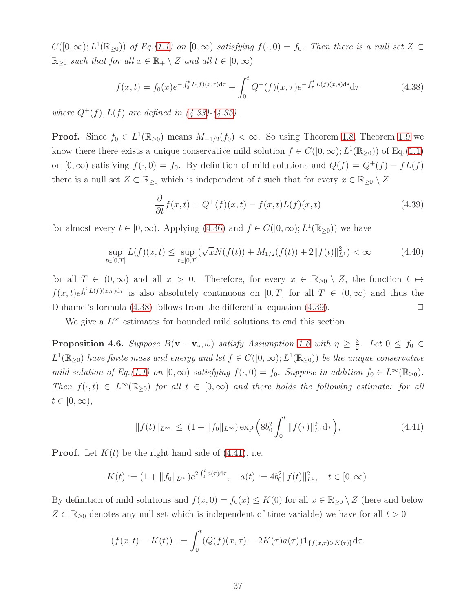$C([0,\infty); L^1(\mathbb{R}_{\geq 0}))$  of Eq.[\(1.1\)](#page-0-0) on  $[0,\infty)$  satisfying  $f(\cdot,0) = f_0$ . Then there is a null set  $Z \subset$  $\mathbb{R}_{\geq 0}$  such that for all  $x \in \mathbb{R}_+ \setminus Z$  and all  $t \in [0, \infty)$ 

<span id="page-36-0"></span>
$$
f(x,t) = f_0(x)e^{-\int_0^t L(f)(x,\tau)d\tau} + \int_0^t Q^+(f)(x,\tau)e^{-\int_\tau^t L(f)(x,s)ds}d\tau
$$
 (4.38)

where  $Q^+(f)$ ,  $L(f)$  are defined in  $(4.33)-(4.35)$  $(4.33)-(4.35)$ .

**Proof.** Since  $f_0 \in L^1(\mathbb{R}_{\geq 0})$  means  $M_{-1/2}(f_0) < \infty$ . So using Theorem [1.8,](#page-8-3) Theorem [1.9](#page-8-2) we know there there exists a unique conservative mild solution  $f \in C([0,\infty); L^1(\mathbb{R}_{\geq 0}))$  of Eq.[\(1.1\)](#page-0-0) on  $[0, \infty)$  satisfying  $f(\cdot, 0) = f_0$ . By definition of mild solutions and  $Q(f) = Q^+(f) - fL(f)$ there is a null set  $Z \subset \mathbb{R}_{\geq 0}$  which is independent of t such that for every  $x \in \mathbb{R}_{\geq 0} \setminus Z$ 

<span id="page-36-1"></span>
$$
\frac{\partial}{\partial t}f(x,t) = Q^+(f)(x,t) - f(x,t)L(f)(x,t)
$$
\n(4.39)

for almost every  $t \in [0, \infty)$ . Applying  $(4.36)$  and  $f \in C([0, \infty); L^1(\mathbb{R}_{\geq 0}))$  we have

$$
\sup_{t \in [0,T]} L(f)(x,t) \le \sup_{t \in [0,T]} (\sqrt{x}N(f(t)) + M_{1/2}(f(t)) + 2||f(t)||_{L^1}^2) < \infty
$$
\n(4.40)

for all  $T \in (0,\infty)$  and all  $x > 0$ . Therefore, for every  $x \in \mathbb{R}_{\geq 0} \setminus Z$ , the function  $t \mapsto$  $f(x,t)e^{\int_0^t L(f)(x,\tau)d\tau}$  is also absolutely continuous on  $[0,T]$  for all  $T \in (0,\infty)$  and thus the Duhamel's formula  $(4.38)$  follows from the differential equation  $(4.39)$ .

We give a  $L^{\infty}$  estimates for bounded mild solutions to end this section.

**Proposition 4.6.** Suppose  $B(\mathbf{v}-\mathbf{v}_*,\omega)$  satisfy Assumption [1.6](#page-7-2) with  $\eta \geq \frac{3}{2}$  $\frac{3}{2}$ . Let  $0 \leq f_0 \in$  $L^1(\mathbb{R}_{\geq 0})$  have finite mass and energy and let  $f \in C([0,\infty); L^1(\mathbb{R}_{\geq 0}))$  be the unique conservative mild solution of Eq.[\(1.1\)](#page-0-0) on  $[0, \infty)$  satisfying  $f(\cdot, 0) = f_0$ . Suppose in addition  $f_0 \in L^{\infty}(\mathbb{R}_{\geq 0})$ . Then  $f(\cdot, t) \in L^{\infty}(\mathbb{R}_{\geq 0})$  for all  $t \in [0, \infty)$  and there holds the following estimate: for all  $t\in[0,\infty),$ 

<span id="page-36-2"></span>
$$
||f(t)||_{L^{\infty}} \le (1 + ||f_0||_{L^{\infty}}) \exp\left(8b_0^2 \int_0^t ||f(\tau)||_{L^1}^2 d\tau\right), \tag{4.41}
$$

**Proof.** Let  $K(t)$  be the right hand side of  $(4.41)$ , i.e.

$$
K(t) := (1 + \|f_0\|_{L^{\infty}})e^{2\int_0^t a(\tau)d\tau}, \quad a(t) := 4b_0^2 \|f(t)\|_{L^1}^2, \quad t \in [0, \infty).
$$

By definition of mild solutions and  $f(x, 0) = f_0(x) \leq K(0)$  for all  $x \in \mathbb{R}_{\geq 0} \setminus Z$  (here and below  $Z \subset \mathbb{R}_{\geq 0}$  denotes any null set which is independent of time variable) we have for all  $t > 0$ 

$$
(f(x,t) - K(t))_{+} = \int_{0}^{t} (Q(f)(x,\tau) - 2K(\tau)a(\tau))\mathbf{1}_{\{f(x,\tau) > K(\tau)\}}d\tau.
$$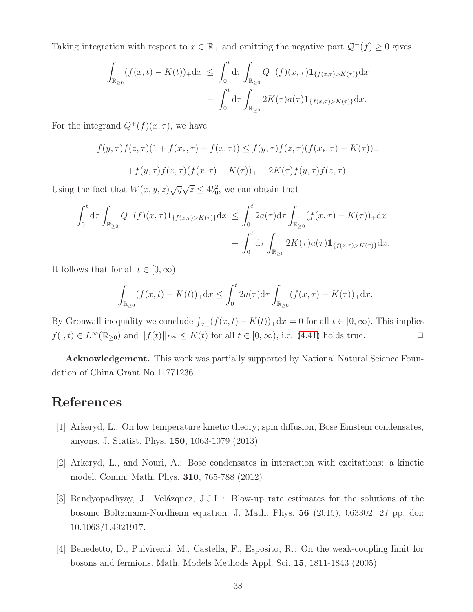Taking integration with respect to  $x \in \mathbb{R}_+$  and omitting the negative part  $\mathcal{Q}^-(f) \geq 0$  gives

$$
\int_{\mathbb{R}_{\geq 0}} (f(x,t) - K(t))_{+} dx \leq \int_{0}^{t} d\tau \int_{\mathbb{R}_{\geq 0}} Q^{+}(f)(x,\tau) \mathbf{1}_{\{f(x,\tau) > K(\tau)\}} dx \n- \int_{0}^{t} d\tau \int_{\mathbb{R}_{\geq 0}} 2K(\tau) a(\tau) \mathbf{1}_{\{f(x,\tau) > K(\tau)\}} dx.
$$

For the integrand  $Q^+(f)(x, \tau)$ , we have

$$
f(y,\tau)f(z,\tau)(1+f(x_*,\tau)+f(x,\tau)) \le f(y,\tau)f(z,\tau)(f(x_*,\tau)-K(\tau))_{+}
$$

$$
+f(y,\tau)f(z,\tau)(f(x,\tau)-K(\tau))_{+}+2K(\tau)f(y,\tau)f(z,\tau).
$$

Using the fact that  $W(x, y, z)\sqrt{y}\sqrt{z} \le 4b_0^2$ , we can obtain that

$$
\int_0^t d\tau \int_{\mathbb{R}_{\geq 0}} Q^+(f)(x,\tau) \mathbf{1}_{\{f(x,\tau) > K(\tau)\}} dx \leq \int_0^t 2a(\tau) d\tau \int_{\mathbb{R}_{\geq 0}} (f(x,\tau) - K(\tau))_+ dx \n+ \int_0^t d\tau \int_{\mathbb{R}_{\geq 0}} 2K(\tau) a(\tau) \mathbf{1}_{\{f(x,\tau) > K(\tau)\}} dx.
$$

It follows that for all  $t \in [0, \infty)$ 

$$
\int_{\mathbb{R}_{\geq 0}} (f(x,t) - K(t))_{+} dx \leq \int_0^t 2a(\tau) d\tau \int_{\mathbb{R}_{\geq 0}} (f(x,\tau) - K(\tau))_{+} dx.
$$

By Gronwall inequality we conclude  $\int_{\mathbb{R}_+} (f(x,t) - K(t))_+ dx = 0$  for all  $t \in [0,\infty)$ . This implies  $f(\cdot, t) \in L^{\infty}(\mathbb{R}_{\geq 0})$  and  $|| f(t)||_{L^{\infty}} \leq K(t)$  for all  $t \in [0, \infty)$ , i.e. [\(4.41\)](#page-36-2) holds true.

Acknowledgement. This work was partially supported by National Natural Science Foundation of China Grant No.11771236.

### References

- <span id="page-37-2"></span>[1] Arkeryd, L.: On low temperature kinetic theory; spin diffusion, Bose Einstein condensates, anyons. J. Statist. Phys. 150, 1063-1079 (2013)
- <span id="page-37-3"></span>[2] Arkeryd, L., and Nouri, A.: Bose condensates in interaction with excitations: a kinetic model. Comm. Math. Phys. 310, 765-788 (2012)
- <span id="page-37-1"></span>[3] Bandyopadhyay, J., Velázquez, J.J.L.: Blow-up rate estimates for the solutions of the bosonic Boltzmann-Nordheim equation. J. Math. Phys. 56 (2015), 063302, 27 pp. doi: 10.1063/1.4921917.
- <span id="page-37-0"></span>[4] Benedetto, D., Pulvirenti, M., Castella, F., Esposito, R.: On the weak-coupling limit for bosons and fermions. Math. Models Methods Appl. Sci. 15, 1811-1843 (2005)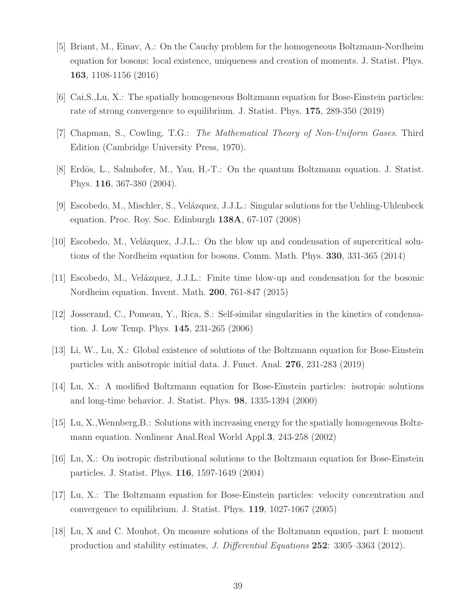- <span id="page-38-2"></span>[5] Briant, M., Einav, A.: On the Cauchy problem for the homogeneous Boltzmann-Nordheim equation for bosons: local existence, uniqueness and creation of moments. J. Statist. Phys. 163, 1108-1156 (2016)
- <span id="page-38-0"></span>[6] Cai,S.,Lu, X.: The spatially homogeneous Boltzmann equation for Bose-Einstein particles: rate of strong convergence to equilibrium. J. Statist. Phys. 175, 289-350 (2019)
- [7] Chapman, S., Cowling, T.G.: The Mathematical Theory of Non-Uniform Gases. Third Edition (Cambridge University Press, 1970).
- <span id="page-38-1"></span>[8] Erdös, L., Salmhofer, M., Yau, H.-T.: On the quantum Boltzmann equation. J. Statist. Phys. 116, 367-380 (2004).
- <span id="page-38-8"></span>[9] Escobedo, M., Mischler, S., Vel´azquez, J.J.L.: Singular solutions for the Uehling-Uhlenbeck equation. Proc. Roy. Soc. Edinburgh 138A, 67-107 (2008)
- <span id="page-38-9"></span>[10] Escobedo, M., Velázquez, J.J.L.: On the blow up and condensation of supercritical solutions of the Nordheim equation for bosons. Comm. Math. Phys. 330, 331-365 (2014)
- <span id="page-38-10"></span>[11] Escobedo, M., Velázquez, J.J.L.: Finite time blow-up and condensation for the bosonic Nordheim equation. Invent. Math. 200, 761-847 (2015)
- <span id="page-38-7"></span>[12] Josserand, C., Pomeau, Y., Rica, S.: Self-similar singularities in the kinetics of condensation. J. Low Temp. Phys. 145, 231-265 (2006)
- <span id="page-38-3"></span>[13] Li, W., Lu, X.: Global existence of solutions of the Boltzmann equation for Bose-Einstein particles with anisotropic initial data. J. Funct. Anal. 276, 231-283 (2019)
- <span id="page-38-5"></span>[14] Lu, X.: A modified Boltzmann equation for Bose-Einstein particles: isotropic solutions and long-time behavior. J. Statist. Phys. 98, 1335-1394 (2000)
- <span id="page-38-11"></span>[15] Lu, X.,Wennberg,B.: Solutions with increasing energy for the spatially homogeneous Boltzmann equation. Nonlinear Anal.Real World Appl.3, 243-258 (2002)
- <span id="page-38-4"></span>[16] Lu, X.: On isotropic distributional solutions to the Boltzmann equation for Bose-Einstein particles. J. Statist. Phys. 116, 1597-1649 (2004)
- <span id="page-38-6"></span>[17] Lu, X.: The Boltzmann equation for Bose-Einstein particles: velocity concentration and convergence to equilibrium. J. Statist. Phys. 119, 1027-1067 (2005)
- <span id="page-38-12"></span>[18] Lu, X and C. Mouhot, On measure solutions of the Boltzmann equation, part I: moment production and stability estimates, J. Differential Equations 252: 3305–3363 (2012).